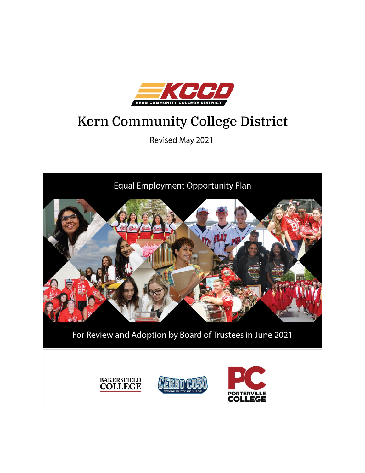

# Kern Community College District

Revised May 2021



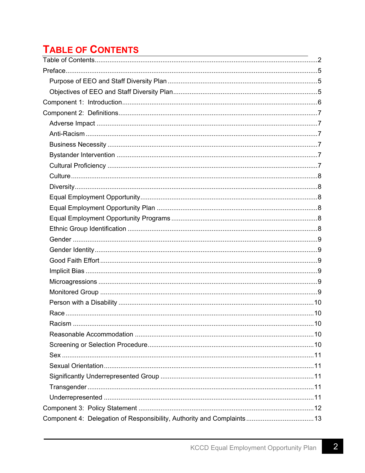## **TABLE OF CONTENTS**

| Racism                                                                 |  |
|------------------------------------------------------------------------|--|
|                                                                        |  |
|                                                                        |  |
|                                                                        |  |
|                                                                        |  |
|                                                                        |  |
|                                                                        |  |
|                                                                        |  |
|                                                                        |  |
| Component 4: Delegation of Responsibility, Authority and Complaints 13 |  |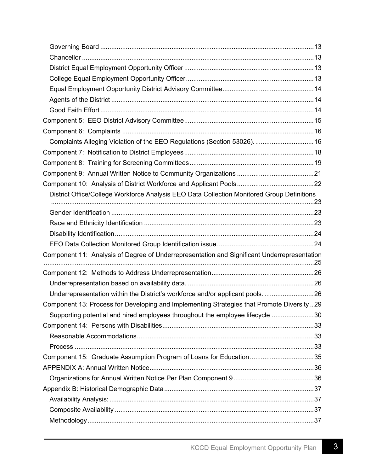| Complaints Alleging Violation of the EEO Regulations (Section 53026) 16                     |  |
|---------------------------------------------------------------------------------------------|--|
|                                                                                             |  |
|                                                                                             |  |
|                                                                                             |  |
|                                                                                             |  |
| District Office/College Workforce Analysis EEO Data Collection Monitored Group Definitions  |  |
|                                                                                             |  |
|                                                                                             |  |
|                                                                                             |  |
|                                                                                             |  |
| Component 11: Analysis of Degree of Underrepresentation and Significant Underrepresentation |  |
|                                                                                             |  |
|                                                                                             |  |
|                                                                                             |  |
| Underrepresentation within the District's workforce and/or applicant pools. 26              |  |
| Component 13: Process for Developing and Implementing Strategies that Promote Diversity29   |  |
| Supporting potential and hired employees throughout the employee lifecycle 30               |  |
|                                                                                             |  |
|                                                                                             |  |
|                                                                                             |  |
| Component 15: Graduate Assumption Program of Loans for Education35                          |  |
|                                                                                             |  |
|                                                                                             |  |
|                                                                                             |  |
|                                                                                             |  |
|                                                                                             |  |
|                                                                                             |  |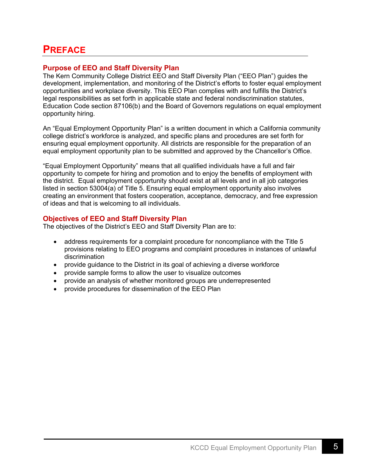### **PREFACE**

#### **Purpose of EEO and Staff Diversity Plan**

The Kern Community College District EEO and Staff Diversity Plan ("EEO Plan") guides the development, implementation, and monitoring of the District's efforts to foster equal employment opportunities and workplace diversity. This EEO Plan complies with and fulfills the District's legal responsibilities as set forth in applicable state and federal nondiscrimination statutes, Education Code section 87106(b) and the Board of Governors regulations on equal employment opportunity hiring.

An "Equal Employment Opportunity Plan" is a written document in which a California community college district's workforce is analyzed, and specific plans and procedures are set forth for ensuring equal employment opportunity. All districts are responsible for the preparation of an equal employment opportunity plan to be submitted and approved by the Chancellor's Office.

"Equal Employment Opportunity" means that all qualified individuals have a full and fair opportunity to compete for hiring and promotion and to enjoy the benefits of employment with the district. Equal employment opportunity should exist at all levels and in all job categories listed in section 53004(a) of Title 5. Ensuring equal employment opportunity also involves creating an environment that fosters cooperation, acceptance, democracy, and free expression of ideas and that is welcoming to all individuals.

#### **Objectives of EEO and Staff Diversity Plan**

The objectives of the District's EEO and Staff Diversity Plan are to:

- address requirements for a complaint procedure for noncompliance with the Title 5 provisions relating to EEO programs and complaint procedures in instances of unlawful discrimination
- provide guidance to the District in its goal of achieving a diverse workforce
- provide sample forms to allow the user to visualize outcomes
- provide an analysis of whether monitored groups are underrepresented
- provide procedures for dissemination of the EEO Plan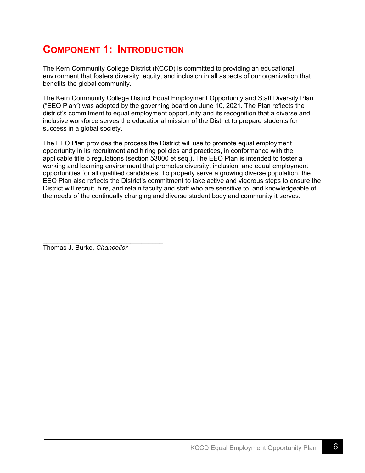### **COMPONENT 1: INTRODUCTION**

The Kern Community College District (KCCD) is committed to providing an educational environment that fosters diversity, equity, and inclusion in all aspects of our organization that benefits the global community.

The Kern Community College District Equal Employment Opportunity and Staff Diversity Plan ("EEO Plan*"*) was adopted by the governing board on June 10, 2021. The Plan reflects the district's commitment to equal employment opportunity and its recognition that a diverse and inclusive workforce serves the educational mission of the District to prepare students for success in a global society.

The EEO Plan provides the process the District will use to promote equal employment opportunity in its recruitment and hiring policies and practices, in conformance with the applicable title 5 regulations (section 53000 et seq.). The EEO Plan is intended to foster a working and learning environment that promotes diversity, inclusion, and equal employment opportunities for all qualified candidates. To properly serve a growing diverse population, the EEO Plan also reflects the District's commitment to take active and vigorous steps to ensure the District will recruit, hire, and retain faculty and staff who are sensitive to, and knowledgeable of, the needs of the continually changing and diverse student body and community it serves.

 $\_$ Thomas J. Burke, *Chancellor*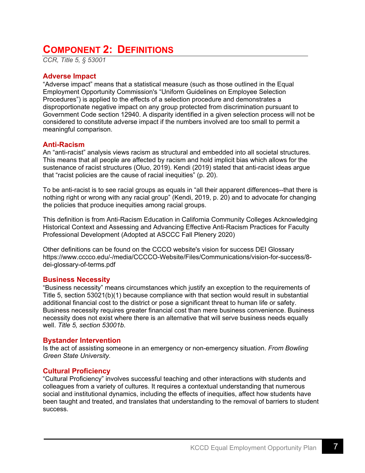### **COMPONENT 2: DEFINITIONS**

*CCR, Title 5, § 53001* 

#### **Adverse Impact**

"Adverse impact" means that a statistical measure (such as those outlined in the Equal Employment Opportunity Commission's "Uniform Guidelines on Employee Selection Procedures") is applied to the effects of a selection procedure and demonstrates a disproportionate negative impact on any group protected from discrimination pursuant to Government Code section 12940. A disparity identified in a given selection process will not be considered to constitute adverse impact if the numbers involved are too small to permit a meaningful comparison.

#### **Anti-Racism**

An "anti-racist" analysis views racism as structural and embedded into all societal structures. This means that all people are affected by racism and hold implicit bias which allows for the sustenance of racist structures (Oluo, 2019). Kendi (2019) stated that anti-racist ideas argue that "racist policies are the cause of racial inequities" (p. 20).

To be anti-racist is to see racial groups as equals in "all their apparent differences--that there is nothing right or wrong with any racial group" (Kendi, 2019, p. 20) and to advocate for changing the policies that produce inequities among racial groups.

This definition is from Anti-Racism Education in California Community Colleges Acknowledging Historical Context and Assessing and Advancing Effective Anti-Racism Practices for Faculty Professional Development (Adopted at ASCCC Fall Plenery 2020)

Other definitions can be found on the CCCO website's vision for success DEI Glossary https://www.cccco.edu/-/media/CCCCO-Website/Files/Communications/vision-for-success/8 dei-glossary-of-terms.pdf

#### **Business Necessity**

"Business necessity" means circumstances which justify an exception to the requirements of Title 5, section 53021(b)(1) because compliance with that section would result in substantial additional financial cost to the district or pose a significant threat to human life or safety. Business necessity requires greater financial cost than mere business convenience. Business necessity does not exist where there is an alternative that will serve business needs equally well. *Title 5, section 53001b*.

#### **Bystander Intervention**

Is the act of assisting someone in an emergency or non-emergency situation. *From Bowling Green State University.*

#### **Cultural Proficiency**

"Cultural Proficiency" involves successful teaching and other interactions with students and colleagues from a variety of cultures. It requires a contextual understanding that numerous social and institutional dynamics, including the effects of inequities, affect how students have been taught and treated, and translates that understanding to the removal of barriers to student success.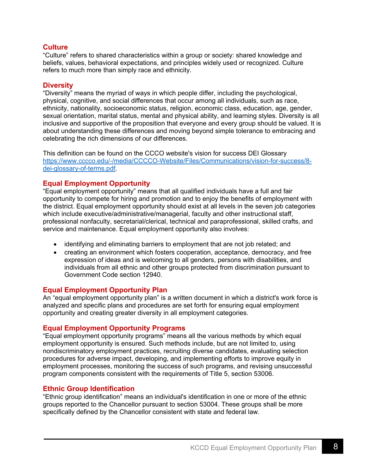#### **Culture**

"Culture" refers to shared characteristics within a group or society: shared knowledge and beliefs, values, behavioral expectations, and principles widely used or recognized. Culture refers to much more than simply race and ethnicity.

#### **Diversity**

"Diversity" means the myriad of ways in which people differ, including the psychological, physical, cognitive, and social differences that occur among all individuals, such as race, ethnicity, nationality, socioeconomic status, religion, economic class, education, age, gender, sexual orientation, marital status, mental and physical ability, and learning styles. Diversity is all inclusive and supportive of the proposition that everyone and every group should be valued. It is about understanding these differences and moving beyond simple tolerance to embracing and celebrating the rich dimensions of our differences.

This definition can be found on the CCCO website's vision for success DEI Glossary https://www.cccco.edu/-/media/CCCCO-Website/Files/Communications/vision-for-success/8 dei-glossary-of-terms.pdf.

#### **Equal Employment Opportunity**

"Equal employment opportunity" means that all qualified individuals have a full and fair opportunity to compete for hiring and promotion and to enjoy the benefits of employment with the district. Equal employment opportunity should exist at all levels in the seven job categories which include executive/administrative/managerial, faculty and other instructional staff, professional nonfaculty, secretarial/clerical, technical and paraprofessional, skilled crafts, and service and maintenance. Equal employment opportunity also involves:

- identifying and eliminating barriers to employment that are not job related; and
- creating an environment which fosters cooperation, acceptance, democracy, and free expression of ideas and is welcoming to all genders, persons with disabilities, and individuals from all ethnic and other groups protected from discrimination pursuant to Government Code section 12940.

#### **Equal Employment Opportunity Plan**

An "equal employment opportunity plan" is a written document in which a district's work force is analyzed and specific plans and procedures are set forth for ensuring equal employment opportunity and creating greater diversity in all employment categories.

#### **Equal Employment Opportunity Programs**

"Equal employment opportunity programs" means all the various methods by which equal employment opportunity is ensured. Such methods include, but are not limited to, using nondiscriminatory employment practices, recruiting diverse candidates, evaluating selection procedures for adverse impact, developing, and implementing efforts to improve equity in employment processes, monitoring the success of such programs, and revising unsuccessful program components consistent with the requirements of Title 5, section 53006.

#### **Ethnic Group Identification**

"Ethnic group identification" means an individual's identification in one or more of the ethnic groups reported to the Chancellor pursuant to section 53004. These groups shall be more specifically defined by the Chancellor consistent with state and federal law.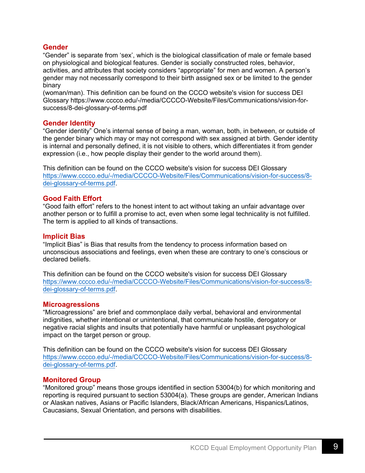#### **Gender**

"Gender" is separate from 'sex', which is the biological classification of male or female based on physiological and biological features. Gender is socially constructed roles, behavior, activities, and attributes that society considers "appropriate" for men and women. A person's gender may not necessarily correspond to their birth assigned sex or be limited to the gender binary

(woman/man). This definition can be found on the CCCO website's vision for success DEI Glossary https://www.cccco.edu/-/media/CCCCO-Website/Files/Communications/vision-forsuccess/8-dei-glossary-of-terms.pdf

#### **Gender Identity**

"Gender identity" One's internal sense of being a man, woman, both, in between, or outside of the gender binary which may or may not correspond with sex assigned at birth. Gender identity is internal and personally defined, it is not visible to others, which differentiates it from gender expression (i.e., how people display their gender to the world around them).

This definition can be found on the CCCO website's vision for success DEI Glossary https://www.cccco.edu/-/media/CCCCO-Website/Files/Communications/vision-for-success/8 dei-glossary-of-terms.pdf.

#### **Good Faith Effort**

"Good faith effort" refers to the honest intent to act without taking an unfair advantage over another person or to fulfill a promise to act, even when some legal technicality is not fulfilled. The term is applied to all kinds of transactions.

#### **Implicit Bias**

"Implicit Bias" is Bias that results from the tendency to process information based on unconscious associations and feelings, even when these are contrary to one's conscious or declared beliefs.

This definition can be found on the CCCO website's vision for success DEI Glossary https://www.cccco.edu/-/media/CCCCO-Website/Files/Communications/vision-for-success/8 dei-glossary-of-terms.pdf.

#### **Microagressions**

"Microagressions" are brief and commonplace daily verbal, behavioral and environmental indignities, whether intentional or unintentional, that communicate hostile, derogatory or negative racial slights and insults that potentially have harmful or unpleasant psychological impact on the target person or group.

This definition can be found on the CCCO website's vision for success DEI Glossary https://www.cccco.edu/-/media/CCCCO-Website/Files/Communications/vision-for-success/8 dei-glossary-of-terms.pdf.

#### **Monitored Group**

"Monitored group" means those groups identified in section 53004(b) for which monitoring and reporting is required pursuant to section 53004(a). These groups are gender, American Indians or Alaskan natives, Asians or Pacific Islanders, Black/African Americans, Hispanics/Latinos, Caucasians, Sexual Orientation, and persons with disabilities.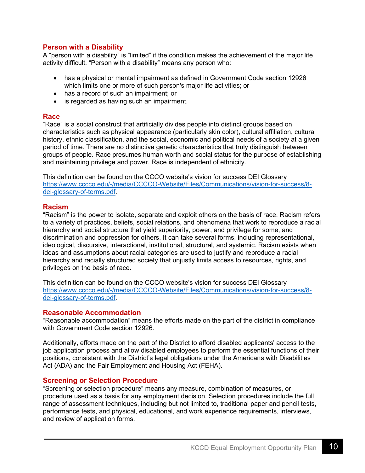#### **Person with a Disability**

A "person with a disability" is "limited" if the condition makes the achievement of the major life activity difficult. "Person with a disability" means any person who:

- has a physical or mental impairment as defined in Government Code section 12926 which limits one or more of such person's major life activities; or
- has a record of such an impairment; or
- is regarded as having such an impairment.

#### **Race**

"Race" is a social construct that artificially divides people into distinct groups based on characteristics such as physical appearance (particularly skin color), cultural affiliation, cultural history, ethnic classification, and the social, economic and political needs of a society at a given period of time. There are no distinctive genetic characteristics that truly distinguish between groups of people. Race presumes human worth and social status for the purpose of establishing and maintaining privilege and power. Race is independent of ethnicity.

This definition can be found on the CCCO website's vision for success DEI Glossary https://www.cccco.edu/-/media/CCCCO-Website/Files/Communications/vision-for-success/8 dei-glossary-of-terms.pdf.

#### **Racism**

"Racism" is the power to isolate, separate and exploit others on the basis of race. Racism refers to a variety of practices, beliefs, social relations, and phenomena that work to reproduce a racial hierarchy and social structure that yield superiority, power, and privilege for some, and discrimination and oppression for others. It can take several forms, including representational, ideological, discursive, interactional, institutional, structural, and systemic. Racism exists when ideas and assumptions about racial categories are used to justify and reproduce a racial hierarchy and racially structured society that unjustly limits access to resources, rights, and privileges on the basis of race.

This definition can be found on the CCCO website's vision for success DEI Glossary https://www.cccco.edu/-/media/CCCCO-Website/Files/Communications/vision-for-success/8 dei-glossary-of-terms.pdf.

#### **Reasonable Accommodation**

"Reasonable accommodation" means the efforts made on the part of the district in compliance with Government Code section 12926.

Additionally, efforts made on the part of the District to afford disabled applicants' access to the job application process and allow disabled employees to perform the essential functions of their positions, consistent with the District's legal obligations under the Americans with Disabilities Act (ADA) and the Fair Employment and Housing Act (FEHA).

#### **Screening or Selection Procedure**

"Screening or selection procedure" means any measure, combination of measures, or procedure used as a basis for any employment decision. Selection procedures include the full range of assessment techniques, including but not limited to, traditional paper and pencil tests, performance tests, and physical, educational, and work experience requirements, interviews, and review of application forms.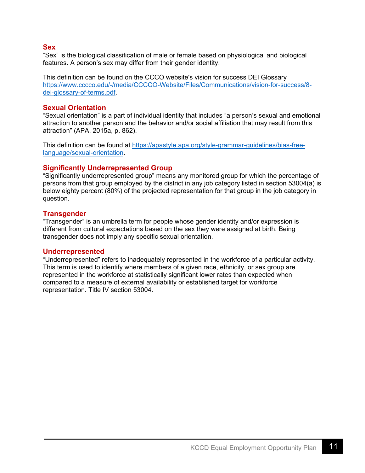#### **Sex**

"Sex" is the biological classification of male or female based on physiological and biological features. A person's sex may differ from their gender identity.

This definition can be found on the CCCO website's vision for success DEI Glossary https://www.cccco.edu/-/media/CCCCO-Website/Files/Communications/vision-for-success/8 dei-glossary-of-terms.pdf.

#### **Sexual Orientation**

"Sexual orientation" is a part of individual identity that includes "a person's sexual and emotional attraction to another person and the behavior and/or social affiliation that may result from this attraction" (APA, 2015a, p. 862).

This definition can be found at https://apastyle.apa.org/style-grammar-guidelines/bias-freelanguage/sexual-orientation.

#### **Significantly Underrepresented Group**

"Significantly underrepresented group" means any monitored group for which the percentage of persons from that group employed by the district in any job category listed in section 53004(a) is below eighty percent (80%) of the projected representation for that group in the job category in question.

#### **Transgender**

"Transgender" is an umbrella term for people whose gender identity and/or expression is different from cultural expectations based on the sex they were assigned at birth. Being transgender does not imply any specific sexual orientation.

#### **Underrepresented**

"Underrepresented" refers to inadequately represented in the workforce of a particular activity. This term is used to identify where members of a given race, ethnicity, or sex group are represented in the workforce at statistically significant lower rates than expected when compared to a measure of external availability or established target for workforce representation. Title IV section 53004.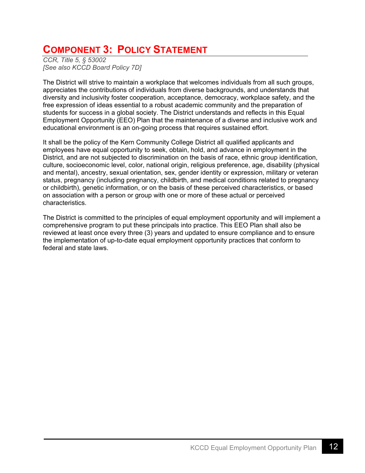### **COMPONENT 3: POLICY STATEMENT**

*CCR, Title 5, § 53002 [See also KCCD Board Policy 7D]* 

The District will strive to maintain a workplace that welcomes individuals from all such groups, appreciates the contributions of individuals from diverse backgrounds, and understands that diversity and inclusivity foster cooperation, acceptance, democracy, workplace safety, and the free expression of ideas essential to a robust academic community and the preparation of students for success in a global society. The District understands and reflects in this Equal Employment Opportunity (EEO) Plan that the maintenance of a diverse and inclusive work and educational environment is an on-going process that requires sustained effort.

It shall be the policy of the Kern Community College District all qualified applicants and employees have equal opportunity to seek, obtain, hold, and advance in employment in the District, and are not subjected to discrimination on the basis of race, ethnic group identification, culture, socioeconomic level, color, national origin, religious preference, age, disability (physical and mental), ancestry, sexual orientation, sex, gender identity or expression, military or veteran status, pregnancy (including pregnancy, childbirth, and medical conditions related to pregnancy or childbirth), genetic information, or on the basis of these perceived characteristics, or based on association with a person or group with one or more of these actual or perceived characteristics.

The District is committed to the principles of equal employment opportunity and will implement a comprehensive program to put these principals into practice. This EEO Plan shall also be reviewed at least once every three (3) years and updated to ensure compliance and to ensure the implementation of up-to-date equal employment opportunity practices that conform to federal and state laws.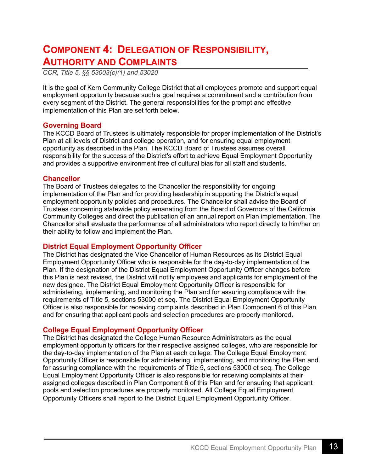### **COMPONENT 4: DELEGATION OF RESPONSIBILITY, AUTHORITY AND COMPLAINTS**

*CCR, Title 5, §§ 53003(c)(1) and 53020* 

It is the goal of Kern Community College District that all employees promote and support equal employment opportunity because such a goal requires a commitment and a contribution from every segment of the District. The general responsibilities for the prompt and effective implementation of this Plan are set forth below.

#### **Governing Board**

The KCCD Board of Trustees is ultimately responsible for proper implementation of the District's Plan at all levels of District and college operation, and for ensuring equal employment opportunity as described in the Plan. The KCCD Board of Trustees assumes overall responsibility for the success of the District's effort to achieve Equal Employment Opportunity and provides a supportive environment free of cultural bias for all staff and students.

#### **Chancellor**

The Board of Trustees delegates to the Chancellor the responsibility for ongoing implementation of the Plan and for providing leadership in supporting the District's equal employment opportunity policies and procedures. The Chancellor shall advise the Board of Trustees concerning statewide policy emanating from the Board of Governors of the California Community Colleges and direct the publication of an annual report on Plan implementation. The Chancellor shall evaluate the performance of all administrators who report directly to him/her on their ability to follow and implement the Plan.

#### **District Equal Employment Opportunity Officer**

The District has designated the Vice Chancellor of Human Resources as its District Equal Employment Opportunity Officer who is responsible for the day-to-day implementation of the Plan. If the designation of the District Equal Employment Opportunity Officer changes before this Plan is next revised, the District will notify employees and applicants for employment of the new designee. The District Equal Employment Opportunity Officer is responsible for administering, implementing, and monitoring the Plan and for assuring compliance with the requirements of Title 5, sections 53000 et seq. The District Equal Employment Opportunity Officer is also responsible for receiving complaints described in Plan Component 6 of this Plan and for ensuring that applicant pools and selection procedures are properly monitored.

#### **College Equal Employment Opportunity Officer**

The District has designated the College Human Resource Administrators as the equal employment opportunity officers for their respective assigned colleges, who are responsible for the day-to-day implementation of the Plan at each college. The College Equal Employment Opportunity Officer is responsible for administering, implementing, and monitoring the Plan and for assuring compliance with the requirements of Title 5, sections 53000 et seq. The College Equal Employment Opportunity Officer is also responsible for receiving complaints at their assigned colleges described in Plan Component 6 of this Plan and for ensuring that applicant pools and selection procedures are properly monitored. All College Equal Employment Opportunity Officers shall report to the District Equal Employment Opportunity Officer.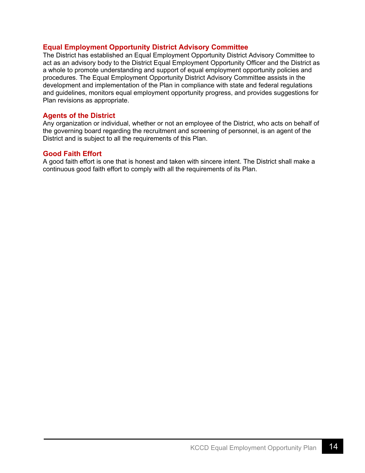#### **Equal Employment Opportunity District Advisory Committee**

The District has established an Equal Employment Opportunity District Advisory Committee to act as an advisory body to the District Equal Employment Opportunity Officer and the District as a whole to promote understanding and support of equal employment opportunity policies and procedures. The Equal Employment Opportunity District Advisory Committee assists in the development and implementation of the Plan in compliance with state and federal regulations and guidelines, monitors equal employment opportunity progress, and provides suggestions for Plan revisions as appropriate.

#### **Agents of the District**

Any organization or individual, whether or not an employee of the District, who acts on behalf of the governing board regarding the recruitment and screening of personnel, is an agent of the District and is subject to all the requirements of this Plan.

#### **Good Faith Effort**

A good faith effort is one that is honest and taken with sincere intent. The District shall make a continuous good faith effort to comply with all the requirements of its Plan.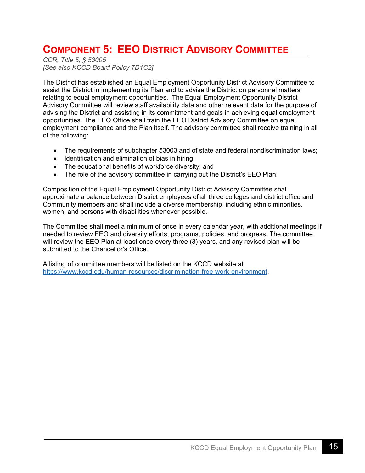### **COMPONENT 5: EEO DISTRICT ADVISORY COMMITTEE**

*CCR, Title 5, § 53005 [See also KCCD Board Policy 7D1C2]* 

The District has established an Equal Employment Opportunity District Advisory Committee to assist the District in implementing its Plan and to advise the District on personnel matters relating to equal employment opportunities. The Equal Employment Opportunity District Advisory Committee will review staff availability data and other relevant data for the purpose of advising the District and assisting in its commitment and goals in achieving equal employment opportunities. The EEO Office shall train the EEO District Advisory Committee on equal employment compliance and the Plan itself. The advisory committee shall receive training in all of the following:

- The requirements of subchapter 53003 and of state and federal nondiscrimination laws;
- Identification and elimination of bias in hiring;
- The educational benefits of workforce diversity; and
- The role of the advisory committee in carrying out the District's EEO Plan.

Composition of the Equal Employment Opportunity District Advisory Committee shall approximate a balance between District employees of all three colleges and district office and Community members and shall include a diverse membership, including ethnic minorities, women, and persons with disabilities whenever possible.

The Committee shall meet a minimum of once in every calendar year, with additional meetings if needed to review EEO and diversity efforts, programs, policies, and progress. The committee will review the EEO Plan at least once every three (3) years, and any revised plan will be submitted to the Chancellor's Office.

A listing of committee members will be listed on the KCCD website at https://www.kccd.edu/human-resources/discrimination-free-work-environment.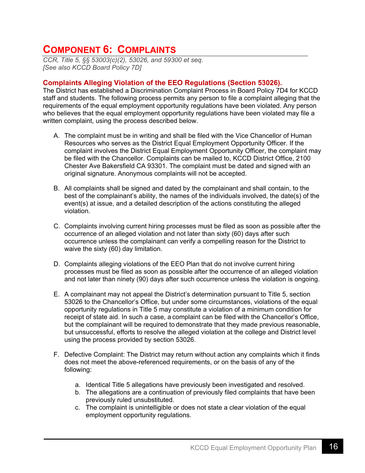### **COMPONENT 6: COMPLAINTS**

*CCR, Title 5, §§ 53003(c)(2), 53026, and 59300 et seq. [See also KCCD Board Policy 7D]* 

#### **Complaints Alleging Violation of the EEO Regulations (Section 53026).**

The District has established a Discrimination Complaint Process in Board Policy 7D4 for KCCD staff and students. The following process permits any person to file a complaint alleging that the requirements of the equal employment opportunity regulations have been violated. Any person who believes that the equal employment opportunity regulations have been violated may file a written complaint, using the process described below.

- A. The complaint must be in writing and shall be filed with the Vice Chancellor of Human Resources who serves as the District Equal Employment Opportunity Officer. If the complaint involves the District Equal Employment Opportunity Officer, the complaint may be filed with the Chancellor. Complaints can be mailed to, KCCD District Office, 2100 Chester Ave Bakersfield CA 93301. The complaint must be dated and signed with an original signature. Anonymous complaints will not be accepted.
- B. All complaints shall be signed and dated by the complainant and shall contain, to the best of the complainant's ability, the names of the individuals involved, the date(s) of the event(s) at issue, and a detailed description of the actions constituting the alleged violation.
- C. Complaints involving current hiring processes must be filed as soon as possible after the occurrence of an alleged violation and not later than sixty (60) days after such occurrence unless the complainant can verify a compelling reason for the District to waive the sixty (60) day limitation.
- D. Complaints alleging violations of the EEO Plan that do not involve current hiring processes must be filed as soon as possible after the occurrence of an alleged violation and not later than ninety (90) days after such occurrence unless the violation is ongoing.
- E. A complainant may not appeal the District's determination pursuant to Title 5, section 53026 to the Chancellor's Office, but under some circumstances, violations of the equal opportunity regulations in Title 5 may constitute a violation of a minimum condition for receipt of state aid. In such a case, a complaint can be filed with the Chancellor's Office, but the complainant will be required to demonstrate that they made previous reasonable, but unsuccessful, efforts to resolve the alleged violation at the college and District level using the process provided by section 53026.
- F. Defective Complaint: The District may return without action any complaints which it finds does not meet the above-referenced requirements, or on the basis of any of the following:
	- a. Identical Title 5 allegations have previously been investigated and resolved.
	- b. The allegations are a continuation of previously filed complaints that have been previously ruled unsubstituted.
	- c. The complaint is unintelligible or does not state a clear violation of the equal employment opportunity regulations.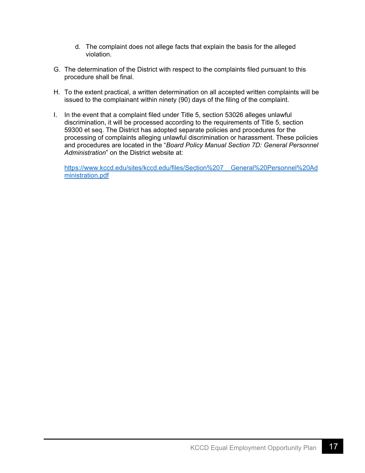- d. The complaint does not allege facts that explain the basis for the alleged violation.
- G. The determination of the District with respect to the complaints filed pursuant to this procedure shall be final.
- H. To the extent practical, a written determination on all accepted written complaints will be issued to the complainant within ninety (90) days of the filing of the complaint.
- I. In the event that a complaint filed under Title 5, section 53026 alleges unlawful discrimination, it will be processed according to the requirements of Title 5, section 59300 et seq. The District has adopted separate policies and procedures for the processing of complaints alleging unlawful discrimination or harassment. These policies and procedures are located in the "*Board Policy Manual Section 7D: General Personnel Administration*" on the District website at:

https://www.kccd.edu/sites/kccd.edu/files/Section%207\_\_General%20Personnel%20Ad ministration.pdf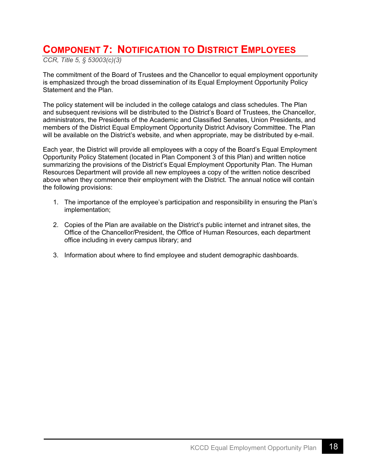### **COMPONENT 7: NOTIFICATION TO DISTRICT EMPLOYEES**

*CCR, Title 5, § 53003(c)(3)*

The commitment of the Board of Trustees and the Chancellor to equal employment opportunity is emphasized through the broad dissemination of its Equal Employment Opportunity Policy Statement and the Plan.

The policy statement will be included in the college catalogs and class schedules. The Plan and subsequent revisions will be distributed to the District's Board of Trustees, the Chancellor, administrators, the Presidents of the Academic and Classified Senates, Union Presidents, and members of the District Equal Employment Opportunity District Advisory Committee. The Plan will be available on the District's website, and when appropriate, may be distributed by e-mail.

Each year, the District will provide all employees with a copy of the Board's Equal Employment Opportunity Policy Statement (located in Plan Component 3 of this Plan) and written notice summarizing the provisions of the District's Equal Employment Opportunity Plan. The Human Resources Department will provide all new employees a copy of the written notice described above when they commence their employment with the District. The annual notice will contain the following provisions:

- 1. The importance of the employee's participation and responsibility in ensuring the Plan's implementation;
- 2. Copies of the Plan are available on the District's public internet and intranet sites, the Office of the Chancellor/President, the Office of Human Resources, each department office including in every campus library; and
- 3. Information about where to find employee and student demographic dashboards.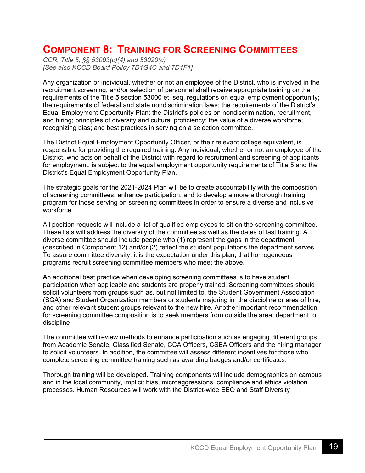### **COMPONENT 8: TRAINING FOR SCREENING COMMITTEES**

*CCR, Title 5, §§ 53003(c)(4) and 53020(c) [See also KCCD Board Policy 7D1G4C and 7D1F1]* 

Any organization or individual, whether or not an employee of the District, who is involved in the recruitment screening, and/or selection of personnel shall receive appropriate training on the requirements of the Title 5 section 53000 et. seq. regulations on equal employment opportunity; the requirements of federal and state nondiscrimination laws; the requirements of the District's Equal Employment Opportunity Plan; the District's policies on nondiscrimination, recruitment, and hiring; principles of diversity and cultural proficiency; the value of a diverse workforce; recognizing bias; and best practices in serving on a selection committee.

The District Equal Employment Opportunity Officer, or their relevant college equivalent, is responsible for providing the required training. Any individual, whether or not an employee of the District, who acts on behalf of the District with regard to recruitment and screening of applicants for employment, is subject to the equal employment opportunity requirements of Title 5 and the District's Equal Employment Opportunity Plan.

The strategic goals for the 2021-2024 Plan will be to create accountability with the composition of screening committees, enhance participation, and to develop a more a thorough training program for those serving on screening committees in order to ensure a diverse and inclusive workforce.

All position requests will include a list of qualified employees to sit on the screening committee. These lists will address the diversity of the committee as well as the dates of last training. A diverse committee should include people who (1) represent the gaps in the department (described in Component 12) and/or (2) reflect the student populations the department serves. To assure committee diversity, it is the expectation under this plan, that homogeneous programs recruit screening committee members who meet the above.

An additional best practice when developing screening committees is to have student participation when applicable and students are properly trained. Screening committees should solicit volunteers from groups such as, but not limited to, the Student Government Association (SGA) and Student Organization members or students majoring in the discipline or area of hire, and other relevant student groups relevant to the new hire. Another important recommendation for screening committee composition is to seek members from outside the area, department, or discipline

The committee will review methods to enhance participation such as engaging different groups from Academic Senate, Classified Senate, CCA Officers, CSEA Officers and the hiring manager to solicit volunteers. In addition, the committee will assess different incentives for those who complete screening committee training such as awarding badges and/or certificates.

Thorough training will be developed. Training components will include demographics on campus and in the local community, implicit bias, microaggressions, compliance and ethics violation processes. Human Resources will work with the District-wide EEO and Staff Diversity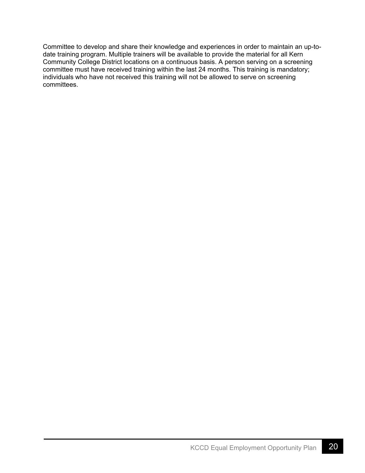Committee to develop and share their knowledge and experiences in order to maintain an up-todate training program. Multiple trainers will be available to provide the material for all Kern Community College District locations on a continuous basis. A person serving on a screening committee must have received training within the last 24 months. This training is mandatory; individuals who have not received this training will not be allowed to serve on screening committees.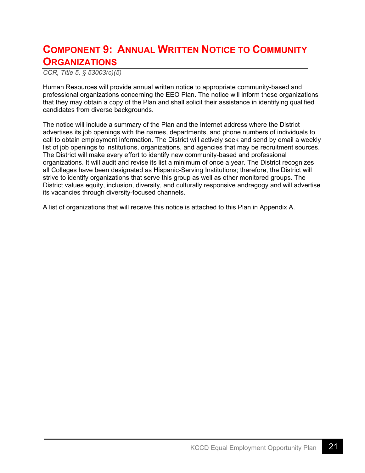### **COMPONENT 9: ANNUAL WRITTEN NOTICE TO COMMUNITY ORGANIZATIONS**

*CCR, Title 5, § 53003(c)(5)* 

Human Resources will provide annual written notice to appropriate community-based and professional organizations concerning the EEO Plan. The notice will inform these organizations that they may obtain a copy of the Plan and shall solicit their assistance in identifying qualified candidates from diverse backgrounds.

The notice will include a summary of the Plan and the Internet address where the District advertises its job openings with the names, departments, and phone numbers of individuals to call to obtain employment information. The District will actively seek and send by email a weekly list of job openings to institutions, organizations, and agencies that may be recruitment sources. The District will make every effort to identify new community-based and professional organizations. It will audit and revise its list a minimum of once a year. The District recognizes all Colleges have been designated as Hispanic-Serving Institutions; therefore, the District will strive to identify organizations that serve this group as well as other monitored groups. The District values equity, inclusion, diversity, and culturally responsive andragogy and will advertise its vacancies through diversity-focused channels.

A list of organizations that will receive this notice is attached to this Plan in Appendix A.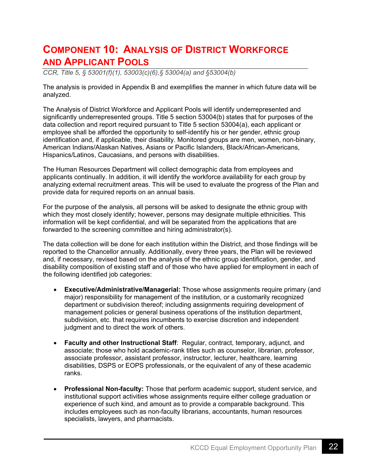### **COMPONENT 10: ANALYSIS OF DISTRICT WORKFORCE AND APPLICANT POOLS**

*CCR, Title 5, § 53001(f)(1), 53003(c)(6),§ 53004(a) and §53004(b)* 

The analysis is provided in Appendix B and exemplifies the manner in which future data will be analyzed.

The Analysis of District Workforce and Applicant Pools will identify underrepresented and significantly underrepresented groups. Title 5 section 53004(b) states that for purposes of the data collection and report required pursuant to Title 5 section 53004(a), each applicant or employee shall be afforded the opportunity to self-identify his or her gender, ethnic group identification and, if applicable, their disability. Monitored groups are men, women, non-binary, American Indians/Alaskan Natives, Asians or Pacific Islanders, Black/African-Americans, Hispanics/Latinos, Caucasians, and persons with disabilities.

The Human Resources Department will collect demographic data from employees and applicants continually. In addition, it will identify the workforce availability for each group by analyzing external recruitment areas. This will be used to evaluate the progress of the Plan and provide data for required reports on an annual basis.

For the purpose of the analysis, all persons will be asked to designate the ethnic group with which they most closely identify; however, persons may designate multiple ethnicities. This information will be kept confidential, and will be separated from the applications that are forwarded to the screening committee and hiring administrator(s).

The data collection will be done for each institution within the District, and those findings will be reported to the Chancellor annually. Additionally, every three years, the Plan will be reviewed and, if necessary, revised based on the analysis of the ethnic group identification, gender, and disability composition of existing staff and of those who have applied for employment in each of the following identified job categories:

- **Executive/Administrative/Managerial:** Those whose assignments require primary (and major) responsibility for management of the institution, or a customarily recognized department or subdivision thereof; including assignments requiring development of management policies or general business operations of the institution department, subdivision, etc. that requires incumbents to exercise discretion and independent judgment and to direct the work of others.
- **Faculty and other Instructional Staff**: Regular, contract, temporary, adjunct, and associate; those who hold academic-rank titles such as counselor, librarian, professor, associate professor, assistant professor, instructor, lecturer, healthcare, learning disabilities, DSPS or EOPS professionals, or the equivalent of any of these academic ranks.
- **Professional Non-faculty:** Those that perform academic support, student service, and institutional support activities whose assignments require either college graduation or experience of such kind, and amount as to provide a comparable background. This includes employees such as non-faculty librarians, accountants, human resources specialists, lawyers, and pharmacists.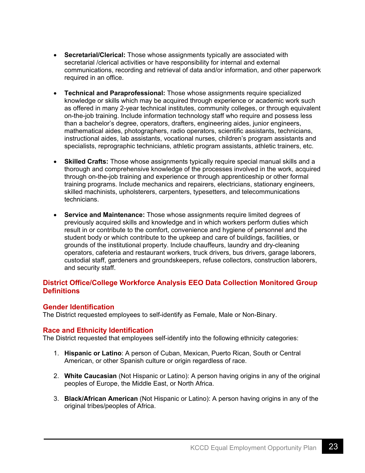- **Secretarial/Clerical:** Those whose assignments typically are associated with secretarial /clerical activities or have responsibility for internal and external communications, recording and retrieval of data and/or information, and other paperwork required in an office.
- **Technical and Paraprofessional:** Those whose assignments require specialized knowledge or skills which may be acquired through experience or academic work such as offered in many 2-year technical institutes, community colleges, or through equivalent on-the-job training. Include information technology staff who require and possess less than a bachelor's degree, operators, drafters, engineering aides, junior engineers, mathematical aides, photographers, radio operators, scientific assistants, technicians, instructional aides, lab assistants, vocational nurses, children's program assistants and specialists, reprographic technicians, athletic program assistants, athletic trainers, etc.
- **Skilled Crafts:** Those whose assignments typically require special manual skills and a thorough and comprehensive knowledge of the processes involved in the work, acquired through on-the-job training and experience or through apprenticeship or other formal training programs. Include mechanics and repairers, electricians, stationary engineers, skilled machinists, upholsterers, carpenters, typesetters, and telecommunications technicians.
- **Service and Maintenance:** Those whose assignments require limited degrees of previously acquired skills and knowledge and in which workers perform duties which result in or contribute to the comfort, convenience and hygiene of personnel and the student body or which contribute to the upkeep and care of buildings, facilities, or grounds of the institutional property. Include chauffeurs, laundry and dry-cleaning operators, cafeteria and restaurant workers, truck drivers, bus drivers, garage laborers, custodial staff, gardeners and groundskeepers, refuse collectors, construction laborers, and security staff.

#### **District Office/College Workforce Analysis EEO Data Collection Monitored Group Definitions**

#### **Gender Identification**

The District requested employees to self-identify as Female, Male or Non-Binary.

#### **Race and Ethnicity Identification**

The District requested that employees self-identify into the following ethnicity categories:

- 1. **Hispanic or Latino**: A person of Cuban, Mexican, Puerto Rican, South or Central American, or other Spanish culture or origin regardless of race.
- 2. **White Caucasian** (Not Hispanic or Latino): A person having origins in any of the original peoples of Europe, the Middle East, or North Africa.
- 3. **Black/African American** (Not Hispanic or Latino): A person having origins in any of the original tribes/peoples of Africa.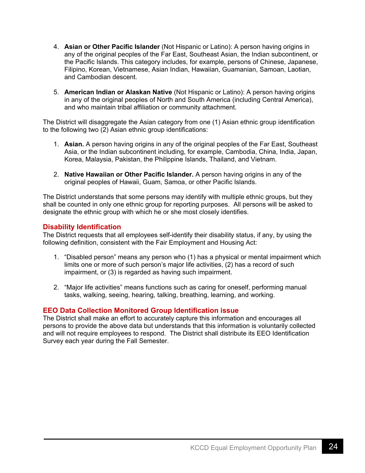- 4. **Asian or Other Pacific Islander** (Not Hispanic or Latino): A person having origins in any of the original peoples of the Far East, Southeast Asian, the Indian subcontinent, or the Pacific Islands. This category includes, for example, persons of Chinese, Japanese, Filipino, Korean, Vietnamese, Asian Indian, Hawaiian, Guamanian, Samoan, Laotian, and Cambodian descent.
- 5. **American Indian or Alaskan Native** (Not Hispanic or Latino): A person having origins in any of the original peoples of North and South America (including Central America), and who maintain tribal affiliation or community attachment.

The District will disaggregate the Asian category from one (1) Asian ethnic group identification to the following two (2) Asian ethnic group identifications:

- 1. **Asian.** A person having origins in any of the original peoples of the Far East, Southeast Asia, or the Indian subcontinent including, for example, Cambodia, China, India, Japan, Korea, Malaysia, Pakistan, the Philippine Islands, Thailand, and Vietnam.
- 2. **Native Hawaiian or Other Pacific Islander.** A person having origins in any of the original peoples of Hawaii, Guam, Samoa, or other Pacific Islands.

The District understands that some persons may identify with multiple ethnic groups, but they shall be counted in only one ethnic group for reporting purposes. All persons will be asked to designate the ethnic group with which he or she most closely identifies.

#### **Disability Identification**

The District requests that all employees self-identify their disability status, if any, by using the following definition, consistent with the Fair Employment and Housing Act:

- 1. "Disabled person" means any person who (1) has a physical or mental impairment which limits one or more of such person's major life activities, (2) has a record of such impairment, or (3) is regarded as having such impairment.
- 2. "Major life activities" means functions such as caring for oneself, performing manual tasks, walking, seeing, hearing, talking, breathing, learning, and working.

#### **EEO Data Collection Monitored Group Identification issue**

The District shall make an effort to accurately capture this information and encourages all persons to provide the above data but understands that this information is voluntarily collected and will not require employees to respond. The District shall distribute its EEO Identification Survey each year during the Fall Semester.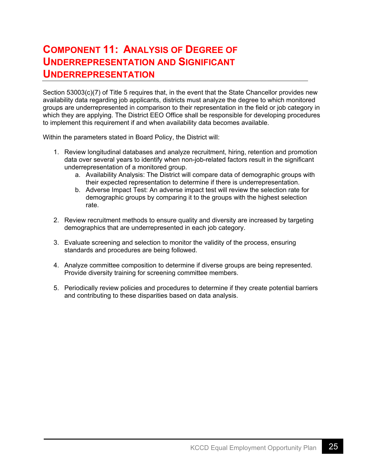### **COMPONENT 11: ANALYSIS OF DEGREE OF UNDERREPRESENTATION AND SIGNIFICANT UNDERREPRESENTATION**

Section 53003(c)(7) of Title 5 requires that, in the event that the State Chancellor provides new availability data regarding job applicants, districts must analyze the degree to which monitored groups are underrepresented in comparison to their representation in the field or job category in which they are applying. The District EEO Office shall be responsible for developing procedures to implement this requirement if and when availability data becomes available.

Within the parameters stated in Board Policy, the District will:

- 1. Review longitudinal databases and analyze recruitment, hiring, retention and promotion data over several years to identify when non-job-related factors result in the significant underrepresentation of a monitored group.
	- a. Availability Analysis: The District will compare data of demographic groups with their expected representation to determine if there is underrepresentation.
	- b. Adverse Impact Test: An adverse impact test will review the selection rate for demographic groups by comparing it to the groups with the highest selection rate.
- 2. Review recruitment methods to ensure quality and diversity are increased by targeting demographics that are underrepresented in each job category.
- 3. Evaluate screening and selection to monitor the validity of the process, ensuring standards and procedures are being followed.
- 4. Analyze committee composition to determine if diverse groups are being represented. Provide diversity training for screening committee members.
- 5. Periodically review policies and procedures to determine if they create potential barriers and contributing to these disparities based on data analysis.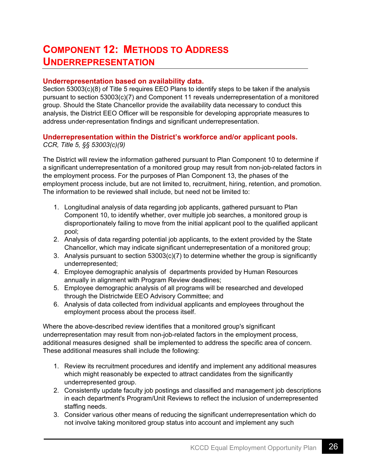### **COMPONENT 12: METHODS TO ADDRESS UNDERREPRESENTATION**

#### **Underrepresentation based on availability data.**

Section 53003(c)(8) of Title 5 requires EEO Plans to identify steps to be taken if the analysis pursuant to section 53003(c)(7) and Component 11 reveals underrepresentation of a monitored group. Should the State Chancellor provide the availability data necessary to conduct this analysis, the District EEO Officer will be responsible for developing appropriate measures to address under-representation findings and significant underrepresentation.

#### **Underrepresentation within the District's workforce and/or applicant pools.**  *CCR, Title 5, §§ 53003(c)(9)*

The District will review the information gathered pursuant to Plan Component 10 to determine if a significant underrepresentation of a monitored group may result from non-job-related factors in the employment process. For the purposes of Plan Component 13, the phases of the employment process include, but are not limited to, recruitment, hiring, retention, and promotion. The information to be reviewed shall include, but need not be limited to:

- 1. Longitudinal analysis of data regarding job applicants, gathered pursuant to Plan Component 10, to identify whether, over multiple job searches, a monitored group is disproportionately failing to move from the initial applicant pool to the qualified applicant pool;
- 2. Analysis of data regarding potential job applicants, to the extent provided by the State Chancellor, which may indicate significant underrepresentation of a monitored group;
- 3. Analysis pursuant to section 53003(c)(7) to determine whether the group is significantly underrepresented;
- 4. Employee demographic analysis of departments provided by Human Resources annually in alignment with Program Review deadlines;
- 5. Employee demographic analysis of all programs will be researched and developed through the Districtwide EEO Advisory Committee; and
- 6. Analysis of data collected from individual applicants and employees throughout the employment process about the process itself.

Where the above-described review identifies that a monitored group's significant underrepresentation may result from non-job-related factors in the employment process, additional measures designed shall be implemented to address the specific area of concern. These additional measures shall include the following:

- 1. Review its recruitment procedures and identify and implement any additional measures which might reasonably be expected to attract candidates from the significantly underrepresented group.
- 2. Consistently update faculty job postings and classified and management job descriptions in each department's Program/Unit Reviews to reflect the inclusion of underrepresented staffing needs.
- 3. Consider various other means of reducing the significant underrepresentation which do not involve taking monitored group status into account and implement any such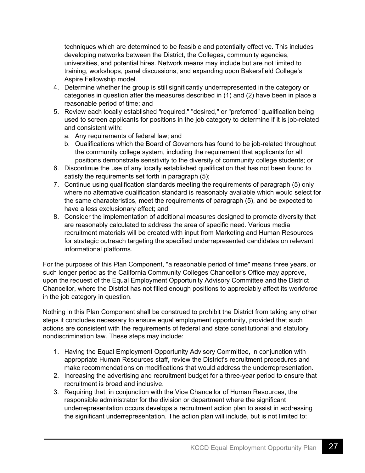techniques which are determined to be feasible and potentially effective. This includes developing networks between the District, the Colleges, community agencies, universities, and potential hires. Network means may include but are not limited to training, workshops, panel discussions, and expanding upon Bakersfield College's Aspire Fellowship model.

- 4. Determine whether the group is still significantly underrepresented in the category or categories in question after the measures described in (1) and (2) have been in place a reasonable period of time; and
- 5. Review each locally established "required," "desired," or "preferred" qualification being used to screen applicants for positions in the job category to determine if it is job-related and consistent with:
	- a. Any requirements of federal law; and
	- b. Qualifications which the Board of Governors has found to be job-related throughout the community college system, including the requirement that applicants for all positions demonstrate sensitivity to the diversity of community college students; or
- 6. Discontinue the use of any locally established qualification that has not been found to satisfy the requirements set forth in paragraph (5);
- 7. Continue using qualification standards meeting the requirements of paragraph (5) only where no alternative qualification standard is reasonably available which would select for the same characteristics, meet the requirements of paragraph (5), and be expected to have a less exclusionary effect; and
- 8. Consider the implementation of additional measures designed to promote diversity that are reasonably calculated to address the area of specific need. Various media recruitment materials will be created with input from Marketing and Human Resources for strategic outreach targeting the specified underrepresented candidates on relevant informational platforms.

For the purposes of this Plan Component, "a reasonable period of time" means three years, or such longer period as the California Community Colleges Chancellor's Office may approve, upon the request of the Equal Employment Opportunity Advisory Committee and the District Chancellor, where the District has not filled enough positions to appreciably affect its workforce in the job category in question.

Nothing in this Plan Component shall be construed to prohibit the District from taking any other steps it concludes necessary to ensure equal employment opportunity, provided that such actions are consistent with the requirements of federal and state constitutional and statutory nondiscrimination law. These steps may include:

- 1. Having the Equal Employment Opportunity Advisory Committee, in conjunction with appropriate Human Resources staff, review the District's recruitment procedures and make recommendations on modifications that would address the underrepresentation.
- 2. Increasing the advertising and recruitment budget for a three-year period to ensure that recruitment is broad and inclusive.
- 3. Requiring that, in conjunction with the Vice Chancellor of Human Resources, the responsible administrator for the division or department where the significant underrepresentation occurs develops a recruitment action plan to assist in addressing the significant underrepresentation. The action plan will include, but is not limited to: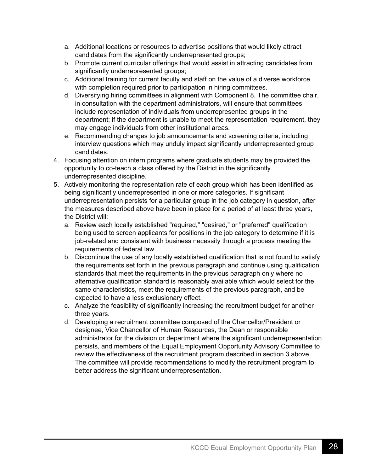- a. Additional locations or resources to advertise positions that would likely attract candidates from the significantly underrepresented groups;
- b. Promote current curricular offerings that would assist in attracting candidates from significantly underrepresented groups;
- c. Additional training for current faculty and staff on the value of a diverse workforce with completion required prior to participation in hiring committees.
- d. Diversifying hiring committees in alignment with Component 8. The committee chair, in consultation with the department administrators, will ensure that committees include representation of individuals from underrepresented groups in the department; if the department is unable to meet the representation requirement, they may engage individuals from other institutional areas.
- e. Recommending changes to job announcements and screening criteria, including interview questions which may unduly impact significantly underrepresented group candidates.
- 4. Focusing attention on intern programs where graduate students may be provided the opportunity to co-teach a class offered by the District in the significantly underrepresented discipline.
- 5. Actively monitoring the representation rate of each group which has been identified as being significantly underrepresented in one or more categories. If significant underrepresentation persists for a particular group in the job category in question, after the measures described above have been in place for a period of at least three years, the District will:
	- a. Review each locally established "required," "desired," or "preferred" qualification being used to screen applicants for positions in the job category to determine if it is job-related and consistent with business necessity through a process meeting the requirements of federal law.
	- b. Discontinue the use of any locally established qualification that is not found to satisfy the requirements set forth in the previous paragraph and continue using qualification standards that meet the requirements in the previous paragraph only where no alternative qualification standard is reasonably available which would select for the same characteristics, meet the requirements of the previous paragraph, and be expected to have a less exclusionary effect.
	- c. Analyze the feasibility of significantly increasing the recruitment budget for another three years.
	- d. Developing a recruitment committee composed of the Chancellor/President or designee, Vice Chancellor of Human Resources, the Dean or responsible administrator for the division or department where the significant underrepresentation persists, and members of the Equal Employment Opportunity Advisory Committee to review the effectiveness of the recruitment program described in section 3 above. The committee will provide recommendations to modify the recruitment program to better address the significant underrepresentation.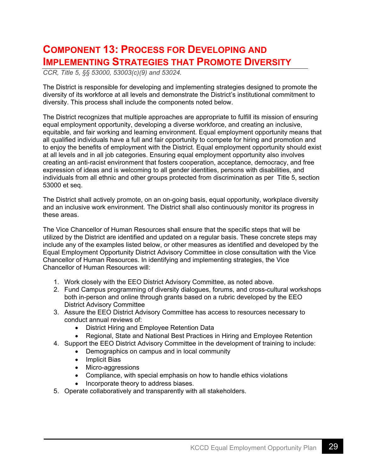### **COMPONENT 13: PROCESS FOR DEVELOPING AND IMPLEMENTING STRATEGIES THAT PROMOTE DIVERSITY**

*CCR, Title 5, §§ 53000, 53003(c)(9) and 53024.* 

The District is responsible for developing and implementing strategies designed to promote the diversity of its workforce at all levels and demonstrate the District's institutional commitment to diversity. This process shall include the components noted below.

The District recognizes that multiple approaches are appropriate to fulfill its mission of ensuring equal employment opportunity, developing a diverse workforce, and creating an inclusive, equitable, and fair working and learning environment. Equal employment opportunity means that all qualified individuals have a full and fair opportunity to compete for hiring and promotion and to enjoy the benefits of employment with the District. Equal employment opportunity should exist at all levels and in all job categories. Ensuring equal employment opportunity also involves creating an anti-racist environment that fosters cooperation, acceptance, democracy, and free expression of ideas and is welcoming to all gender identities, persons with disabilities, and individuals from all ethnic and other groups protected from discrimination as per Title 5, section 53000 et seq.

The District shall actively promote, on an on-going basis, equal opportunity, workplace diversity and an inclusive work environment. The District shall also continuously monitor its progress in these areas.

The Vice Chancellor of Human Resources shall ensure that the specific steps that will be utilized by the District are identified and updated on a regular basis. These concrete steps may include any of the examples listed below, or other measures as identified and developed by the Equal Employment Opportunity District Advisory Committee in close consultation with the Vice Chancellor of Human Resources. In identifying and implementing strategies, the Vice Chancellor of Human Resources will:

- 1. Work closely with the EEO District Advisory Committee, as noted above.
- 2. Fund Campus programming of diversity dialogues, forums, and cross-cultural workshops both in-person and online through grants based on a rubric developed by the EEO District Advisory Committee
- 3. Assure the EEO District Advisory Committee has access to resources necessary to conduct annual reviews of:
	- District Hiring and Employee Retention Data
	- Regional, State and National Best Practices in Hiring and Employee Retention
- 4. Support the EEO District Advisory Committee in the development of training to include:
	- Demographics on campus and in local community
		- Implicit Bias
		- Micro-aggressions
		- Compliance, with special emphasis on how to handle ethics violations
		- Incorporate theory to address biases.
- 5. Operate collaboratively and transparently with all stakeholders.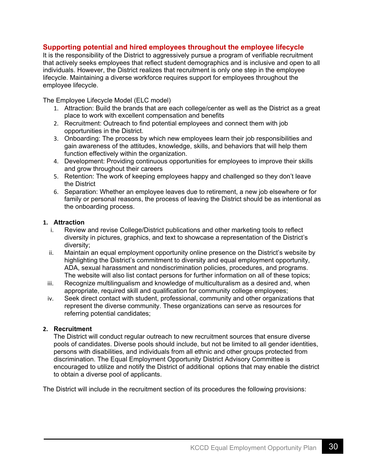#### **Supporting potential and hired employees throughout the employee lifecycle**

It is the responsibility of the District to aggressively pursue a program of verifiable recruitment that actively seeks employees that reflect student demographics and is inclusive and open to all individuals. However, the District realizes that recruitment is only one step in the employee lifecycle. Maintaining a diverse workforce requires support for employees throughout the employee lifecycle.

The Employee Lifecycle Model (ELC model)

- 1. Attraction: Build the brands that are each college/center as well as the District as a great place to work with excellent compensation and benefits
- 2. Recruitment: Outreach to find potential employees and connect them with job opportunities in the District.
- 3. Onboarding: The process by which new employees learn their job responsibilities and gain awareness of the attitudes, knowledge, skills, and behaviors that will help them function effectively within the organization.
- 4. Development: Providing continuous opportunities for employees to improve their skills and grow throughout their careers
- 5. Retention: The work of keeping employees happy and challenged so they don't leave the District
- 6. Separation: Whether an employee leaves due to retirement, a new job elsewhere or for family or personal reasons, the process of leaving the District should be as intentional as the onboarding process.

#### **1. Attraction**

- i. Review and revise College/District publications and other marketing tools to reflect diversity in pictures, graphics, and text to showcase a representation of the District's diversity;
- ii. Maintain an equal employment opportunity online presence on the District's website by highlighting the District's commitment to diversity and equal employment opportunity, ADA, sexual harassment and nondiscrimination policies, procedures, and programs. The website will also list contact persons for further information on all of these topics;
- iii. Recognize multilingualism and knowledge of multiculturalism as a desired and, when appropriate, required skill and qualification for community college employees;
- iv. Seek direct contact with student, professional, community and other organizations that represent the diverse community. These organizations can serve as resources for referring potential candidates;

#### **2. Recruitment**

The District will conduct regular outreach to new recruitment sources that ensure diverse pools of candidates. Diverse pools should include, but not be limited to all gender identities, persons with disabilities, and individuals from all ethnic and other groups protected from discrimination. The Equal Employment Opportunity District Advisory Committee is encouraged to utilize and notify the District of additional options that may enable the district to obtain a diverse pool of applicants.

The District will include in the recruitment section of its procedures the following provisions: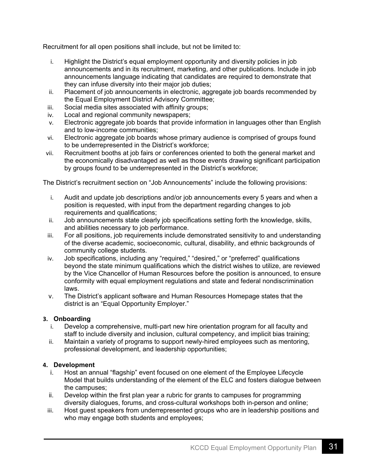Recruitment for all open positions shall include, but not be limited to:

- i. Highlight the District's equal employment opportunity and diversity policies in job announcements and in its recruitment, marketing, and other publications. Include in job announcements language indicating that candidates are required to demonstrate that they can infuse diversity into their major job duties;
- ii. Placement of job announcements in electronic, aggregate job boards recommended by the Equal Employment District Advisory Committee;
- iii. Social media sites associated with affinity groups;
- iv. Local and regional community newspapers;
- v. Electronic aggregate job boards that provide information in languages other than English and to low-income communities;
- vi. Electronic aggregate job boards whose primary audience is comprised of groups found to be underrepresented in the District's workforce;
- vii. Recruitment booths at job fairs or conferences oriented to both the general market and the economically disadvantaged as well as those events drawing significant participation by groups found to be underrepresented in the District's workforce;

The District's recruitment section on "Job Announcements" include the following provisions:

- i. Audit and update job descriptions and/or job announcements every 5 years and when a position is requested, with input from the department regarding changes to job requirements and qualifications;
- ii. Job announcements state clearly job specifications setting forth the knowledge, skills, and abilities necessary to job performance.
- iii. For all positions, job requirements include demonstrated sensitivity to and understanding of the diverse academic, socioeconomic, cultural, disability, and ethnic backgrounds of community college students.
- iv. Job specifications, including any "required," "desired," or "preferred" qualifications beyond the state minimum qualifications which the district wishes to utilize, are reviewed by the Vice Chancellor of Human Resources before the position is announced, to ensure conformity with equal employment regulations and state and federal nondiscrimination laws.
- v. The District's applicant software and Human Resources Homepage states that the district is an "Equal Opportunity Employer."

#### **3. Onboarding**

- i. Develop a comprehensive, multi-part new hire orientation program for all faculty and staff to include diversity and inclusion, cultural competency, and implicit bias training;
- ii. Maintain a variety of programs to support newly-hired employees such as mentoring, professional development, and leadership opportunities;

#### **4. Development**

- i. Host an annual "flagship" event focused on one element of the Employee Lifecycle Model that builds understanding of the element of the ELC and fosters dialogue between the campuses;
- ii. Develop within the first plan year a rubric for grants to campuses for programming diversity dialogues, forums, and cross-cultural workshops both in-person and online;
- iii. Host guest speakers from underrepresented groups who are in leadership positions and who may engage both students and employees;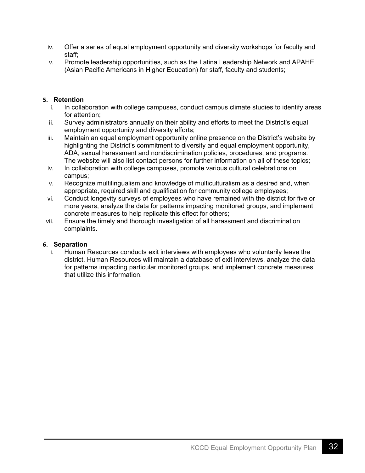- iv. Offer a series of equal employment opportunity and diversity workshops for faculty and staff;
- v. Promote leadership opportunities, such as the Latina Leadership Network and APAHE (Asian Pacific Americans in Higher Education) for staff, faculty and students;

#### **5. Retention**

- i. In collaboration with college campuses, conduct campus climate studies to identify areas for attention;
- ii. Survey administrators annually on their ability and efforts to meet the District's equal employment opportunity and diversity efforts;
- iii. Maintain an equal employment opportunity online presence on the District's website by highlighting the District's commitment to diversity and equal employment opportunity, ADA, sexual harassment and nondiscrimination policies, procedures, and programs. The website will also list contact persons for further information on all of these topics;
- iv. In collaboration with college campuses, promote various cultural celebrations on campus;
- v. Recognize multilingualism and knowledge of multiculturalism as a desired and, when appropriate, required skill and qualification for community college employees;
- vi. Conduct longevity surveys of employees who have remained with the district for five or more years, analyze the data for patterns impacting monitored groups, and implement concrete measures to help replicate this effect for others;
- vii. Ensure the timely and thorough investigation of all harassment and discrimination complaints.

#### **6. Separation**

i. Human Resources conducts exit interviews with employees who voluntarily leave the district. Human Resources will maintain a database of exit interviews, analyze the data for patterns impacting particular monitored groups, and implement concrete measures that utilize this information.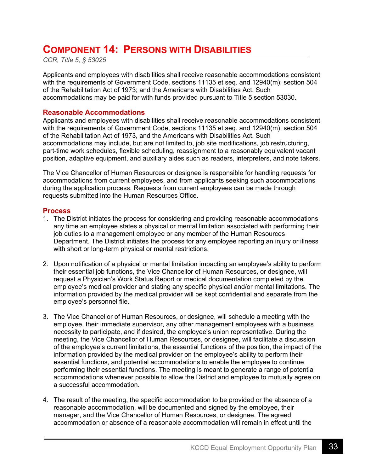### **COMPONENT 14: PERSONS WITH DISABILITIES**

*CCR, Title 5, § 53025* 

Applicants and employees with disabilities shall receive reasonable accommodations consistent with the requirements of Government Code, sections 11135 et seq. and 12940(m); section 504 of the Rehabilitation Act of 1973; and the Americans with Disabilities Act. Such accommodations may be paid for with funds provided pursuant to Title 5 section 53030.

#### **Reasonable Accommodations**

Applicants and employees with disabilities shall receive reasonable accommodations consistent with the requirements of Government Code, sections 11135 et seq. and 12940(m), section 504 of the Rehabilitation Act of 1973, and the Americans with Disabilities Act. Such accommodations may include, but are not limited to, job site modifications, job restructuring, part-time work schedules, flexible scheduling, reassignment to a reasonably equivalent vacant position, adaptive equipment, and auxiliary aides such as readers, interpreters, and note takers.

The Vice Chancellor of Human Resources or designee is responsible for handling requests for accommodations from current employees, and from applicants seeking such accommodations during the application process. Requests from current employees can be made through requests submitted into the Human Resources Office.

#### **Process**

- 1. The District initiates the process for considering and providing reasonable accommodations any time an employee states a physical or mental limitation associated with performing their job duties to a management employee or any member of the Human Resources Department. The District initiates the process for any employee reporting an injury or illness with short or long-term physical or mental restrictions.
- 2. Upon notification of a physical or mental limitation impacting an employee's ability to perform their essential job functions, the Vice Chancellor of Human Resources, or designee, will request a Physician's Work Status Report or medical documentation completed by the employee's medical provider and stating any specific physical and/or mental limitations. The information provided by the medical provider will be kept confidential and separate from the employee's personnel file.
- 3. The Vice Chancellor of Human Resources, or designee, will schedule a meeting with the employee, their immediate supervisor, any other management employees with a business necessity to participate, and if desired, the employee's union representative. During the meeting, the Vice Chancellor of Human Resources, or designee, will facilitate a discussion of the employee's current limitations, the essential functions of the position, the impact of the information provided by the medical provider on the employee's ability to perform their essential functions, and potential accommodations to enable the employee to continue performing their essential functions. The meeting is meant to generate a range of potential accommodations whenever possible to allow the District and employee to mutually agree on a successful accommodation.
- 4. The result of the meeting, the specific accommodation to be provided or the absence of a reasonable accommodation, will be documented and signed by the employee, their manager, and the Vice Chancellor of Human Resources, or designee. The agreed accommodation or absence of a reasonable accommodation will remain in effect until the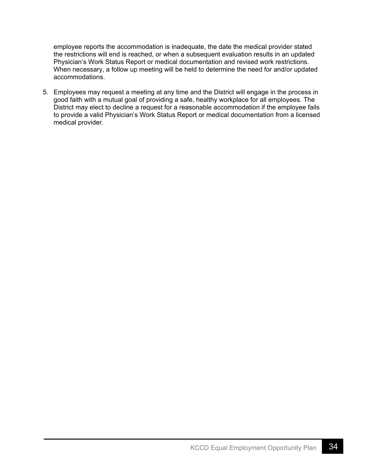employee reports the accommodation is inadequate, the date the medical provider stated the restrictions will end is reached, or when a subsequent evaluation results in an updated Physician's Work Status Report or medical documentation and revised work restrictions. When necessary, a follow up meeting will be held to determine the need for and/or updated accommodations.

5. Employees may request a meeting at any time and the District will engage in the process in good faith with a mutual goal of providing a safe, healthy workplace for all employees. The District may elect to decline a request for a reasonable accommodation if the employee fails to provide a valid Physician's Work Status Report or medical documentation from a licensed medical provider.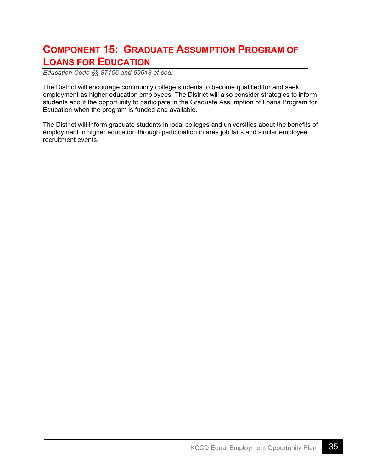### **COMPONENT 15: GRADUATE ASSUMPTION PROGRAM OF LOANS FOR EDUCATION**

*Education Code §§ 87106 and 69618 et seq.* 

The District will encourage community college students to become qualified for and seek employment as higher education employees. The District will also consider strategies to inform students about the opportunity to participate in the Graduate Assumption of Loans Program for Education when the program is funded and available.

The District will inform graduate students in local colleges and universities about the benefits of employment in higher education through participation in area job fairs and similar employee recruitment events.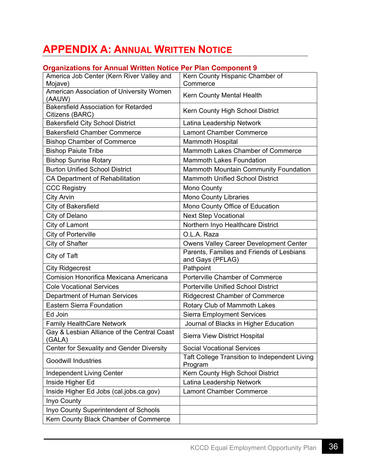### **APPENDIX A: ANNUAL WRITTEN NOTICE**

| America Job Center (Kern River Valley and                      | Kern County Hispanic Chamber of                                 |
|----------------------------------------------------------------|-----------------------------------------------------------------|
| Mojave)                                                        | Commerce                                                        |
| American Association of University Women<br>(AAUW)             | Kern County Mental Health                                       |
| <b>Bakersfield Association for Retarded</b><br>Citizens (BARC) | Kern County High School District                                |
| <b>Bakersfield City School District</b>                        | Latina Leadership Network                                       |
| <b>Bakersfield Chamber Commerce</b>                            | <b>Lamont Chamber Commerce</b>                                  |
| <b>Bishop Chamber of Commerce</b>                              | <b>Mammoth Hospital</b>                                         |
| <b>Bishop Paiute Tribe</b>                                     | Mammoth Lakes Chamber of Commerce                               |
| <b>Bishop Sunrise Rotary</b>                                   | <b>Mammoth Lakes Foundation</b>                                 |
| <b>Burton Unified School District</b>                          | Mammoth Mountain Community Foundation                           |
| <b>CA Department of Rehabilitation</b>                         | <b>Mammoth Unified School District</b>                          |
| <b>CCC Registry</b>                                            | <b>Mono County</b>                                              |
| <b>City Arvin</b>                                              | <b>Mono County Libraries</b>                                    |
| City of Bakersfield                                            | Mono County Office of Education                                 |
| City of Delano                                                 | <b>Next Step Vocational</b>                                     |
| City of Lamont                                                 | Northern Inyo Healthcare District                               |
| City of Porterville                                            | O.L.A. Raza                                                     |
| City of Shafter                                                | Owens Valley Career Development Center                          |
| City of Taft                                                   | Parents, Families and Friends of Lesbians<br>and Gays (PFLAG)   |
| <b>City Ridgecrest</b>                                         | Pathpoint                                                       |
| Comision Honorifica Mexicana Americana                         | <b>Porterville Chamber of Commerce</b>                          |
| <b>Cole Vocational Services</b>                                | <b>Porterville Unified School District</b>                      |
| Department of Human Services                                   | <b>Ridgecrest Chamber of Commerce</b>                           |
| <b>Eastern Sierra Foundation</b>                               | Rotary Club of Mammoth Lakes                                    |
| Ed Join                                                        | <b>Sierra Employment Services</b>                               |
| <b>Family HealthCare Network</b>                               | Journal of Blacks in Higher Education                           |
| Gay & Lesbian Alliance of the Central Coast<br>(GALA)          | Sierra View District Hospital                                   |
| Center for Sexuality and Gender Diversity                      | <b>Social Vocational Services</b>                               |
| <b>Goodwill Industries</b>                                     | <b>Taft College Transition to Independent Living</b><br>Program |
| <b>Independent Living Center</b>                               | Kern County High School District                                |
| Inside Higher Ed                                               | Latina Leadership Network                                       |
| Inside Higher Ed Jobs (cal.jobs.ca.gov)                        | <b>Lamont Chamber Commerce</b>                                  |
| Inyo County                                                    |                                                                 |
| Inyo County Superintendent of Schools                          |                                                                 |
| Kern County Black Chamber of Commerce                          |                                                                 |

#### **Organizations for Annual Written Notice Per Plan Component 9**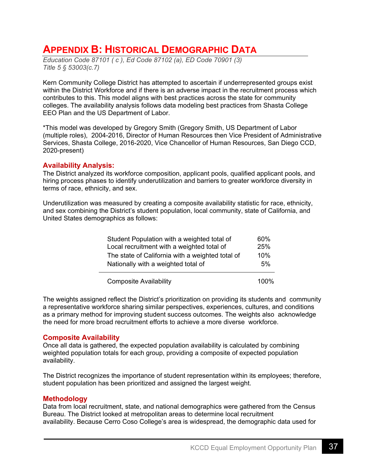### **APPENDIX B: HISTORICAL DEMOGRAPHIC DATA**

*Education Code 87101 ( c ), Ed Code 87102 (a), ED Code 70901 (3) Title 5 § 53003(c.7)*

Kern Community College District has attempted to ascertain if underrepresented groups exist within the District Workforce and if there is an adverse impact in the recruitment process which contributes to this. This model aligns with best practices across the state for community colleges. The availability analysis follows data modeling best practices from Shasta College EEO Plan and the US Department of Labor.

\*This model was developed by Gregory Smith (Gregory Smith, US Department of Labor (multiple roles), 2004-2016, Director of Human Resources then Vice President of Administrative Services, Shasta College, 2016-2020, Vice Chancellor of Human Resources, San Diego CCD, 2020-present)

#### **Availability Analysis:**

The District analyzed its workforce composition, applicant pools, qualified applicant pools, and hiring process phases to identify underutilization and barriers to greater workforce diversity in terms of race, ethnicity, and sex.

Underutilization was measured by creating a composite availability statistic for race, ethnicity, and sex combining the District's student population, local community, state of California, and United States demographics as follows:

| <b>Composite Availability</b>                    | 100% |
|--------------------------------------------------|------|
| Nationally with a weighted total of              | 5%   |
| The state of California with a weighted total of | 10%  |
| Local recruitment with a weighted total of       | 25%  |
| Student Population with a weighted total of      | 60%  |

The weights assigned reflect the District's prioritization on providing its students and community a representative workforce sharing similar perspectives, experiences, cultures, and conditions as a primary method for improving student success outcomes. The weights also acknowledge the need for more broad recruitment efforts to achieve a more diverse workforce.

#### **Composite Availability**

Once all data is gathered, the expected population availability is calculated by combining weighted population totals for each group, providing a composite of expected population availability.

The District recognizes the importance of student representation within its employees; therefore, student population has been prioritized and assigned the largest weight.

#### **Methodology**

Data from local recruitment, state, and national demographics were gathered from the Census Bureau. The District looked at metropolitan areas to determine local recruitment availability. Because Cerro Coso College's area is widespread, the demographic data used for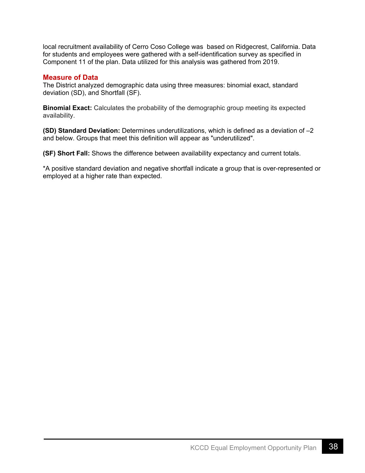local recruitment availability of Cerro Coso College was based on Ridgecrest, California. Data for students and employees were gathered with a self-identification survey as specified in Component 11 of the plan. Data utilized for this analysis was gathered from 2019.

#### **Measure of Data**

The District analyzed demographic data using three measures: binomial exact, standard deviation (SD), and Shortfall (SF).

**Binomial Exact:** Calculates the probability of the demographic group meeting its expected availability.

**(SD) Standard Deviation:** Determines underutilizations, which is defined as a deviation of –2 and below. Groups that meet this definition will appear as "underutilized".

**(SF) Short Fall:** Shows the difference between availability expectancy and current totals.

\*A positive standard deviation and negative shortfall indicate a group that is over-represented or employed at a higher rate than expected.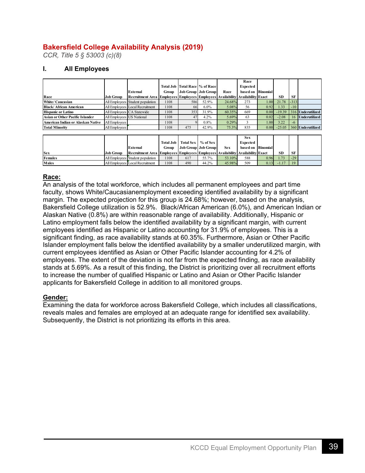#### **Bakersfield College Availability Analysis (2019)**

*CCR, Title 5 § 53003 (c)(8)*

#### **I. All Employees**

|                                   |                           |                                                                                                   |                  |                  | Total Job Total Race \% of Race |            | Race<br><b>Expected</b> |                 |           |           |                            |
|-----------------------------------|---------------------------|---------------------------------------------------------------------------------------------------|------------------|------------------|---------------------------------|------------|-------------------------|-----------------|-----------|-----------|----------------------------|
| Race                              | Job Group                 | External<br><b>Recruitment Area Employees Employees Employees Availability Availability Exact</b> | Group            |                  | Job Group   Job Group           | Race       | based on                | <b>Binomial</b> | <b>SD</b> | <b>SF</b> |                            |
|                                   |                           |                                                                                                   |                  |                  |                                 |            |                         |                 |           |           |                            |
| White/ Caucasian                  |                           | All Employees Student population                                                                  | 1108             | 586              | 52.9%                           | 24.68%     | 273                     | 1.00            | 21.78     | $-313$    |                            |
| Black/African American            |                           | All Employees Local Recruitment                                                                   | 1108             | 66               | $6.0\%$                         | 5.08%      | 56                      | 0.92            | 1.33      | $-10$     |                            |
| <b>Hispanic or Latino</b>         |                           | All Employees CA Statewide                                                                        | 1108             | 353              | 31.9%                           | 60.35%     | 669                     | 0.00            | $-19.39$  |           | 316 Underutilized          |
| Asian or Other Pacific Islander   | All Employees US National |                                                                                                   | 1108             | 47               | 4.2%                            | 5.69%      | 63                      | 0.02            | $-2.08$   | 16        | <b>Underutilized</b>       |
| American Indian or Alaskan Native | All Employees             |                                                                                                   | 1108             | 9                | 0.8%                            | 0.29%      | 3                       | 1.00            | 3.22      | $-6$      |                            |
| <b>Total Minority</b>             | All Employees             |                                                                                                   | 1108             | 475              | 42.9%                           | 75.3%      | 835                     | 0.00            |           |           | $-25.05$ 360 Underutilized |
|                                   |                           |                                                                                                   |                  |                  |                                 |            |                         |                 |           |           |                            |
|                                   |                           |                                                                                                   |                  |                  |                                 |            | <b>Sex</b>              |                 |           |           |                            |
|                                   |                           |                                                                                                   | <b>Total Job</b> | <b>Total Sex</b> | % of Sex                        |            | <b>Expected</b>         |                 |           |           |                            |
|                                   |                           | <b>External</b>                                                                                   | Group            |                  | Job Group Job Group             | <b>Sex</b> | based on                | <b>Binomial</b> |           |           |                            |
| <b>Sex</b>                        | Job Group                 | Recruitment Area Employees Employees Employees Availability Availability Exact                    |                  |                  |                                 |            |                         |                 | <b>SD</b> | <b>SF</b> |                            |
| <b>Females</b>                    |                           | All Employees Student population                                                                  | 1108             | 617              | 55.7%                           | 53.10%     | 588                     | 0.96            | 1.73      | $-29$     |                            |
| Males                             |                           | All Employees Local Recruitment                                                                   | 1108             | 490              | 44.2%                           | 45.98%     | 509                     | 0.13            | $-1.17$   | 19        |                            |

#### **Race:**

An analysis of the total workforce, which includes all permanent employees and part time faculty, shows White/Caucasianemployment exceeding identified availability by a significant margin. The expected projection for this group is 24.68%; however, based on the analysis, Bakersfield College utilization is 52.9%. Black/African American (6.0%), and American Indian or Alaskan Native (0.8%) are within reasonable range of availability. Additionally, Hispanic or Latino employment falls below the identified availability by a significant margin, with current employees identified as Hispanic or Latino accounting for 31.9% of employees. This is a significant finding, as race availability stands at 60.35%. Furthermore, Asian or Other Pacific Islander employment falls below the identified availability by a smaller underutilized margin, with current employees identified as Asian or Other Pacific Islander accounting for 4.2% of employees. The extent of the deviation is not far from the expected finding, as race availability stands at 5.69%. As a result of this finding, the District is prioritizing over all recruitment efforts to increase the number of qualified Hispanic or Latino and Asian or Other Pacific Islander applicants for Bakersfield College in addition to all monitored groups.

#### **Gender:**

Examining the data for workforce across Bakersfield College, which includes all classifications, reveals males and females are employed at an adequate range for identified sex availability. Subsequently, the District is not prioritizing its efforts in this area.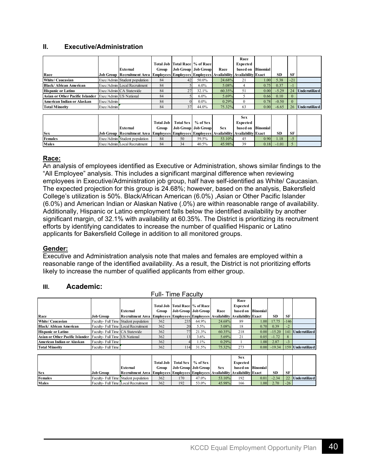#### **II. Executive/Administration**

|                                        |            |                                                                                          |       |    |                                             |        | Race              |      |         |           |                      |
|----------------------------------------|------------|------------------------------------------------------------------------------------------|-------|----|---------------------------------------------|--------|-------------------|------|---------|-----------|----------------------|
|                                        |            |                                                                                          |       |    | <b>Total Job   Total Race   % of Race  </b> |        | <b>Expected</b>   |      |         |           |                      |
|                                        |            | <b>External</b>                                                                          | Group |    | <b>Job Group</b> Job Group                  | Race   | based on Binomial |      |         |           |                      |
| Race                                   |            | Job Group Recruitment Area Employees Employees Employees Availability Availability Exact |       |    |                                             |        |                   |      | SD      | <b>SF</b> |                      |
| White/Caucasian                        |            | Exec/Admin Student population                                                            | 84    | 42 | 50.0%                                       | 24.68% | 21                | 1.00 | 5.38    | $-21$     |                      |
| <b>Black/African American</b>          |            | Exec/Admin Local Recruitment                                                             | 84    |    | $6.0\%$                                     | 5.08%  |                   | 0.75 | 0.37    | - 1       |                      |
| <b>Hispanic or Latino</b>              |            | Exec/Admin CA Statewide                                                                  | 84    | 27 | 32.1%                                       | 60.35% | 51                | 0.00 | $-5.29$ | 24        | <b>Underutilized</b> |
| <b>Asian or Other Pacific Islander</b> |            | Exec/Admin US National                                                                   | 84    |    | $6.0\%$                                     | 5.69%  |                   | 0.66 | 0.10    | $\Omega$  |                      |
| American Indian or Alaskan             | Exec/Admin |                                                                                          | 84    |    | $0.0\%$                                     | 0.29%  | 0                 | 0.78 | $-0.50$ | $\Omega$  |                      |
| <b>Total Minority</b>                  | Exec/Admin |                                                                                          | 84    | 37 | 44.0%                                       | 75.32% | 63                | 0.00 | $-6.65$ | 26        | <b>Underutilized</b> |

|            |                                                                                                               |                  |                       |          |            | <b>Sex</b>        |                   |         |           |  |
|------------|---------------------------------------------------------------------------------------------------------------|------------------|-----------------------|----------|------------|-------------------|-------------------|---------|-----------|--|
|            |                                                                                                               | <b>Total Job</b> | <b>Total Sex</b>      | % of Sex |            | Expected          |                   |         |           |  |
|            | <b>External</b>                                                                                               | Group            | Job Group   Job Group |          | <b>Sex</b> | based on Binomial |                   |         |           |  |
| <b>Sex</b> | <b>Job Group   Recruitment Area   Employees   Employees   Employees   Availability   Availability   Exact</b> |                  |                       |          |            |                   |                   | SD      | <b>SF</b> |  |
| Females    | Exec/Admin Student population                                                                                 | 84               | 50                    | 59.5%    | 53.10%     | 45                | 0.90 <sub>l</sub> | 1.18    |           |  |
| Males      | Exec/Admin Local Recruitment                                                                                  | 84               | 34                    | 40.5%    | 45.98%     | 39                | 0.18              | $-1.01$ |           |  |

#### **Race:**

An analysis of employees identified as Executive or Administration, shows similar findings to the "All Employee" analysis. This includes a significant marginal difference when reviewing employees in Executive/Administration job group, half have self-identified as White/ Caucasian. The expected projection for this group is 24.68%; however, based on the analysis, Bakersfield College's utilization is 50%. Black/African American (6.0%) ,Asian or Other Pacific Islander (6.0%) and American Indian or Alaskan Native (.0%) are within reasonable range of availability. Additionally, Hispanic or Latino employment falls below the identified availability by another significant margin, of 32.1% with availability at 60.35%. The District is prioritizing its recruitment efforts by identifying candidates to increase the number of qualified Hispanic or Latino applicants for Bakersfield College in addition to all monitored groups.

#### **Gender:**

Executive and Administration analysis note that males and females are employed within a reasonable range of the identified availability. As a result, the District is not prioritizing efforts likely to increase the number of qualified applicants from either group.

#### **III. Academic:**

| <b>Full-Time Faculty</b>        |                                 |                                                                                       |       |     |                                |        |                   |                   |               |           |                      |  |  |
|---------------------------------|---------------------------------|---------------------------------------------------------------------------------------|-------|-----|--------------------------------|--------|-------------------|-------------------|---------------|-----------|----------------------|--|--|
|                                 |                                 |                                                                                       |       |     |                                |        | Race              |                   |               |           |                      |  |  |
|                                 |                                 |                                                                                       |       |     | Total Job Total Race % of Race |        | Expected          |                   |               |           |                      |  |  |
|                                 |                                 | <b>External</b>                                                                       | Group |     | Job Group   Job Group          | Race   | based on Binomial |                   |               |           |                      |  |  |
| Race                            | <b>Job Group</b>                | <b>Recruitment Area Employees Employees Employees Availability Availability Exact</b> |       |     |                                |        |                   |                   | <b>SD</b>     | <b>SF</b> |                      |  |  |
| <b>White/Caucasian</b>          |                                 | Faculty- Full Time Student population                                                 | 362   | 235 | 64.9%                          | 24.68% | 89                | 1.001             | 17.75         | $-146$    |                      |  |  |
| Black/African American          |                                 | Faculty- Full Time Local Recruitment                                                  | 362   | 20  | 5.5%                           | 5.08%  | 18                | 0.70              | 0.39          | $-2$      |                      |  |  |
| <b>Hispanic or Latino</b>       | Faculty- Full Time CA Statewide |                                                                                       | 362   | 771 | 21.3%                          | 60.35% | 218               | 0.00 <sub>l</sub> | $-15.20$      | 141       | <b>Underutilized</b> |  |  |
| Asian or Other Pacific Islander | Faculty- Full Time US National  |                                                                                       | 362   | 13  | 3.6%                           | 5.69%  | 21                | 0.05              | $-1.72$       | 8         |                      |  |  |
| American Indian or Alaskan      | Faculty- Full Time              |                                                                                       | 362   |     | 1.1%                           | 0.29%  |                   | 1.001             | 2.87          | $-3$      |                      |  |  |
| <b>Total Minority</b>           | Faculty-Full Time               |                                                                                       | 362   | 14  | 31.5%                          | 75.32% | 273               |                   | $0.00$ -19.34 |           | 159 Underutilized    |  |  |

|                |                                      |                                                                                       |       |                                  |                     |            | Sex               |                  |           |       |               |
|----------------|--------------------------------------|---------------------------------------------------------------------------------------|-------|----------------------------------|---------------------|------------|-------------------|------------------|-----------|-------|---------------|
|                |                                      |                                                                                       |       | Total Job   Total Sex   % of Sex |                     |            | Expected          |                  |           |       |               |
|                |                                      | <b>External</b>                                                                       | Group |                                  | Job Group Job Group | <b>Sex</b> | based on Binomial |                  |           |       |               |
| <b>Sex</b>     | <b>Job Group</b>                     | <b>Recruitment Area Employees Employees Employees Availability Availability Exact</b> |       |                                  |                     |            |                   |                  | <b>SD</b> | SF    |               |
| <b>Females</b> |                                      | Faculty- Full Time Student population                                                 | 362   | 170                              | 47.0%               | 53.10%     | 192               | 0.01             | $-2.34$   |       | Underutilized |
| Males          | Faculty- Full Time Local Recruitment |                                                                                       | 362   | 192                              | 53.0%               | 45.98%     | 166               | .00 <sub>1</sub> | 2.70      | $-26$ |               |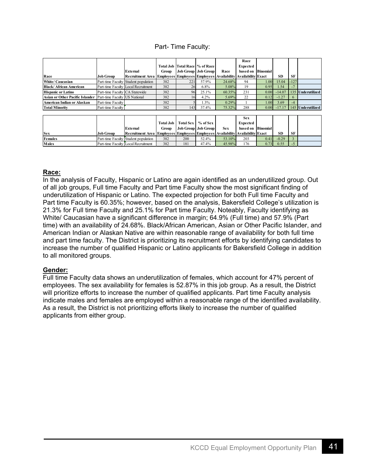#### Part- Time Faculty:

|                                 |                                |                                      |                  |                  |                                                   |                                                                      | Race                      |                   |           |           |                   |
|---------------------------------|--------------------------------|--------------------------------------|------------------|------------------|---------------------------------------------------|----------------------------------------------------------------------|---------------------------|-------------------|-----------|-----------|-------------------|
|                                 |                                |                                      |                  |                  | Total Job Total Race   % of Race                  |                                                                      | Expected                  |                   |           |           |                   |
|                                 |                                | External                             | Group            |                  | Job Group   Job Group                             | Race                                                                 | based on Binomial         |                   |           |           |                   |
| Race                            | Job Group                      | <b>Recruitment Area</b>              |                  |                  |                                                   | <b>Employees Employees Employees Availability Availability Exact</b> |                           |                   | SD.       | <b>SF</b> |                   |
| White/ Caucasian                |                                | Part-time Faculty Student population | 382              | 221              | 57.9%                                             | 24.68%                                                               | 94                        | 1.00              | 15.04     | 127       |                   |
| Black/African American          |                                | Part-time Faculty Local Recruitment  | 382              | 26               | 6.8%                                              | 5.08%                                                                | 19                        | 0.95              | 1.54      | $-7$      |                   |
| <b>Hispanic or Latino</b>       | Part-time Faculty CA Statewide |                                      | 382              | 96               | 25.1%                                             | 60.35%                                                               | 231                       | 0.00              | $-14.07$  |           | 135 Underutilized |
| Asian or Other Pacific Islander | Part-time Faculty US National  |                                      | 382              | 16               | 4.2%                                              | 5.69%                                                                | 22                        | 0.12              | $-1.27$   | 6         |                   |
| American Indian or Alaskan      | Part-time Faculty              |                                      | 382              |                  | 1.3%                                              | 0.29%                                                                |                           | 1.00              | 3.69      | $-4$      |                   |
| <b>Total Minority</b>           | Part-time Faculty              |                                      | 382              | 143              | 37.4%                                             | 75.32%                                                               | 288                       | 0.00 <sub>l</sub> | $-17.17$  |           | 145 Underutilized |
|                                 |                                |                                      |                  |                  |                                                   |                                                                      |                           |                   |           |           |                   |
|                                 |                                |                                      |                  |                  |                                                   |                                                                      | <b>Sex</b>                |                   |           |           |                   |
|                                 |                                |                                      | <b>Total Job</b> | <b>Total Sex</b> | $%$ of Sex                                        |                                                                      | <b>Expected</b>           |                   |           |           |                   |
|                                 |                                | External                             | Group            |                  | <b>Job Group   Job Group  </b>                    | <b>Sex</b>                                                           | based on                  | <b>Binomial</b>   |           |           |                   |
| <b>Sex</b>                      | Job Group                      | <b>Recruitment Area</b>              |                  |                  | <b>Employees Employees Employees Availability</b> |                                                                      | <b>Availability Exact</b> |                   | <b>SD</b> | <b>SF</b> |                   |
| Females                         |                                | Part-time Faculty Student population | 382              | 200              | 52.4%                                             | 53.10%                                                               | 203                       | 0.41              | $-0.29$   |           |                   |
| Males                           |                                | Part-time Faculty Local Recruitment  | 382              | 181              | 47.4%                                             | 45.98%                                                               | 176                       | 0.73              | 0.55      | $-5$      |                   |

#### **Race:**

In the analysis of Faculty, Hispanic or Latino are again identified as an underutilized group. Out of all job groups, Full time Faculty and Part time Faculty show the most significant finding of underutilization of Hispanic or Latino. The expected projection for both Full time Faculty and Part time Faculty is 60.35%; however, based on the analysis, Bakersfield College's utilization is 21.3% for Full time Faculty and 25.1% for Part time Faculty. Noteably, Faculty identifying as White/ Caucasian have a significant difference in margin; 64.9% (Full time) and 57.9% (Part time) with an availability of 24.68%. Black/African American, Asian or Other Pacific Islander, and American Indian or Alaskan Native are within reasonable range of availability for both full time and part time faculty. The District is prioritizing its recruitment efforts by identifying candidates to increase the number of qualified Hispanic or Latino applicants for Bakersfield College in addition to all monitored groups.

#### **Gender:**

Full time Faculty data shows an underutilization of females, which account for 47% percent of employees. The sex availability for females is 52.87% in this job group. As a result, the District will prioritize efforts to increase the number of qualified applicants. Part time Faculty analysis indicate males and females are employed within a reasonable range of the identified availability. As a result, the District is not prioritizing efforts likely to increase the number of qualified applicants from either group.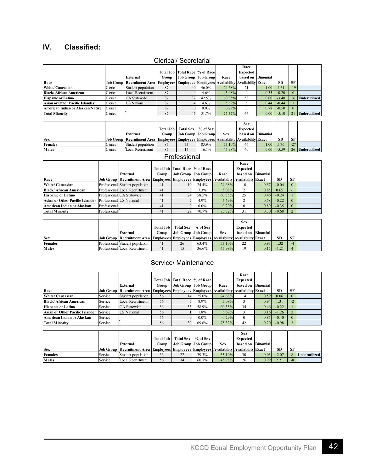#### **IV. Classified:**

#### Clerical/ Secretarial Professional **Race Job Group External Recruitment Area Total Job Group Employees Total Race Job Group Employees % of Race Job Group Employees Race Availability**<br>24.68% **Race Expected based on Availability Binomial Exact SD SF**<br>1.00 4.61 -19 **White/ Caucasian Clerical Student population 87** 40 46.0% 24.68% 21 1.00 4.61 **Black/ African American** Clerical Local Recruitment 87 4 4.6% 5.08% 4 0.55 -0.20 0 **Hispanic or Latino** Clerical CA Statewide 87 37 42.5% 60.35% 53 0.00 -3.40<br> **Asian or Other Pacific Islander** Clerical US National 87 4 4.6% 5.69% 5 0.44 -0.44 **Asian or Other Pacific Islander** Clerical US National 87 4 4.6% 5.69% 5 0.44 -0.44 1 **American Indian or Alaskan Native | Clerical | 87 | 0 0.0% 0.29% 0 0.78 -0.50 0 0.78 0.078 1.45 | 0 0.0% 0.29% 0 0.078 -0.50 0 0.078 0 0.078 1.79% | 0 0.078 1.79% | 0 0.07 1.51 0 0.07 1.51 0 0.07 1.51 0 0.07 1.51 0 0.07 1** 21 Underutilized **Sex Job Group External Recruitment Area Total Job Group Employees Total Sex Job Group Employees % of Sex Job Group Employees Sex Availability Sex Expected based on Availability Binomial Exact SD SF Females** Clerical Student population 87 73 83.9% 53.10% 46 1.00 5.76 -27 **Males** Clerical Local Recruitment 87 14 16.1% 45.98% 40 0.00 -5.59 26 **Underutilized**

|                                 |              |                                                                                                 |                  |                  |                               |            | Race              |      |           |                |  |
|---------------------------------|--------------|-------------------------------------------------------------------------------------------------|------------------|------------------|-------------------------------|------------|-------------------|------|-----------|----------------|--|
|                                 |              |                                                                                                 | <b>Total Job</b> |                  | <b>Total Race   % of Race</b> |            | <b>Expected</b>   |      |           |                |  |
|                                 |              | <b>External</b>                                                                                 | Group            |                  | <b>Job Group   Job Group</b>  | Race       | based on Binomial |      |           |                |  |
| Race                            |              | <b>Job Group Recruitment Area Employees Employees Employees Availability Availability Exact</b> |                  |                  |                               |            |                   |      | SD.       | SF             |  |
| White/ Caucasian                |              | Professional Student population                                                                 | 41               | 10               | 24.4%                         | 24.68%     | 10                | 0.57 | $-0.04$   | $\Omega$       |  |
| Black/African American          |              | Professional Local Recruitment                                                                  | 41               |                  | 7.3%                          | 5.08%      | 2                 | 0.85 | 0.65      | - 1            |  |
| <b>Hispanic or Latino</b>       |              | Professional CA Statewide                                                                       | 41               | 24               | 58.5%                         | 60.35%     | 25                | 0.46 | $-0.24$   |                |  |
| Asian or Other Pacific Islander |              | Professional US National                                                                        | 41               |                  | 4.9%                          | 5.69%      | 2                 | 0.58 | $-0.22$   | $\Omega$       |  |
| American Indian or Alaskan      | Professional |                                                                                                 | 41               |                  | $0.0\%$                       | 0.29%      | $\theta$          | 0.89 | $-0.35$   | $\Omega$       |  |
| <b>Total Minority</b>           | Professional |                                                                                                 | 41               | 29               | 70.7%                         | 75.32%     | 31                | 0.30 | $-0.68$   | $\overline{2}$ |  |
|                                 |              |                                                                                                 |                  |                  |                               |            |                   |      |           |                |  |
|                                 |              |                                                                                                 |                  |                  |                               |            | <b>Sex</b>        |      |           |                |  |
|                                 |              |                                                                                                 | <b>Total Job</b> | <b>Total Sex</b> | $%$ of Sex                    |            | <b>Expected</b>   |      |           |                |  |
|                                 |              | <b>External</b>                                                                                 | Group            |                  | <b>Job Group</b> Job Group    | <b>Sex</b> | based on Binomial |      |           |                |  |
| <b>Sex</b>                      |              | <b>Job Group Recruitment Area Employees Employees Employees Availability Availability Exact</b> |                  |                  |                               |            |                   |      | <b>SD</b> | <b>SF</b>      |  |
| Females                         |              | Professional Student population                                                                 | 41               | 26               | 63.4%                         | 53.10%     | 22                | 0.93 | 1.32      | $-4$           |  |
| Males                           |              | Professional Local Recruitment                                                                  | 41               | 15               | 36.6%                         | 45.98%     | 19                | 0.15 | $-1.21$   | 4              |  |

#### Service/ Maintenance

|                                        |         | <b>External</b>                                                                                        | Group |    | <b>Total Job   Total Race   % of Race  </b><br><b>Job Group</b> Job Group | Race   | Race<br>Expected<br>based on Binomial |      |         |           |  |
|----------------------------------------|---------|--------------------------------------------------------------------------------------------------------|-------|----|---------------------------------------------------------------------------|--------|---------------------------------------|------|---------|-----------|--|
| Race                                   |         | Job Group   Recruitment Area   Employees   Employees   Employees   Availability   Availability   Exact |       |    |                                                                           |        |                                       |      | SD.     | <b>SF</b> |  |
| White/ Caucasian                       | Service | Student population                                                                                     | 56    | 14 | 25.0%                                                                     | 24.68% | 14                                    | 0.59 | 0.06    |           |  |
| Black/African American                 | Service | Local Recruitment                                                                                      | 56    |    | 8.9%                                                                      | 5.08%  |                                       | 0.94 | 1.31    | $-2$      |  |
| <b>Hispanic or Latino</b>              | Service | CA Statewide                                                                                           | 56    | 33 | 58.9%                                                                     | 60.35% | 34                                    | 0.46 | $-0.22$ |           |  |
| <b>Asian or Other Pacific Islander</b> | Service | <b>US</b> National                                                                                     | 56    |    | l.8%                                                                      | 5.69%  |                                       | 0.16 | $-1.26$ |           |  |
| American Indian or Alaskan             | Service |                                                                                                        | 56    |    | $0.0\%$                                                                   | 0.29%  | $\mathbf{0}$                          | 0.85 | $-0.40$ | $\Omega$  |  |
| <b>Total Minority</b>                  | Service |                                                                                                        | 56    | 39 | 69.6%                                                                     | 75.32% | 42                                    | 0.20 | $-0.98$ |           |  |

|            |         |                                                                                                  |                  |                      |                       |            | Sex               |      |         |           |                      |
|------------|---------|--------------------------------------------------------------------------------------------------|------------------|----------------------|-----------------------|------------|-------------------|------|---------|-----------|----------------------|
|            |         |                                                                                                  | <b>Total Job</b> | Total Sex   % of Sex |                       |            | Expected          |      |         |           |                      |
|            |         | <b>External</b>                                                                                  | Group            |                      | Job Group   Job Group | <b>Sex</b> | based on Binomial |      |         |           |                      |
| <b>Sex</b> |         | Job Group  Recruitment Area   Employees  Employees  Employees  Availability  Availability  Exact |                  |                      |                       |            |                   |      | SD.     | <b>SF</b> |                      |
| Females    | Service | Student population                                                                               | 56               | 22                   | 39.3%                 | 53.10%     | 30                | 0.03 | $-2.07$ |           | <b>Underutilized</b> |
| Males      | Service | Local Recruitment                                                                                | 56               | 34                   | 60.7%                 | 45.98%     | 26                | 0.99 | 2.21    | $-8$      |                      |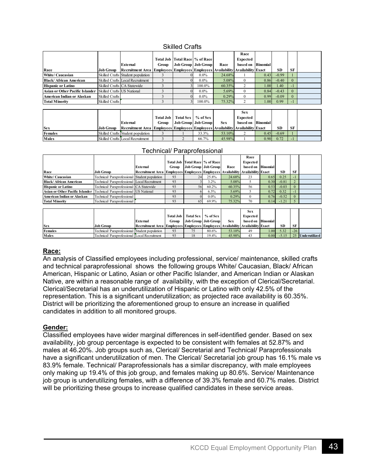#### Skilled Crafts

|                                 |                            |                                                                                |       |                                             |         |        | Race       |                 |           |           |  |
|---------------------------------|----------------------------|--------------------------------------------------------------------------------|-------|---------------------------------------------|---------|--------|------------|-----------------|-----------|-----------|--|
|                                 |                            |                                                                                |       | <b>Total Job   Total Race   % of Race  </b> |         |        | Expected   |                 |           |           |  |
|                                 |                            | <b>External</b>                                                                | Group | Job Group   Job Group                       |         | Race   | based on   | <b>Binomial</b> |           |           |  |
| Race                            | Job Group                  | Recruitment Area Employees Employees Employees Availability Availability Exact |       |                                             |         |        |            |                 | <b>SD</b> | <b>SF</b> |  |
| White/ Caucasian                |                            | Skilled Crafts Student population                                              |       |                                             | $0.0\%$ | 24.68% |            | 0.43            | $-0.99$   |           |  |
| Black/ African American         |                            | Skilled Crafts Local Recruitment                                               |       |                                             | $0.0\%$ | 5.08%  | $\Omega$   | 0.86            | $-0.40$   |           |  |
| <b>Hispanic or Latino</b>       |                            | Skilled Crafts CA Statewide                                                    |       |                                             | 100.0%  | 60.35% |            | 1.00            | 1.40      | - 1       |  |
| Asian or Other Pacific Islander | Skilled Crafts US National |                                                                                |       |                                             | $0.0\%$ | 5.69%  | $\Omega$   | 0.84            | $-0.43$   |           |  |
| American Indian or Alaskan      | Skilled Crafts             |                                                                                |       |                                             | $0.0\%$ | 0.29%  | $\Omega$   | 0.99            | $-0.09$   | $\Omega$  |  |
| <b>Total Minority</b>           | Skilled Crafts             |                                                                                |       |                                             | 100.0%  | 75.32% |            | 1.001           | 0.99      | - 1       |  |
|                                 |                            |                                                                                |       |                                             |         |        |            |                 |           |           |  |
|                                 |                            |                                                                                |       |                                             |         |        | <b>Sex</b> |                 |           |           |  |

|                |            |                                                                                            |       |                                  |       |            | <b>DEA</b>        |      |         |    |  |
|----------------|------------|--------------------------------------------------------------------------------------------|-------|----------------------------------|-------|------------|-------------------|------|---------|----|--|
|                |            |                                                                                            |       | Total Job   Total Sex   % of Sex |       |            | Expected          |      |         |    |  |
|                |            | External                                                                                   | Group | <b>Job Group</b> Job Group       |       | <b>Sex</b> | based on Binomial |      |         |    |  |
| <b>Sex</b>     | Job Groun- | Recruitment Area   Employees   Employees   Employees   Availability   Availability   Exact |       |                                  |       |            |                   |      | SD      | SF |  |
| <b>Females</b> |            | Skilled Crafts Student population                                                          |       |                                  | 33.3% | 53.10%     |                   | 0.45 | $-0.69$ |    |  |
| Males          |            | Skilled Crafts II ocal Recruitment                                                         |       |                                  | 66.7% | 45.98%     |                   | 0.90 | 0.72    |    |  |

#### Technical/ Paraprofessional

|                                        |                                               |                                                                                |       | <b>Total Job   Total Race   % of Race  </b> |         |        | Race<br><b>Expected</b> |      |           |    |  |
|----------------------------------------|-----------------------------------------------|--------------------------------------------------------------------------------|-------|---------------------------------------------|---------|--------|-------------------------|------|-----------|----|--|
|                                        |                                               | External                                                                       | Group | Job Group Job Group                         |         | Race   | based on Binomial       |      |           |    |  |
| Race                                   | Job Group                                     | Recruitment Area Employees Employees Employees Availability Availability Exact |       |                                             |         |        |                         |      | <b>SD</b> | SF |  |
| White/ Caucasian                       | Technical/Paraprofessional Student population |                                                                                | 93    | 24                                          | 25.8%   | 24.68% | 23                      | 0.65 | 0.25      |    |  |
| Black/African American                 | Technical/Paraprofessional Local Recruitment  |                                                                                | 93    |                                             | 3.2%    | 5.08%  |                         | 0.30 | $-0.81$   |    |  |
| <b>Hispanic or Latino</b>              | Technical/ Paraprofessional CA Statewide      |                                                                                | 93    | 56                                          | 60.2%   | 60.35% | 56                      | 0.53 | $-0.03$   |    |  |
| <b>Asian or Other Pacific Islander</b> | Technical/ Paraprofessional US National       |                                                                                | 93    |                                             | $6.5\%$ | 5.69%  |                         | 0.72 | 0.32      |    |  |
| American Indian or Alaskan             | Technical/ Paraprofessional                   |                                                                                | 93    |                                             | $0.0\%$ | 0.29%  |                         | 0.76 | $-0.52$   |    |  |
| <b>Total Minority</b>                  | Technical/ Paraprofessional                   |                                                                                | 93    | 65                                          | 69.9%   | 75.32% | 70                      | 0.14 | $-1.21$   |    |  |

|                |                                                |                                                                                          |                  |                      |                       |            | Sex               |       |           |           |                      |
|----------------|------------------------------------------------|------------------------------------------------------------------------------------------|------------------|----------------------|-----------------------|------------|-------------------|-------|-----------|-----------|----------------------|
|                |                                                |                                                                                          | <b>Total Job</b> | Total Sex   % of Sex |                       |            | Expected          |       |           |           |                      |
|                |                                                | External                                                                                 | Group            |                      | Job Group   Job Group | <b>Sex</b> | based on Binomial |       |           |           |                      |
| <b>Sex</b>     | .Job Groun                                     | <b>IRecruitment Area [Employees] Employees Employees Availability Availability Exact</b> |                  |                      |                       |            |                   |       | <b>SD</b> | <b>SF</b> |                      |
| <b>Females</b> | Technical/ Paraprofessional Student population |                                                                                          | 93               |                      | 80.6%                 | 53.10%     | 49                | .00.  | 5.32      | $-26$     |                      |
| Males          | Technical/ Paraprofessional Local Recruitment  |                                                                                          | 93               | 18                   | 19.4%                 | 45.98%     | 43                | 0.001 | $-5.15$   |           | <b>Underutilized</b> |

#### **Race:**

An analysis of Classified employees including professional, service/ maintenance, skilled crafts and technical paraprofessional shows the following groups White/ Caucasian, Black/ African American, Hispanic or Latino, Asian or other Pacific Islander, and American Indian or Alaskan Native, are within a reasonable range of availability, with the exception of Clerical/Secretarial. Clerical/Secretarial has an underutilization of Hispanic or Latino with only 42.5% of the representation. This is a significant underutilization; as projected race availability is 60.35%. District will be prioritizing the aforementioned group to ensure an increase in qualified candidates in addition to all monitored groups.

#### **Gender:**

Classified employees have wider marginal differences in self-identified gender. Based on sex availability, job group percentage is expected to be consistent with females at 52.87% and males at 46.20%. Job groups such as, Clerical/ Secretarial and Technical/ Paraprofessionals have a significant underutilization of men. The Clerical/ Secretarial job group has 16.1% male vs 83.9% female. Technical/ Paraprofessionals has a similar discrepancy, with male employees only making up 19.4% of this job group, and females making up 80.6%. Service/ Maintenance job group is underutilizing females, with a difference of 39.3% female and 60.7% males. District will be prioritizing these groups to increase qualified candidates in these service areas.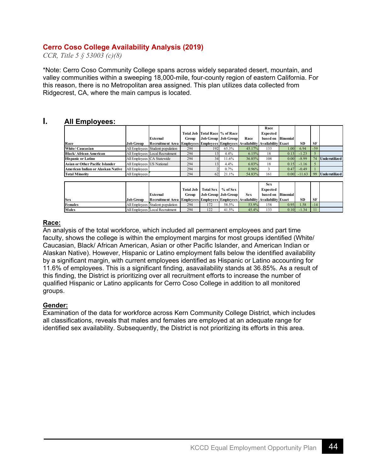#### **Cerro Coso College Availability Analysis (2019)**

*CCR, Title 5 § 53003 (c)(8)* 

\*Note: Cerro Coso Community College spans across widely separated desert, mountain, and valley communities within a sweeping 18,000-mile, four-county region of eastern California. For this reason, there is no Metropolitan area assigned. This plan utilizes data collected from Ridgecrest, CA, where the main campus is located.

#### **I. All Employees:**

|                                   |                           | External                         | Group |     | <b>Total Job   Total Race   % of Race  </b><br><b>Job Group   Job Group  </b> | Race                                                                 | Race<br>Expected<br>based on Binomial |                   |               |           |                      |
|-----------------------------------|---------------------------|----------------------------------|-------|-----|-------------------------------------------------------------------------------|----------------------------------------------------------------------|---------------------------------------|-------------------|---------------|-----------|----------------------|
| Race                              | <b>Job Group</b>          | <b>Recruitment Area</b>          |       |     |                                                                               | <b>Employees Employees Employees Availability Availability Exact</b> |                                       |                   | <b>SD</b>     | <b>SF</b> |                      |
| White/ Caucasian                  |                           | All Employees Student population | 294   | 192 | 65.3%                                                                         | 45.17%                                                               | 133                                   | 1.00 <sub>1</sub> | 6.94          | $-59$     |                      |
| Black/African American            |                           | All Employees Local Recruitment  | 294   |     | 4.4%                                                                          | 6.15%                                                                | 18                                    | 0.13              | $-1.23$       |           |                      |
| <b>Hispanic or Latino</b>         |                           | All Employees CA Statewide       | 294   | 34  | 11.6%                                                                         | 36.85%                                                               | 108                                   | 0.00              | $-8.99$       | 74        | <b>Underutilized</b> |
| Asian or Other Pacific Islander   | All Employees US National |                                  | 294   |     | 4.4%                                                                          | 6.03%                                                                | 18                                    | 0.15              | $-1.16$       |           |                      |
| American Indian or Alaskan Native | All Employees             |                                  | 294   |     | 0.7%                                                                          | 0.96%                                                                |                                       | 0.47              | $-0.49$       |           |                      |
| <b>Total Minority</b>             | All Employees             |                                  | 294   | 62  | 21.1%                                                                         | 54.83%                                                               | 161                                   |                   | $0.00$ -11.63 | 99        | Underutilized        |

|            |                  |                                                                                       |                  |                       |       |            | <b>Sex</b>        |      |         |       |  |
|------------|------------------|---------------------------------------------------------------------------------------|------------------|-----------------------|-------|------------|-------------------|------|---------|-------|--|
|            |                  |                                                                                       | <b>Total Job</b> | Total Sex   % of Sex  |       |            | Expected          |      |         |       |  |
|            |                  | External                                                                              | Group            | Job Group   Job Group |       | <b>Sex</b> | based on Binomial |      |         |       |  |
| <b>Sex</b> | <b>Job Group</b> | <b>Recruitment Area Employees Employees Employees Availability Availability Exact</b> |                  |                       |       |            |                   |      | SD      | SF    |  |
| Females    |                  | All Employees Student population                                                      | 294              | 172                   | 58.5% | 53.9%      | 158               | 0.95 | 1.58'   | $-14$ |  |
| Males      |                  | All Employees Local Recruitment                                                       | 294              | 122                   | 41.5% | 45.4%      | 133               | 0.10 | $-1.34$ |       |  |

#### **Race:**

An analysis of the total workforce, which included all permanent employees and part time faculty, shows the college is within the employment margins for most groups identified (White/ Caucasian, Black/ African American, Asian or other Pacific Islander, and American Indian or Alaskan Native). However, Hispanic or Latino employment falls below the identified availability by a significant margin, with current employees identified as Hispanic or Latino accounting for 11.6% of employees. This is a significant finding, asavailability stands at 36.85%. As a result of this finding, the District is prioritizing over all recruitment efforts to increase the number of qualified Hispanic or Latino applicants for Cerro Coso College in addition to all monitored groups.

#### **Gender:**

Examination of the data for workforce across Kern Community College District, which includes all classifications, reveals that males and females are employed at an adequate range for identified sex availability. Subsequently, the District is not prioritizing its efforts in this area.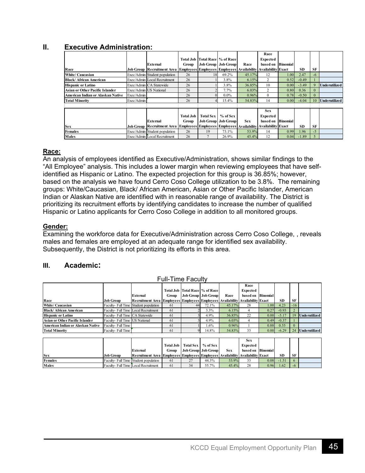#### **II. Executive Administration:**

|                                   |            |                                                                                                 |                  |                  |                                  |            | Race              |                   |           |      |                      |
|-----------------------------------|------------|-------------------------------------------------------------------------------------------------|------------------|------------------|----------------------------------|------------|-------------------|-------------------|-----------|------|----------------------|
|                                   |            |                                                                                                 |                  |                  | Total Job Total Race   % of Race |            | <b>Expected</b>   |                   |           |      |                      |
|                                   |            | External                                                                                        | Group            |                  | Job Group   Job Group            | Race       | based on Binomial |                   |           |      |                      |
| Race                              |            | <b>Job Group Recruitment Area Employees Employees Employees Availability Availability Exact</b> |                  |                  |                                  |            |                   |                   | <b>SD</b> | SF   |                      |
| White/ Caucasian                  |            | Exec/Admin Student population                                                                   | 26               | 18               | 69.2%                            | 45.17%     | 12                | 1.00              | 2.47      | -6   |                      |
| Black/ African American           |            | Exec/Admin Local Recruitment                                                                    | 26               |                  | 3.8%                             | 6.15%      | 2                 | 0.52              | $-0.49$   |      |                      |
| <b>Hispanic or Latino</b>         |            | Exec/Admin CA Statewide                                                                         | 26               |                  | 3.8%                             | 36.85%     | 10                | 0.00              | $-3.49$   |      | <b>Underutilized</b> |
| Asian or Other Pacific Islander   |            | Exec/Admin US National                                                                          | 26               |                  | 7.7%                             | 6.03%      | 2                 | 0.80              | 0.36      |      |                      |
| American Indian or Alaskan Native | Exec/Admin |                                                                                                 | 26               |                  | $0.0\%$                          | 0.96%      | $\mathbf{0}$      | 0.78              | $-0.50$   |      |                      |
| <b>Total Minority</b>             | Exec/Admin |                                                                                                 | 26               |                  | 15.4%                            | 54.83%     | 14                | 0.00 <sub>l</sub> | $-4.04$   | 10   | <b>Underutilized</b> |
|                                   |            |                                                                                                 |                  |                  |                                  |            |                   |                   |           |      |                      |
|                                   |            |                                                                                                 |                  |                  |                                  |            | <b>Sex</b>        |                   |           |      |                      |
|                                   |            |                                                                                                 | <b>Total Job</b> | <b>Total Sex</b> | % of Sex                         |            | <b>Expected</b>   |                   |           |      |                      |
|                                   |            | External                                                                                        | Group            |                  | <b>Job Group</b> Job Group       | <b>Sex</b> | based on Binomial |                   |           |      |                      |
| <b>Sex</b>                        |            | <b>Job Group Recruitment Area Employees Employees Employees Availability Availability Exact</b> |                  |                  |                                  |            |                   |                   | <b>SD</b> | SF   |                      |
| Females                           |            | Exec/Admin Student population                                                                   | 26               | 19               | 73.1%                            | 53.9%      | 14                | 0.99              | 1.96      | $-5$ |                      |
| Males                             |            | Exec/Admin Local Recruitment                                                                    | 26               |                  | 26.9%                            | 45.4%      | 12                | 0.04              | $-1.89$   |      |                      |

#### **Race:**

An analysis of employees identified as Executive/Administration, shows similar findings to the "All Employee" analysis. This includes a lower margin when reviewing employees that have selfidentified as Hispanic or Latino. The expected projection for this group is 36.85%; however, based on the analysis we have found Cerro Coso College utilization to be 3.8%. The remaining groups: White/Caucasian, Black/ African American, Asian or Other Pacific Islander, American Indian or Alaskan Native are identified with in reasonable range of availability. The District is prioritizing its recruitment efforts by identifying candidates to increase the number of qualified Hispanic or Latino applicants for Cerro Coso College in addition to all monitored groups.

#### **Gender:**

Examining the workforce data for Executive/Administration across Cerro Coso College, , reveals males and females are employed at an adequate range for identified sex availability. Subsequently, the District is not prioritizing its efforts in this area.

#### **III. Academic:**

|                                   | Full-Time Faculty               |                                                                                |       |                                 |       |        |                   |                   |               |           |               |  |  |  |
|-----------------------------------|---------------------------------|--------------------------------------------------------------------------------|-------|---------------------------------|-------|--------|-------------------|-------------------|---------------|-----------|---------------|--|--|--|
|                                   |                                 |                                                                                |       |                                 |       |        | Race              |                   |               |           |               |  |  |  |
|                                   |                                 |                                                                                |       | Total Job Total Race Mo of Race |       |        | Expected          |                   |               |           |               |  |  |  |
|                                   |                                 | External                                                                       | Group | Job Group Job Group             |       | Race   | based on Binomial |                   |               |           |               |  |  |  |
| Race                              | Job Group                       | Recruitment Area Employees Employees Employees Availability Availability Exact |       |                                 |       |        |                   |                   | <b>SD</b>     | <b>SF</b> |               |  |  |  |
| White/ Caucasian                  |                                 | Faculty- Full Time Student population                                          | 61    | 44                              | 72.1% | 45.17% | 28                | 1.00              | 4.23          | $-16$     |               |  |  |  |
| <b>Black/African American</b>     |                                 | Faculty- Full Time Local Recruitment                                           | 61    |                                 | 3.3%  | 6.15%  |                   | 0.27              | $-0.93$       |           |               |  |  |  |
| <b>Hispanic or Latino</b>         | Faculty- Full Time CA Statewide |                                                                                | 61    |                                 | 4.9%  | 36.85% | 22                | 0.00 <sub>l</sub> | $-5.17$       | 19        | Underutilized |  |  |  |
| Asian or Other Pacific Islander   | Faculty- Full Time US National  |                                                                                | 61    |                                 | 4.9%  | 6.03%  |                   | 0.49              | $-0.37$       |           |               |  |  |  |
| American Indian or Alaskan Native | Faculty- Full Time              |                                                                                | 61    |                                 | 1.6%  | 0.96%  |                   | 0.88              | 0.55          | $\Omega$  |               |  |  |  |
| <b>Total Minority</b>             | Faculty-Full Time               |                                                                                | 61    |                                 | 14.8% | 54.83% | 33                |                   | $0.00 - 6.29$ | 24        | Underutilized |  |  |  |

#### Full-Time Faculty

|                |                                      |                                                                                       |       |    |                                  |            | Sex               |      |           |           |  |
|----------------|--------------------------------------|---------------------------------------------------------------------------------------|-------|----|----------------------------------|------------|-------------------|------|-----------|-----------|--|
|                |                                      |                                                                                       |       |    | Total Job   Total Sex   % of Sex |            | Expected          |      |           |           |  |
|                |                                      | External                                                                              | Group |    | Job Group Job Group              | <b>Sex</b> | based on Binomial |      |           |           |  |
| <b>Sex</b>     | <b>Job Group</b>                     | <b>Recruitment Area Employees Employees Employees Availability Availability Exact</b> |       |    |                                  |            |                   |      | <b>SD</b> | <b>SF</b> |  |
| <b>Females</b> |                                      | Faculty- Full Time Student population                                                 | 61    | 27 | 44.3%                            | 53.9%      |                   | 0.08 | $-1.51$   |           |  |
| Males          | Faculty- Full Time Local Recruitment |                                                                                       | 61    | 34 | 55.7%                            | 45.4%      | 28                | 0.96 | 1.62      | $-6$      |  |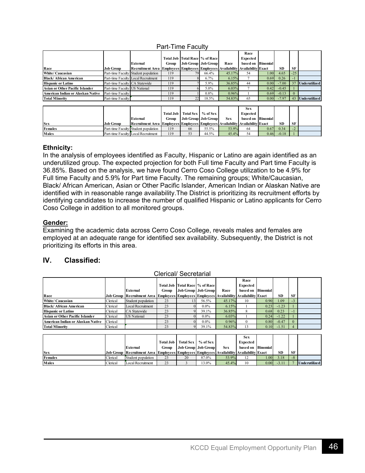#### Part-Time Faculty

|                                   |                                |                                                                                |                  |                  |                                           |            | Race              |                   |           |           |               |
|-----------------------------------|--------------------------------|--------------------------------------------------------------------------------|------------------|------------------|-------------------------------------------|------------|-------------------|-------------------|-----------|-----------|---------------|
|                                   |                                |                                                                                |                  |                  | <b>Total Job Total Race   % of Race  </b> |            | <b>Expected</b>   |                   |           |           |               |
|                                   |                                | External                                                                       | Group            |                  | <b>Job Group   Job Group</b>              | Race       | based on Binomial |                   |           |           |               |
| Race                              | <b>Job Group</b>               | Recruitment Area Employees Employees Employees Availability Availability Exact |                  |                  |                                           |            |                   |                   | <b>SD</b> | <b>SF</b> |               |
| White/Caucasian                   |                                | Part-time Faculty Student population                                           | 119              | 79               | 66.4%                                     | 45.17%     | 54                | 1.00              | 4.65      | $-25$     |               |
| Black/African American            |                                | Part-time Faculty Local Recruitment                                            | 119              |                  | 6.7%                                      | 6.15%      |                   | 0.69              | 0.26      | - 1       |               |
| <b>Hispanic or Latino</b>         | Part-time Faculty CA Statewide |                                                                                | 119              |                  | 5.9%                                      | 36.85%     | 44                | 0.00 <sub>l</sub> | $-7.00$   | 37        | Underutilized |
| Asian or Other Pacific Islander   | Part-time Faculty US National  |                                                                                | 119              |                  | 5.0%                                      | 6.03%      |                   | 0.42              | $-0.45$   |           |               |
| American Indian or Alaskan Native | Part-time Faculty              |                                                                                | 119              |                  | 0.8%                                      | 0.96%      |                   | 0.69              | $-0.13$   | $\theta$  |               |
| <b>Total Minority</b>             | Part-time Faculty              |                                                                                | 119              | 22               | 18.5%                                     | 54.83%     | 65                | 0.00 <sub>l</sub> | $-7.97$   | 43        | Underutilized |
|                                   |                                |                                                                                |                  |                  |                                           |            |                   |                   |           |           |               |
|                                   |                                |                                                                                |                  |                  |                                           |            | <b>Sex</b>        |                   |           |           |               |
|                                   |                                |                                                                                | <b>Total Job</b> | <b>Total Sex</b> | $%$ of Sex                                |            | <b>Expected</b>   |                   |           |           |               |
|                                   |                                | External                                                                       | Group            |                  | <b>Job Group   Job Group  </b>            | <b>Sex</b> | based on Binomial |                   |           |           |               |

**Employees**

**Employees**

**Availability**

**Availability Exact SD SF**

**Employees**

**Females Part-time Faculty Student population** 119 66 55.5% 53.9% 64 0.67 0.34 -2 **Males** Part-time Faculty Local Recruitment 119 53 44.5% 45.4% 54 0.46 -0.18 1

**Sex Job Group**

**Recruitment Area**

In the analysis of employees identified as Faculty, Hispanic or Latino are again identified as an underutilized group. The expected projection for both Full time Faculty and Part time Faculty is 36.85%. Based on the analysis, we have found Cerro Coso College utilization to be 4.9% for Full time Faculty and 5.9% for Part time Faculty. The remaining groups; White/Caucasian, Black/ African American, Asian or Other Pacific Islander, American Indian or Alaskan Native are identified with in reasonable range availability.The District is prioritizing its recruitment efforts by identifying candidates to increase the number of qualified Hispanic or Latino applicants for Cerro Coso College in addition to all monitored groups.

#### **Gender:**

Examining the academic data across Cerro Coso College, reveals males and females are employed at an adequate range for identified sex availability. Subsequently, the District is not prioritizing its efforts in this area.

#### **IV. Classified:**

| Race<br>Total Job Total Race % of Race<br>Expected<br>based on Binomial<br>Job Group   Job Group  <br>External<br>Race<br>Group<br><b>Employees Employees Employees Availability Availability Exact</b><br><b>SF</b><br>Race<br><b>SD</b><br><b>Job Group Recruitment Area</b><br>Clerical<br>Student population<br>0.90 <sub>l</sub><br>1.09<br>45.17%<br>$-3$<br>23<br>13<br>56.5%<br>10<br>Clerical<br>Local Recruitment<br>Black/African American<br>$-1.23$<br>23<br>6.15%<br>0.23<br>$0.0\%$ | Clerical/ Secretarial |  |  |  |  |  |  |  |  |  |  |  |  |
|----------------------------------------------------------------------------------------------------------------------------------------------------------------------------------------------------------------------------------------------------------------------------------------------------------------------------------------------------------------------------------------------------------------------------------------------------------------------------------------------------|-----------------------|--|--|--|--|--|--|--|--|--|--|--|--|
|                                                                                                                                                                                                                                                                                                                                                                                                                                                                                                    |                       |  |  |  |  |  |  |  |  |  |  |  |  |
|                                                                                                                                                                                                                                                                                                                                                                                                                                                                                                    |                       |  |  |  |  |  |  |  |  |  |  |  |  |
| White/ Caucasian                                                                                                                                                                                                                                                                                                                                                                                                                                                                                   |                       |  |  |  |  |  |  |  |  |  |  |  |  |
|                                                                                                                                                                                                                                                                                                                                                                                                                                                                                                    |                       |  |  |  |  |  |  |  |  |  |  |  |  |
|                                                                                                                                                                                                                                                                                                                                                                                                                                                                                                    |                       |  |  |  |  |  |  |  |  |  |  |  |  |
| Clerical<br>39.1%<br>36.85%<br>0.23<br><b>Hispanic or Latino</b><br>CA Statewide<br>23<br>0.68<br>8<br>- 1                                                                                                                                                                                                                                                                                                                                                                                         |                       |  |  |  |  |  |  |  |  |  |  |  |  |
| Asian or Other Pacific Islander<br>Clerical<br><b>US</b> National<br>6.03%<br>$-1.22$<br>23<br>0.24<br>$0.0\%$                                                                                                                                                                                                                                                                                                                                                                                     |                       |  |  |  |  |  |  |  |  |  |  |  |  |
| $-0.47$<br>Clerical<br>0.96%<br>23<br>0.80 <sub>l</sub><br>American Indian or Alaskan Native<br>$0.0\%$<br>$\Omega$<br>$\theta$                                                                                                                                                                                                                                                                                                                                                                    |                       |  |  |  |  |  |  |  |  |  |  |  |  |
| Clerical<br>23<br>54.83%<br>$0.10$ -1.51<br>39.1%<br><b>Total Minority</b><br>13<br>$\overline{4}$                                                                                                                                                                                                                                                                                                                                                                                                 |                       |  |  |  |  |  |  |  |  |  |  |  |  |

|                |          |                                                                                                         |           |    |                            |            | <b>Sex</b>        |                   |           |      |               |
|----------------|----------|---------------------------------------------------------------------------------------------------------|-----------|----|----------------------------|------------|-------------------|-------------------|-----------|------|---------------|
|                |          |                                                                                                         | Total Job |    | Total Sex   % of Sex       |            | Expected          |                   |           |      |               |
|                |          | External                                                                                                | Group     |    | <b>Job Group Job Group</b> | <b>Sex</b> | based on Binomial |                   |           |      |               |
| <b>Sex</b>     |          | [Job Group   Recruitment Area   Emplovees   Emplovees   Emplovees   Availability   Availability   Exact |           |    |                            |            |                   |                   | <b>SD</b> | SF   |               |
| <b>Females</b> | Clerical | Student population                                                                                      |           | 20 | 87.0%                      | 53.9%      | 12                | 1.001             | 3.18      | $-8$ |               |
| Males          | Clerical | Local Recruitment                                                                                       | 23        |    | 3.0%                       | 45.4%      | 10                | 0.00 <sub>l</sub> | $-3.11$   |      | Underutilized |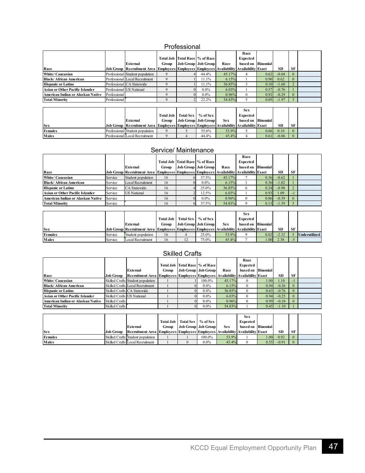#### Professional

|                                        |              |                                                                                          |       |                                |        | Race              |                   |           |    |  |
|----------------------------------------|--------------|------------------------------------------------------------------------------------------|-------|--------------------------------|--------|-------------------|-------------------|-----------|----|--|
|                                        |              |                                                                                          |       | Total Job Total Race % of Race |        | Expected          |                   |           |    |  |
|                                        |              | External                                                                                 | Group | Job Group   Job Group          | Race   | based on Binomial |                   |           |    |  |
| Race                                   |              | Job Group Recruitment Area Employees Employees Employees Availability Availability Exact |       |                                |        |                   |                   | <b>SD</b> | SF |  |
| White/ Caucasian                       |              | Professional Student population                                                          |       | 44.4%                          | 45.17% |                   | 0.62              | $-0.04$   |    |  |
| Black/African American                 |              | Professional Local Recruitment                                                           |       | 1.1%                           | 6.15%  |                   | 0.90 <sub>1</sub> | 0.62      |    |  |
| <b>Hispanic or Latino</b>              |              | Professional CA Statewide                                                                |       | 11.1%                          | 36.85% |                   | 0.10              | $-1.60$   |    |  |
| <b>Asian or Other Pacific Islander</b> |              | Professional US National                                                                 |       | $0.0\%$                        | 6.03%  |                   | 0.57              | $-0.76$   |    |  |
| American Indian or Alaskan Native      | Professional |                                                                                          |       | $0.0\%$                        | 0.96%  |                   | 0.92              | $-0.29$   |    |  |
| <b>Total Minority</b>                  | Professional |                                                                                          |       | 22.2%                          | 54.83% |                   | 0.05              | $-1.97$   |    |  |

|            |                                                                                                         |       |                                  |                     |            | Sex               |      |         |    |  |
|------------|---------------------------------------------------------------------------------------------------------|-------|----------------------------------|---------------------|------------|-------------------|------|---------|----|--|
|            |                                                                                                         |       | Total Job   Total Sex   % of Sex |                     |            | Expected          |      |         |    |  |
|            | External                                                                                                | Group |                                  | Job Group Job Group | <b>Sex</b> | based on Binomial |      |         |    |  |
| <b>Sex</b> | [Job Group   Recruitment Area   Emplovees   Emplovees   Emplovees   Availability   Availability   Exact |       |                                  |                     |            |                   |      | SD      | SF |  |
| Females    | Professional Student population                                                                         |       |                                  | 55.6%               | 53.9%      |                   | 0.66 | 0.10    |    |  |
| Males      | Professional Local Recruitment                                                                          |       |                                  | 44.4%               | 45.4%      |                   | 0.61 | $-0.06$ |    |  |

#### Service/ Maintenance

|                                   |         |                                                                                                 |       |                                |        | Race              |      |         |           |  |
|-----------------------------------|---------|-------------------------------------------------------------------------------------------------|-------|--------------------------------|--------|-------------------|------|---------|-----------|--|
|                                   |         |                                                                                                 |       | Total Job Total Race % of Race |        | <b>Expected</b>   |      |         |           |  |
|                                   |         | External                                                                                        | Group | Job Group Job Group            | Race   | based on Binomial |      |         |           |  |
| Race                              |         | <b>Job Group Recruitment Area Employees Employees Employees Availability Availability Exact</b> |       |                                |        |                   |      | SD      | <b>SF</b> |  |
| White/Caucasian                   | Service | Student population                                                                              | 16    | 37.5%                          | 45.17% |                   | 0.36 | $-0.62$ |           |  |
| <b>Black/African American</b>     | Service | Local Recruitment                                                                               | 16    | $0.0\%$                        | 6.15%  |                   | 0.36 | $-1.02$ |           |  |
| Hispanic or Latino                | Service | CA Statewide                                                                                    | 16    | 25.0%                          | 36.85% | $\theta$          | 0.24 | $-0.98$ |           |  |
| Asian or Other Pacific Islander   | Service | <b>US</b> National                                                                              | 16    | 12.5%                          | 6.03%  |                   | 0.93 | 1.09    |           |  |
| American Indian or Alaskan Native | Service |                                                                                                 | 16    | $0.0\%$                        | 0.96%  | $\theta$          | 0.86 | $-0.39$ |           |  |
| <b>Total Minority</b>             | Service |                                                                                                 | 16    | 37.5%                          | 54.83% |                   | 0.13 | $-1.39$ |           |  |

|            |         |                                                                                 |                  |                      |                     |            | Sex                       |       |         |     |               |
|------------|---------|---------------------------------------------------------------------------------|------------------|----------------------|---------------------|------------|---------------------------|-------|---------|-----|---------------|
|            |         |                                                                                 | <b>Total Job</b> | Total Sex   % of Sex |                     |            | Expected                  |       |         |     |               |
|            |         | External                                                                        | Group            |                      | Job Group Job Group | <b>Sex</b> | based on Binomial         |       |         |     |               |
| <b>Sex</b> |         | [Job Group] Recruitment Area   Employees   Employees   Employees   Availability |                  |                      |                     |            | <b>Availability Exact</b> |       | SD      | SF  |               |
| Females    | Service | Student population                                                              | 16               |                      | 25.0%               | 53.9%      |                           | 0.02  | $-2.32$ |     | Underutilized |
| Males      | Service | Local Recruitment                                                               | 16               | 12                   | 75.0%               | 45.4%      |                           | 100.1 | 2.38    | - 3 |               |

|  | <b>Skilled Crafts</b> |  |
|--|-----------------------|--|
|  |                       |  |

|                                   |                            |                                                                                |       |                                  |        | Race              |      |               |    |  |
|-----------------------------------|----------------------------|--------------------------------------------------------------------------------|-------|----------------------------------|--------|-------------------|------|---------------|----|--|
|                                   |                            |                                                                                |       | Total Job Total Race   % of Race |        | Expected          |      |               |    |  |
|                                   |                            | External                                                                       | Group | Job Group Job Group              | Race   | based on Binomial |      |               |    |  |
| Race                              | Job Group                  | Recruitment Area Employees Employees Employees Availability Availability Exact |       |                                  |        |                   |      | <b>SD</b>     | SF |  |
| White/ Caucasian                  |                            | Skilled Crafts Student population                                              |       | 100.0%                           | 45.17% |                   | 1.00 | 1.10          |    |  |
| <b>Black/African American</b>     |                            | Skilled Crafts Local Recruitment                                               |       | $0.0\%$                          | 6.15%  |                   | 0.94 | $-0.26$       |    |  |
| <b>Hispanic or Latino</b>         |                            | Skilled Crafts CA Statewide                                                    |       | $0.0\%$                          | 36.85% |                   | 0.63 | $-0.76$       |    |  |
| Asian or Other Pacific Islander   | Skilled Crafts US National |                                                                                |       | $0.0\%$                          | 6.03%  |                   | 0.94 | $-0.25$       |    |  |
| American Indian or Alaskan Native | <b>Skilled Crafts</b>      |                                                                                |       | $0.0\%$                          | 0.96%  |                   | 0.99 | $-0.10$       |    |  |
| <b>Total Minority</b>             | Skilled Crafts             |                                                                                |       | $0.0\%$                          | 54.83% |                   |      | $0.45 - 1.10$ |    |  |

|                |           |                                                                                |       |                                  |            | <b>Sex</b>        |       |         |          |  |
|----------------|-----------|--------------------------------------------------------------------------------|-------|----------------------------------|------------|-------------------|-------|---------|----------|--|
|                |           |                                                                                |       | Total Job   Total Sex   % of Sex |            | Expected          |       |         |          |  |
|                |           | External                                                                       | Group | <b>Job Group Job Group</b>       | <b>Sex</b> | based on Binomial |       |         |          |  |
| <b>Sex</b>     | Job Group | Recruitment Area Employees Employees Employees Availability Availability Exact |       |                                  |            |                   |       | SD      | SF       |  |
| <b>Females</b> |           | Skilled Crafts Student population                                              |       | 100.0%                           | 53.9%      |                   | 1.001 | 0.92    | $\Omega$ |  |
| Males          |           | Skilled Crafts Local Recruitment                                               |       | $0.0\%$                          | 45.4%      |                   | 0.55  | $-0.91$ | $\Omega$ |  |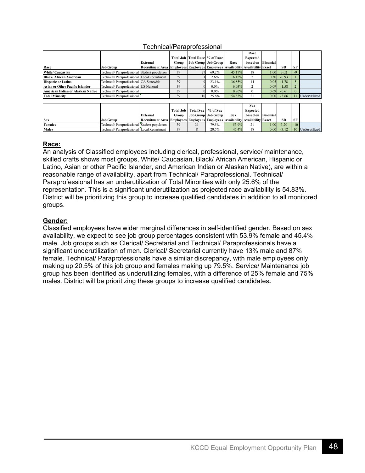|                                   |                                               |                                                                                |       |                                |         |        | Race              |                   |           |          |                      |
|-----------------------------------|-----------------------------------------------|--------------------------------------------------------------------------------|-------|--------------------------------|---------|--------|-------------------|-------------------|-----------|----------|----------------------|
|                                   |                                               |                                                                                |       | Total Job Total Race % of Race |         |        | <b>Expected</b>   |                   |           |          |                      |
|                                   |                                               | External                                                                       | Group | <b>Job Group   Job Group</b>   |         | Race   | based on Binomial |                   |           |          |                      |
| Race                              | <b>Job Group</b>                              | Recruitment Area Employees Employees Employees Availability Availability Exact |       |                                |         |        |                   |                   | <b>SD</b> | SF       |                      |
| <b>White/Caucasian</b>            | Technical/Paraprofessional Student population |                                                                                | 39    |                                | 69.2%   | 45.17% | 18                | 1.00              | 3.02      | $-9$     |                      |
| Black/African American            | Technical/ Paraprofessional Local Recruitment |                                                                                | 39    |                                | 2.6%    | 6.15%  |                   | 0.30              | $-0.93$   |          |                      |
| <b>Hispanic or Latino</b>         | Technical/ Paraprofessional CA Statewide      |                                                                                | 39    |                                | 23.1%   | 36.85% | 14                | 0.05              | $-1.78$   |          |                      |
| Asian or Other Pacific Islander   | Technical/ Paraprofessional US National       |                                                                                | 39    |                                | $0.0\%$ | 6.03%  |                   | 0.09              | $-1.58$   |          |                      |
| American Indian or Alaskan Native | Technical/ Paraprofessional                   |                                                                                | 39    |                                | $0.0\%$ | 0.96%  | $\theta$          | 0.69              | $-0.61$   | $\Omega$ |                      |
| <b>Total Minority</b>             | Technical/ Paraprofessional                   |                                                                                | 39    | 10                             | 25.6%   | 54.83% | 21                | 0.00 <sub>l</sub> | $-3.66$   |          | <b>Underutilized</b> |
|                                   |                                               |                                                                                |       |                                |         |        |                   |                   |           |          |                      |

#### Technical/Paraprofessional

|                |                                                |                                                                                  |       |                                  |                     |            | Sex               |                   |           |           |                      |
|----------------|------------------------------------------------|----------------------------------------------------------------------------------|-------|----------------------------------|---------------------|------------|-------------------|-------------------|-----------|-----------|----------------------|
|                |                                                |                                                                                  |       | Total Job   Total Sex   % of Sex |                     |            | Expected          |                   |           |           |                      |
|                |                                                | External                                                                         | Group |                                  | Job Group Job Group | <b>Sex</b> | based on Binomial |                   |           |           |                      |
| <b>Sex</b>     | <b>Job Group</b>                               | Recruitment Area [Employees] Employees Employees Availability Availability Exact |       |                                  |                     |            |                   |                   | <b>SD</b> | <b>SF</b> |                      |
| <b>Females</b> | Technical/ Paraprofessional Student population |                                                                                  | 39    |                                  | 79.5%               | 53.9%      |                   | 1.001             | 3.20      | $-10$     |                      |
| <b>Males</b>   | Technical/ Paraprofessional Local Recruitment  |                                                                                  | 39    |                                  | 20.5%               | 45.4%      |                   | 0.00 <sub>l</sub> | $-3.12$   |           | <b>Underutilized</b> |

#### **Race:**

An analysis of Classified employees including clerical, professional, service/ maintenance, skilled crafts shows most groups, White/ Caucasian, Black/ African American, Hispanic or Latino, Asian or other Pacific Islander, and American Indian or Alaskan Native), are within a reasonable range of availability, apart from Technical/ Paraprofessional. Technical/ Paraprofessional has an underutilization of Total Minorities with only 25.6% of the representation. This is a significant underutilization as projected race availability is 54.83%. District will be prioritizing this group to increase qualified candidates in addition to all monitored groups.

#### **Gender:**

Classified employees have wider marginal differences in self-identified gender. Based on sex availability, we expect to see job group percentages consistent with 53.9% female and 45.4% male. Job groups such as Clerical/ Secretarial and Technical/ Paraprofessionals have a significant underutilization of men. Clerical/ Secretarial currently have 13% male and 87% female. Technical/ Paraprofessionals have a similar discrepancy, with male employees only making up 20.5% of this job group and females making up 79.5%. Service/ Maintenance job group has been identified as underutilizing females, with a difference of 25% female and 75% males. District will be prioritizing these groups to increase qualified candidates**.**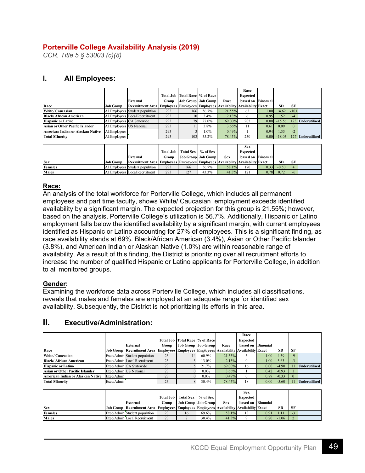#### **Porterville College Availability Analysis (2019)**

*CCR, Title 5 § 53003 (c)(8)*

#### **I. All Employees:**

|                                   |                           |                                                                                       |                  |                  |                                    |            | Race              |                   |           |           |                   |
|-----------------------------------|---------------------------|---------------------------------------------------------------------------------------|------------------|------------------|------------------------------------|------------|-------------------|-------------------|-----------|-----------|-------------------|
|                                   |                           |                                                                                       |                  |                  | Total Job   Total Race   % of Race |            | Expected          |                   |           |           |                   |
|                                   |                           | External                                                                              | Group            |                  | <b>Job Group</b> Job Group         | Race       | based on Binomial |                   |           |           |                   |
| Race                              | Job Group                 | Recruitment Area Employees Employees Employees Availability Availability Exact        |                  |                  |                                    |            |                   |                   | <b>SD</b> | <b>SF</b> |                   |
| <b>White/Caucasian</b>            |                           | All Employees Student population                                                      | 293              | 166              | 56.7%                              | 21.55%     | 63                | 1.00              | 14.62     | $-103$    |                   |
| Black/African American            |                           | All Employees Local Recruitment                                                       | 293              | 10               | 3.4%                               | 2.13%      | 6                 | 0.95              | 1.52      | $-4$      |                   |
| <b>Hispanic or Latino</b>         |                           | All Employees CA Statewide                                                            | 293              | 79               | 27.0%                              | 69.00%     | 202               | 0.00              | $-15.56$  |           | 123 Underutilized |
| Asian or Other Pacific Islander   | All Employees US National |                                                                                       | 293              |                  | 3.8%                               | 3.66%      | 11                | 0.61              | 0.09      | $\Omega$  |                   |
| American Indian or Alaskan Native | All Employees             |                                                                                       | 293              |                  | $1.0\%$                            | 0.49%      |                   | 0.94              | 1.33      | $-2$      |                   |
| <b>Total Minority</b>             | All Employees             |                                                                                       | 293              | 103              | 35.2%                              | 78.45%     | 230               | 0.00 <sub>l</sub> | $-18.03$  |           | 127 Underutilized |
|                                   |                           |                                                                                       |                  |                  |                                    |            |                   |                   |           |           |                   |
|                                   |                           |                                                                                       |                  |                  |                                    |            | <b>Sex</b>        |                   |           |           |                   |
|                                   |                           |                                                                                       | <b>Total Job</b> | <b>Total Sex</b> | % of Sex                           |            | <b>Expected</b>   |                   |           |           |                   |
|                                   |                           | <b>External</b>                                                                       | Group            |                  | <b>Job Group   Job Group  </b>     | <b>Sex</b> | based on Binomial |                   |           |           |                   |
| <b>Sex</b>                        | Job Group                 | <b>Recruitment Area Employees Employees Employees Availability Availability Exact</b> |                  |                  |                                    |            |                   |                   | <b>SD</b> | <b>SF</b> |                   |
| Females                           |                           | All Employees Student population                                                      | 293              | 166              | 56.7%                              | 58.1%      | 170               | 0.33              | $-0.50$   | 4         |                   |
| Males                             |                           | All Employees Local Recruitment                                                       | 293              | 127              | 43.3%                              | 41.3%      | 121               | 0.78              | 0.72      | $-6$      |                   |

#### **Race:**

An analysis of the total workforce for Porterville College, which includes all permanent employees and part time faculty, shows White/ Caucasian employment exceeds identified availability by a significant margin. The expected projection for this group is 21.55%; however, based on the analysis, Porterville College's utilization is 56.7%. Additionally, Hispanic or Latino employment falls below the identified availability by a significant margin, with current employees identified as Hispanic or Latino accounting for 27% of employees. This is a significant finding, as race availability stands at 69%. Black/African American (3.4%), Asian or Other Pacific Islander (3.8%), and American Indian or Alaskan Native (1.0%) are within reasonable range of availability. As a result of this finding, the District is prioritizing over all recruitment efforts to increase the number of qualified Hispanic or Latino applicants for Porterville College, in addition to all monitored groups.

#### **Gender:**

Examining the workforce data across Porterville College, which includes all classifications, reveals that males and females are employed at an adequate range for identified sex availability. Subsequently, the District is not prioritizing its efforts in this area.

#### **II. Executive/Administration:**

|                                   |            |                                   |       |    |                                |                                                                      | Race              |                   |           |          |                      |
|-----------------------------------|------------|-----------------------------------|-------|----|--------------------------------|----------------------------------------------------------------------|-------------------|-------------------|-----------|----------|----------------------|
|                                   |            |                                   |       |    | Total Job Total Race % of Race |                                                                      | Expected          |                   |           |          |                      |
|                                   |            | External                          | Group |    | Job Group   Job Group          | Race                                                                 | based on Binomial |                   |           |          |                      |
| Race                              |            | <b>Job Group Recruitment Area</b> |       |    |                                | <b>Employees Employees Employees Availability Availability Exact</b> |                   |                   | <b>SD</b> | SF       |                      |
| White/ Caucasian                  |            | Exec/Admin Student population     | 23    | 14 | 60.9%                          | 21.55%                                                               |                   | 1.00              | 4.59      | $-9$     |                      |
| Black/African American            |            | Exec/Admin Local Recruitment      | 23    |    | 13.0%                          | 2.13%                                                                |                   | 1.00              | 3.63      | $-3$     |                      |
| <b>Hispanic or Latino</b>         |            | Exec/Admin CA Statewide           | 23    |    | 21.7%                          | 69.00%                                                               | 16                | 0.00 <sub>l</sub> | $-4.90$   |          | <b>Underutilized</b> |
| Asian or Other Pacific Islander   |            | Exec/Admin US National            | 23    |    | $0.0\%$                        | 3.66%                                                                |                   | 0.42              | $-0.93$   |          |                      |
| American Indian or Alaskan Native | Exec/Admin |                                   | 23    |    | $0.0\%$                        | 0.49%                                                                |                   | 0.89              | $-0.33$   | $\Omega$ |                      |
| <b>Total Minority</b>             | Exec/Admin |                                   | 23    |    | 30.4%                          | 78.45%                                                               |                   | 0.00 <sub>l</sub> | $-5.60$   |          | <b>Underutilized</b> |

|            |                                                                                                                |       |                                  |                     |            | <b>Sex</b>        |      |           |     |  |
|------------|----------------------------------------------------------------------------------------------------------------|-------|----------------------------------|---------------------|------------|-------------------|------|-----------|-----|--|
|            |                                                                                                                |       | Total Job   Total Sex   % of Sex |                     |            | Expected          |      |           |     |  |
|            | External                                                                                                       | Group |                                  | Job Group Job Group | <b>Sex</b> | based on Binomial |      |           |     |  |
| <b>Sex</b> | <u> Job Group   Recruitment Area   Emplovees   Emplovees   Emplovees   Availability   Availability   Exact</u> |       |                                  |                     |            |                   |      | <b>SD</b> | SF  |  |
| Females    | Exec/Admin Student population                                                                                  | 23    | 16                               | 69.6%               | 58.1%      |                   | 0.91 | 1.11      | - 5 |  |
| Males      | Exec/Admin Local Recruitment                                                                                   | 23    |                                  | 30.4%               | 41.3%      |                   | 0.20 | $-1.06$   |     |  |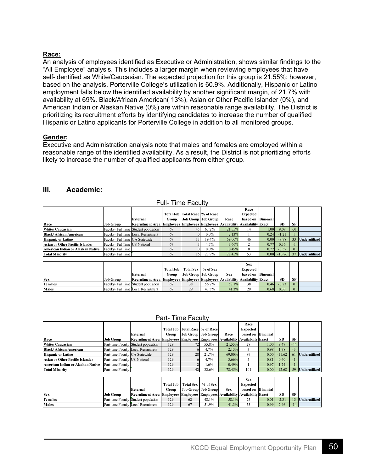#### **Race:**

An analysis of employees identified as Executive or Administration, shows similar findings to the "All Employee" analysis. This includes a larger margin when reviewing employees that have self-identified as White/Caucasian. The expected projection for this group is 21.55%; however, based on the analysis, Porterville College's utilization is 60.9%. Additionally, Hispanic or Latino employment falls below the identified availability by another significant margin, of 21.7% with availability at 69%. Black/African American( 13%), Asian or Other Pacific Islander (0%), and American Indian or Alaskan Native (0%) are within reasonable range availability. The District is prioritizing its recruitment efforts by identifying candidates to increase the number of qualified Hispanic or Latino applicants for Porterville College in addition to all monitored groups.

#### **Gender:**

Executive and Administration analysis note that males and females are employed within a reasonable range of the identified availability. As a result, the District is not prioritizing efforts likely to increase the number of qualified applicants from either group.

#### **III. Academic:**

|                                   |                                      |                                                                                | <b>Full-Time Faculty</b> |                  |                                    |            |                   |                   |           |           |               |
|-----------------------------------|--------------------------------------|--------------------------------------------------------------------------------|--------------------------|------------------|------------------------------------|------------|-------------------|-------------------|-----------|-----------|---------------|
|                                   |                                      |                                                                                |                          |                  |                                    |            | Race              |                   |           |           |               |
|                                   |                                      |                                                                                |                          |                  | Total Job   Total Race   % of Race |            | <b>Expected</b>   |                   |           |           |               |
|                                   |                                      | External                                                                       | Group                    |                  | <b>Job Group   Job Group</b>       | Race       | based on Binomial |                   |           |           |               |
| Race                              | Job Group                            | Recruitment Area Employees Employees Employees Availability Availability Exact |                          |                  |                                    |            |                   |                   | <b>SD</b> | <b>SF</b> |               |
| White/ Caucasian                  |                                      | Faculty- Full Time Student population                                          | 67                       | 45               | 67.2%                              | 21.55%     | 14                | 1.00              | 9.08      | $-31$     |               |
| Black/ African American           | Faculty- Full Time Local Recruitment |                                                                                | 67                       |                  | $0.0\%$                            | 2.13%      |                   | 0.24              | $-1.21$   |           |               |
| <b>Hispanic or Latino</b>         | Faculty- Full Time CA Statewide      |                                                                                | 67                       | 13               | 19.4%                              | 69.00%     | 46                | 0.00              | $-8.78$   | 33        | Underutilized |
| Asian or Other Pacific Islander   | Faculty- Full Time US National       |                                                                                | 67                       |                  | 4.5%                               | 3.66%      | $\overline{2}$    | 0.77              | 0.36      | -1        |               |
| American Indian or Alaskan Native | Faculty-Full Time                    |                                                                                | 67                       |                  | $0.0\%$                            | 0.49%      | $\Omega$          | 0.72              | $-0.57$   | $\Omega$  |               |
| <b>Total Minority</b>             | Faculty-Full Time                    |                                                                                | 67                       | 16               | 23.9%                              | 78.45%     | 53                | 0.00 <sub>l</sub> | $-10.86$  | 37        | Underutilized |
|                                   |                                      |                                                                                |                          |                  |                                    |            |                   |                   |           |           |               |
|                                   |                                      |                                                                                |                          |                  |                                    |            | <b>Sex</b>        |                   |           |           |               |
|                                   |                                      |                                                                                | <b>Total Job</b>         | <b>Total Sex</b> | $%$ of Sex                         |            | <b>Expected</b>   |                   |           |           |               |
|                                   |                                      | External                                                                       | Group                    |                  | <b>Job Group</b> Job Group         | <b>Sex</b> | based on Binomial |                   |           |           |               |
| <b>Sex</b>                        | Job Group                            | Recruitment Area Employees Employees Employees Availability Availability Exact |                          |                  |                                    |            |                   |                   | <b>SD</b> | <b>SF</b> |               |
| <b>Females</b>                    |                                      | Faculty- Full Time Student population                                          | 67                       | 38               | 56.7%                              | 58.1%      | 38                | 0.46              | $-0.23$   | 0         |               |
| Males                             | Faculty- Full Time Local Recruitment |                                                                                | 67                       | 29               | 43.3%                              | 41.3%      | 29                | 0.68              | 0.33      | $\Omega$  |               |

#### Part- Time Faculty

|                                   |                                |                                                                                |       |    |                                    |        | Race              |                   |               |           |               |
|-----------------------------------|--------------------------------|--------------------------------------------------------------------------------|-------|----|------------------------------------|--------|-------------------|-------------------|---------------|-----------|---------------|
|                                   |                                |                                                                                |       |    | Total Job   Total Race   % of Race |        | <b>Expected</b>   |                   |               |           |               |
|                                   |                                | External                                                                       | Group |    | Job Group   Job Group              | Race   | based on Binomial |                   |               |           |               |
| Race                              | <b>Job Group</b>               | Recruitment Area Employees Employees Employees Availability Availability Exact |       |    |                                    |        |                   |                   | <b>SD</b>     | <b>SF</b> |               |
| White/ Caucasian                  |                                | Part-time Faculty Student population                                           | 129   |    | 55.8%                              | 21.55% | 28                | 100.1             | 9.47          | $-44$     |               |
| Black/African American            |                                | Part-time Faculty Local Recruitment                                            | 129   |    | 4.7%                               | 2.13%  |                   | 0.98              | 1.98          | $-3$      |               |
| <b>Hispanic or Latino</b>         | Part-time Faculty CA Statewide |                                                                                | 129   | 28 | 21.7%                              | 69.00% | 89                | 0.00 <sub>l</sub> | $-11.62$      | 61        | Underutilized |
| Asian or Other Pacific Islander   | Part-time Faculty US National  |                                                                                | 129   |    | 4.7%                               | 3.66%  |                   | 0.81              | 0.60          | - 1       |               |
| American Indian or Alaskan Native | Part-time Faculty              |                                                                                | 129   |    | 1.6%                               | 0.49%  |                   | 0.97              | 1.74          |           |               |
| <b>Total Minority</b>             | Part-time Faculty              |                                                                                | 129   | 42 | 32.6%                              | 78.45% | 101               |                   | $0.00$ -12.68 | .59       | Underutilized |

|            |                  |                                                                                  |       |                                |          |            | Sex               |      |         |       |               |
|------------|------------------|----------------------------------------------------------------------------------|-------|--------------------------------|----------|------------|-------------------|------|---------|-------|---------------|
|            |                  |                                                                                  |       | <b>Total Job   Total Sex  </b> | % of Sex |            | Expected          |      |         |       |               |
|            |                  | External                                                                         | Group | Job Group Job Group            |          | <b>Sex</b> | based on Binomial |      |         |       |               |
| <b>Sex</b> | <b>Job Group</b> | Recruitment Area [Employees] Employees Employees Availability Availability Exact |       |                                |          |            |                   |      | SD      | SF    |               |
| Females    |                  | Part-time Faculty Student population                                             | 129   | 62                             | 48.1%    | 58.1%      |                   | 0.01 | $-2.31$ |       | Underutilized |
| Males      |                  | Part-time Faculty Local Recruitment                                              | 129   | 67                             | 51.9%    | 41.3%      |                   | 0.99 | 2.46    | $-14$ |               |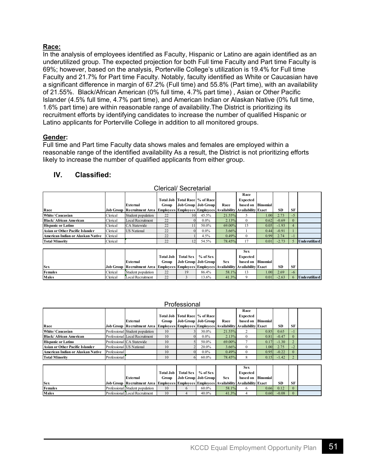#### **Race:**

In the analysis of employees identified as Faculty, Hispanic or Latino are again identified as an underutilized group. The expected projection for both Full time Faculty and Part time Faculty is 69%; however, based on the analysis, Porterville College's utilization is 19.4% for Full time Faculty and 21.7% for Part time Faculty. Notably, faculty identified as White or Caucasian have a significant difference in margin of 67.2% (Full time) and 55.8% (Part time), with an availability of 21.55%. Black/African American (0% full time, 4.7% part time) , Asian or Other Pacific Islander (4.5% full time, 4.7% part time), and American Indian or Alaskan Native (0% full time, 1.6% part time) are within reasonable range of availability.The District is prioritizing its recruitment efforts by identifying candidates to increase the number of qualified Hispanic or Latino applicants for Porterville College in addition to all monitored groups.

#### **Gender:**

Full time and Part time Faculty data shows males and females are employed within a reasonable range of the identified availability As a result, the District is not prioritizing efforts likely to increase the number of qualified applicants from either group.

|                                        |          |                                                                                          | Clefical/ Secretafial |                  |                                  |                                                                      |                   |      |           |           |               |
|----------------------------------------|----------|------------------------------------------------------------------------------------------|-----------------------|------------------|----------------------------------|----------------------------------------------------------------------|-------------------|------|-----------|-----------|---------------|
|                                        |          |                                                                                          |                       |                  |                                  |                                                                      | Race              |      |           |           |               |
|                                        |          |                                                                                          |                       |                  | Total Job Total Race   % of Race |                                                                      | Expected          |      |           |           |               |
|                                        |          | External                                                                                 | Group                 |                  | <b>Job Group   Job Group  </b>   | Race                                                                 | based on Binomial |      |           |           |               |
| Race                                   |          | Job Group Recruitment Area Employees Employees Employees Availability Availability Exact |                       |                  |                                  |                                                                      |                   |      | <b>SD</b> | SF        |               |
| White/ Caucasian                       | Clerical | Student population                                                                       | 22                    | 10               | 45.5%                            | 21.55%                                                               |                   | 1.00 | 2.73      | $-5$      |               |
| Black/African American                 | Clerical | Local Recruitment                                                                        | 22                    | $\Omega$         | $0.0\%$                          | 2.13%                                                                | $\Omega$          | 0.62 | $-0.69$   | $\Omega$  |               |
| <b>Hispanic or Latino</b>              | Clerical | <b>CA</b> Statewide                                                                      | 22                    | 11               | 50.0%                            | 69.00%                                                               | 15                | 0.05 | $-1.93$   | 4         |               |
| <b>Asian or Other Pacific Islander</b> | Clerical | <b>US National</b>                                                                       | 22                    |                  | $0.0\%$                          | 3.66%                                                                |                   | 0.44 | $-0.91$   |           |               |
| American Indian or Alaskan Native      | Clerical |                                                                                          | 22                    |                  | 4.5%                             | 0.49%                                                                | $\theta$          | 0.99 | 2.74      | $-1$      |               |
| <b>Total Minority</b>                  | Clerical |                                                                                          | 22                    | 12               | 54.5%                            | 78.45%                                                               | 17                | 0.01 | $-2.73$   |           | Underutilized |
|                                        |          |                                                                                          |                       |                  |                                  |                                                                      |                   |      |           |           |               |
|                                        |          |                                                                                          |                       |                  |                                  |                                                                      | <b>Sex</b>        |      |           |           |               |
|                                        |          |                                                                                          | <b>Total Job</b>      | <b>Total Sex</b> | % of Sex                         |                                                                      | Expected          |      |           |           |               |
|                                        |          | External                                                                                 | Group                 |                  | Job Group Job Group              | <b>Sex</b>                                                           | based on Binomial |      |           |           |               |
| <b>Sex</b>                             |          | <b>Job Group Recruitment Area</b>                                                        |                       |                  |                                  | <b>Employees Employees Employees Availability Availability Exact</b> |                   |      | <b>SD</b> | <b>SF</b> |               |
| Females                                | Clerical | Student population                                                                       | 22                    | 19               | 86.4%                            | 58.1%                                                                | 13                | 1.00 | 2.69      | $-6$      |               |
| Males                                  | Clerical | Local Recruitment                                                                        | 22                    | 3                | 13.6%                            | 41.3%                                                                | 9                 | 0.01 | $-2.63$   | 6         | Underutilized |
|                                        |          |                                                                                          |                       |                  |                                  |                                                                      |                   |      |           |           |               |

 $\Omega$  cuts all  $\Omega$  secretarial

#### **IV. Classified:**

|                                        |              |                                                                                          |       |                                 |        | Race              |      |           |          |  |
|----------------------------------------|--------------|------------------------------------------------------------------------------------------|-------|---------------------------------|--------|-------------------|------|-----------|----------|--|
|                                        |              |                                                                                          |       | Total Job Total Race \% of Race |        | Expected          |      |           |          |  |
|                                        |              | External                                                                                 | Group | <b>Job Group</b> Job Group      | Race   | based on Binomial |      |           |          |  |
| Race                                   |              | Job Group Recruitment Area Employees Employees Employees Availability Availability Exact |       |                                 |        |                   |      | <b>SD</b> | SF       |  |
| White/ Caucasian                       |              | Professional Student population                                                          | 10    | 30.0%                           | 21.55% |                   | 0.85 | 0.65      | - 1      |  |
| Black/African American                 |              | Professional Local Recruitment                                                           | 10    | $0.0\%$                         | 2.13%  |                   | 0.81 | $-0.47$   | $\Omega$ |  |
| <b>Hispanic or Latino</b>              |              | Professional CA Statewide                                                                | 10    | 50.0%                           | 69.00% |                   | 0.17 | $-1.30$   |          |  |
| <b>Asian or Other Pacific Islander</b> |              | Professional US National                                                                 | 10    | 20.0%                           | 3.66%  |                   | 1.00 | 2.75      | $-2$     |  |
| American Indian or Alaskan Native      | Professional |                                                                                          | 10    | $0.0\%$                         | 0.49%  |                   | 0.95 | $-0.22$   | $\Omega$ |  |
| <b>Total Minority</b>                  | Professional |                                                                                          | 10    | 60.0%                           | 78.45% |                   | 0.15 | $-1.42$   |          |  |

|            |                                                                                                         |       |                                  |       |            | <b>Sex</b>        |      |         |    |  |
|------------|---------------------------------------------------------------------------------------------------------|-------|----------------------------------|-------|------------|-------------------|------|---------|----|--|
|            |                                                                                                         |       | Total Job   Total Sex   % of Sex |       |            | Expected          |      |         |    |  |
|            | External                                                                                                | Group | Job Group Job Group              |       | <b>Sex</b> | based on Binomial |      |         |    |  |
| <b>Sex</b> | [Job Group   Recruitment Area   Emplovees   Emplovees   Emplovees   Availability   Availability   Exact |       |                                  |       |            |                   |      | SD      | SF |  |
| Females    | Professional Student population                                                                         | 10    |                                  | 60.0% | 58.1%      |                   | 0.66 | 0.12    |    |  |
| Males      | Professional Local Recruitment                                                                          | 10    |                                  | 40.0% | 41.3%      |                   | 0.60 | $-0.08$ |    |  |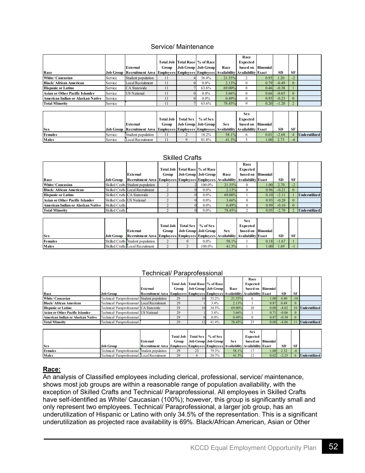#### Service/ Maintenance

|                                        |         | External                          | Group | Total Job Total Race % of Race<br>Job Group   Job Group | Race                                                                 | Race<br>Expected<br>based on Binomial |      |           |      |  |
|----------------------------------------|---------|-----------------------------------|-------|---------------------------------------------------------|----------------------------------------------------------------------|---------------------------------------|------|-----------|------|--|
| Race                                   |         | <b>Job Group Recruitment Area</b> |       |                                                         | <b>Employees Employees Employees Availability Availability Exact</b> |                                       |      | <b>SD</b> | SF   |  |
| White/ Caucasian                       | Service | Student population                | 11    | 36.4%                                                   | 21.55%                                                               |                                       | 0.93 | 1.20      | $-2$ |  |
| Black/African American                 | Service | Local Recruitment                 |       | $0.0\%$                                                 | 2.13%                                                                |                                       | 0.79 | $-0.49$   |      |  |
| <b>Hispanic or Latino</b>              | Service | CA Statewide                      |       | 63.6%                                                   | 69.00%                                                               |                                       | 0.46 | $-0.38$   |      |  |
| <b>Asian or Other Pacific Islander</b> | Service | <b>US</b> National                |       | $0.0\%$                                                 | 3.66%                                                                |                                       | 0.66 | $-0.65$   |      |  |
| American Indian or Alaskan Native      | Service |                                   |       | $0.0\%$                                                 | 0.49%                                                                |                                       | 0.95 | $-0.23$   |      |  |
| <b>Total Minority</b>                  | Service |                                   |       | 63.6%                                                   | 78.45%                                                               |                                       | 0.20 | $-1.20$   |      |  |

|                |         |                                                                                                  |                  |                  |                       |            | Sex               |       |         |     |                 |
|----------------|---------|--------------------------------------------------------------------------------------------------|------------------|------------------|-----------------------|------------|-------------------|-------|---------|-----|-----------------|
|                |         |                                                                                                  | <b>Total Job</b> | <b>Total Sex</b> | % of Sex              |            | Expected          |       |         |     |                 |
|                |         | External                                                                                         | Group            |                  | Job Group   Job Group | <b>Sex</b> | based on Binomial |       |         |     |                 |
| <b>Sex</b>     |         | <b>JJob Group Recruitment Area Employees Employees Employees Availability Availability Exact</b> |                  |                  |                       |            |                   |       | SD      | -SF |                 |
| <b>Females</b> | Service | Student population                                                                               |                  |                  | 18.2%                 | 58.1%      |                   | 0.01  | $-2.68$ |     | Underutilized l |
| Males          | Service | Local Recruitment                                                                                |                  |                  | 81.8%                 | 41.3%      |                   | 1.001 | 2.73    |     |                 |

#### Skilled Crafts

|                                        |                            |                                                                                |       |                                  |         |        | Race              |      |           |           |                      |
|----------------------------------------|----------------------------|--------------------------------------------------------------------------------|-------|----------------------------------|---------|--------|-------------------|------|-----------|-----------|----------------------|
|                                        |                            |                                                                                |       | Total Job Total Race   % of Race |         |        | Expected          |      |           |           |                      |
|                                        |                            | External                                                                       | Group | Job Group   Job Group            |         | Race   | based on Binomial |      |           |           |                      |
| Race                                   | Job Group                  | Recruitment Area Employees Employees Employees Availability Availability Exact |       |                                  |         |        |                   |      | <b>SD</b> | <b>SF</b> |                      |
| White/ Caucasian                       |                            | Skilled Crafts Student population                                              | ∠     |                                  | 100.0%  | 21.55% |                   | 1.00 | 2.70      | $-2$      |                      |
| Black/African American                 |                            | Skilled Crafts Local Recruitment                                               |       |                                  | $0.0\%$ | 2.13%  |                   | 0.96 | $-0.21$   |           |                      |
| <b>Hispanic or Latino</b>              |                            | Skilled Crafts CA Statewide                                                    |       |                                  | $0.0\%$ | 69.00% |                   | 0.10 | $-2.11$   |           | Unde rutilize d      |
| <b>Asian or Other Pacific Islander</b> | Skilled Crafts US National |                                                                                |       |                                  | $0.0\%$ | 3.66%  |                   | 0.93 | $-0.28$   |           |                      |
| American Indian or Alaskan Native      | Skilled Crafts             |                                                                                |       |                                  | $0.0\%$ | 0.49%  |                   | 0.99 | $-0.10$   | $\Omega$  |                      |
| <b>Total Minority</b>                  | Skilled Crafts             |                                                                                |       |                                  | $0.0\%$ | 78.45% |                   | 0.05 | $-2.70$   |           | <b>Underutilized</b> |

|                |           |                                                                                            |                  |                      |         |            | <b>Sex</b>        |       |         |     |  |
|----------------|-----------|--------------------------------------------------------------------------------------------|------------------|----------------------|---------|------------|-------------------|-------|---------|-----|--|
|                |           |                                                                                            | <b>Total Job</b> | Total Sex   % of Sex |         |            | Expected          |       |         |     |  |
|                |           | External                                                                                   | Group            | Job Group Job Group  |         | <b>Sex</b> | based on Binomial |       |         |     |  |
| <b>Sex</b>     | Job Group | Recruitment Area   Employees   Employees   Employees   Availability   Availability   Exact |                  |                      |         |            |                   |       | SD      | -SF |  |
| <b>Females</b> |           | Skilled Crafts Student population                                                          |                  |                      | $0.0\%$ | 58.1%      |                   | 0.18  | $-1.67$ |     |  |
| Males          |           | Skilled Crafts Local Recruitment                                                           |                  |                      | 100.0%  | 41.3%      |                   | 1.001 | 1.69    |     |  |

#### Technical/ Paraprofessional

|                                   |                                               |                                                                                |       |                                  |         |        | Race              |                   |           |       |               |
|-----------------------------------|-----------------------------------------------|--------------------------------------------------------------------------------|-------|----------------------------------|---------|--------|-------------------|-------------------|-----------|-------|---------------|
|                                   |                                               |                                                                                |       | Total Job Total Race   % of Race |         |        | <b>Expected</b>   |                   |           |       |               |
|                                   |                                               | External                                                                       | Group | Job Group   Job Group            |         | Race   | based on Binomial |                   |           |       |               |
| Race                              | Job Group                                     | Recruitment Area Employees Employees Employees Availability Availability Exact |       |                                  |         |        |                   |                   | <b>SD</b> | SF    |               |
| White/ Caucasian                  | Technical/Paraprofessional Student population |                                                                                | 29    |                                  | 55.2%   | 21.55% |                   | .00.              | 4.40      | $-10$ |               |
| <b>Black/African American</b>     | Technical/ Paraprofessional Local Recruitment |                                                                                | 29    |                                  | $3.4\%$ | 2.13%  |                   | 0.87              | 0.49      |       |               |
| <b>Hispanic or Latino</b>         | Technical/Paraprofessional CA Statewide       |                                                                                | 29    | 10                               | 34.5%   | 69.00% | 20                | 0.00 <sub>l</sub> | $-4.02$   |       | Underutilized |
| Asian or Other Pacific Islander   | Technical/ Paraprofessional US National       |                                                                                | 29    |                                  | $3.4\%$ | 3.66%  |                   | 0.71              | $-0.06$   |       |               |
| American Indian or Alaskan Native | Technical/Paraprofessional                    |                                                                                | 29    |                                  | $0.0\%$ | 0.49%  | $^{0}$            | 0.87              | $-0.38$   |       |               |
| <b>Total Minority</b>             | Technical/Paraprofessional                    |                                                                                | 29    |                                  | 41.4%   | 78.45% | 23                | 0.00 <sub>l</sub> | $-4.86$   |       | Underutilized |

|            |                                                |                                                                                |       |                                  |       |            | <b>Sex</b>        |                   |           |      |                      |
|------------|------------------------------------------------|--------------------------------------------------------------------------------|-------|----------------------------------|-------|------------|-------------------|-------------------|-----------|------|----------------------|
|            |                                                |                                                                                |       | Total Job   Total Sex   % of Sex |       |            | Expected          |                   |           |      |                      |
|            |                                                | External                                                                       | Group | <b>Job Group Job Group</b>       |       | <b>Sex</b> | based on Binomial |                   |           |      |                      |
| <b>Sex</b> | Job Group                                      | Recruitment Area Employees Employees Employees Availability Availability Exact |       |                                  |       |            |                   |                   | <b>SD</b> | SF   |                      |
| Females    | Technical/ Paraprofessional Student population |                                                                                | 29    | $\sim$                           | 79.3% | 58.1%      |                   | 1.00 <sub>1</sub> | 2.32      | $-6$ |                      |
| Males      | Technical/ Paraprofessional Local Recruitment  |                                                                                | 29    |                                  | 20.7% | 41.3%      | 12                | 0.02              | $-2.25$   |      | <b>Underutilized</b> |

#### **Race:**

An analysis of Classified employees including clerical, professional, service/ maintenance, shows most job groups are within a reasonable range of population availability, with the exception of Skilled Crafts and Technical/ Paraprofessional. All employees in Skilled Crafts have self-identified as White/ Caucasian (100%); however, this group is significantly small and only represent two employees. Technical/ Paraprofessional, a larger job group, has an underutilization of Hispanic or Latino with only 34.5% of the representation. This is a significant underutilization as projected race availability is 69%. Black/African American, Asian or Other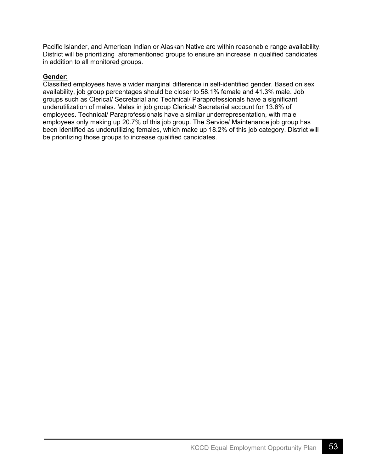Pacific Islander, and American Indian or Alaskan Native are within reasonable range availability. District will be prioritizing aforementioned groups to ensure an increase in qualified candidates in addition to all monitored groups.

#### **Gender:**

Classified employees have a wider marginal difference in self-identified gender. Based on sex availability, job group percentages should be closer to 58.1% female and 41.3% male. Job groups such as Clerical/ Secretarial and Technical/ Paraprofessionals have a significant underutilization of males. Males in job group Clerical/ Secretarial account for 13.6% of employees. Technical/ Paraprofessionals have a similar underrepresentation, with male employees only making up 20.7% of this job group. The Service/ Maintenance job group has been identified as underutilizing females, which make up 18.2% of this job category. District will be prioritizing those groups to increase qualified candidates.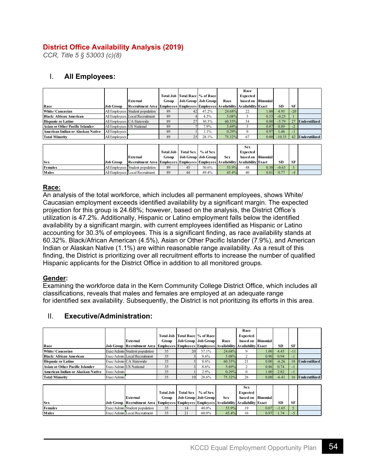#### **District Office Availability Analysis (2019)**

*CCR, Title 5 § 53003 (c)(8)*

#### I. **All Employees:**

|                                   |                           |                                                                                       |                  |                  |                               |            | Race              |                   |           |           |                      |
|-----------------------------------|---------------------------|---------------------------------------------------------------------------------------|------------------|------------------|-------------------------------|------------|-------------------|-------------------|-----------|-----------|----------------------|
|                                   |                           |                                                                                       | <b>Total Job</b> |                  | <b>Total Race   % of Race</b> |            | Expected          |                   |           |           |                      |
|                                   |                           | External                                                                              | Group            |                  | <b>Job Group   Job Group</b>  | Race       | based on Binomial |                   |           |           |                      |
| Race                              | Job Group                 | <b>Recruitment Area Employees Employees Employees Availability Availability Exact</b> |                  |                  |                               |            |                   |                   | <b>SD</b> | <b>SF</b> |                      |
| <b>White/Caucasian</b>            |                           | All Employees Student population                                                      | 89               | 42               | 47.2%                         | 24.68%     | 22                | 1.00              | 4.93      | $-20$     |                      |
| Black/African American            |                           | All Employees Local Recruitment                                                       | 89               |                  | 4.5%                          | 5.08%      | 5                 | 0.53              | $-0.25$   |           |                      |
| <b>Hispanic or Latino</b>         |                           | All Employees CA Statewide                                                            | 89               | 27               | 30.3%                         | 60.35%     | 54                | 0.00              | $-5.79$   | 27        | <b>Underutilized</b> |
| Asian or Other Pacific Islander   | All Employees US National |                                                                                       | 89               |                  | 7.9%                          | 5.69%      | 5                 | 0.87              | 0.89      | $-2$      |                      |
| American Indian or Alaskan Native | All Employees             |                                                                                       | 89               |                  | 1.1%                          | 0.29%      | $\theta$          | 0.97              | 1.46      | - 1       |                      |
| <b>Total Minority</b>             | All Employees             |                                                                                       | 89               | 25               | 28.1%                         | 75.32%     | 67                | 0.00 <sub>l</sub> | $-10.33$  |           | 42 Underutilized     |
|                                   |                           |                                                                                       |                  |                  |                               |            |                   |                   |           |           |                      |
|                                   |                           |                                                                                       |                  |                  |                               |            | <b>Sex</b>        |                   |           |           |                      |
|                                   |                           |                                                                                       | <b>Total Job</b> | <b>Total Sex</b> | % of Sex                      |            | Expected          |                   |           |           |                      |
|                                   |                           | <b>External</b>                                                                       | Group            |                  | <b>Job Group</b> Job Group    | <b>Sex</b> | based on Binomial |                   |           |           |                      |
| <b>Sex</b>                        | Job Group                 | <b>Recruitment Area Employees Employees Employees Availability Availability Exact</b> |                  |                  |                               |            |                   |                   | <b>SD</b> | <b>SF</b> |                      |
| <b>Females</b>                    |                           | All Employees Student population                                                      | 89               | 45               | 50.6%                         | 53.9%      | 48                | 0.30              | $-0.63$   |           |                      |
| Males                             |                           | All Employees Local Recruitment                                                       | 89               | 44               | 49.4%                         | 45.4%      | 40                | 0.81              | 0.77      | $-4$      |                      |

#### **Race:**

An analysis of the total workforce, which includes all permanent employees, shows White/ Caucasian employment exceeds identified availability by a significant margin. The expected projection for this group is 24.68%; however, based on the analysis, the District Office's utilization is 47.2%. Additionally, Hispanic or Latino employment falls below the identified availability by a significant margin, with current employees identified as Hispanic or Latino accounting for 30.3% of employees. This is a significant finding, as race availability stands at 60.32%. Black/African American (4.5%), Asian or Other Pacific Islander (7.9%), and American Indian or Alaskan Native (1.1%) are within reasonable range availability. As a result of this finding, the District is prioritizing over all recruitment efforts to increase the number of qualified Hispanic applicants for the District Office in addition to all monitored groups.

#### **Gender:**

Examining the workforce data in the Kern Community College District Office, which includes all classifications, reveals that males and females are employed at an adequate range for identified sex availability. Subsequently, the District is not prioritizing its efforts in this area.

#### II. **Executive/Administration:**

|                                   |            |                                                                                                 |       |    |                                |        | Race              |                   |           |           |                      |
|-----------------------------------|------------|-------------------------------------------------------------------------------------------------|-------|----|--------------------------------|--------|-------------------|-------------------|-----------|-----------|----------------------|
|                                   |            |                                                                                                 |       |    | Total Job Total Race % of Race |        | Expected          |                   |           |           |                      |
|                                   |            | External                                                                                        | Group |    | Job Group   Job Group          | Race   | based on Binomial |                   |           |           |                      |
| Race                              |            | <b>Job Group Recruitment Area Employees Employees Employees Availability Availability Exact</b> |       |    |                                |        |                   |                   | <b>SD</b> | <b>SF</b> |                      |
| White/ Caucasian                  |            | Exec/Admin Student population                                                                   | 35    | 20 | 57.1%                          | 24.68% |                   | 1.00              | 4.45      | $-11$     |                      |
| Black/African American            |            | Exec/Admin Local Recruitment                                                                    | 35    |    | 8.6%                           | 5.08%  |                   | 0.90 <sub>1</sub> | 0.94      |           |                      |
| <b>Hispanic or Latino</b>         |            | Exec/Admin CA Statewide                                                                         | 35    |    | 8.6%                           | 60.35% | 21                | 0.00 <sub>l</sub> | $-6.26$   | 18        | <b>Underutilized</b> |
| Asian or Other Pacific Islander   |            | Exec/Admin US National                                                                          | 35    |    | 8.6%                           | 5.69%  |                   | 0.86              | 0.74      |           |                      |
| American Indian or Alaskan Native | Exec/Admin |                                                                                                 | 35    |    | 2.9%                           | 0.29%  |                   | 1.00              | 2.82      |           |                      |
| <b>Total Minority</b>             | Exec/Admin |                                                                                                 | 35    | 10 | 28.6%                          | 75.32% | 26                | 0.00              | $-6.41$   | 16        | Underutilized        |

|            |                                                                                                 |       |                                  |                     |            | <b>Sex</b>        |      |           |     |  |
|------------|-------------------------------------------------------------------------------------------------|-------|----------------------------------|---------------------|------------|-------------------|------|-----------|-----|--|
|            |                                                                                                 |       | Total Job   Total Sex   % of Sex |                     |            | Expected          |      |           |     |  |
|            | External                                                                                        | Group |                                  | Job Group Job Group | <b>Sex</b> | based on Binomial |      |           |     |  |
| <b>Sex</b> | <b>Job Group Recruitment Area Employees Employees Employees Availability Availability Exact</b> |       |                                  |                     |            |                   |      | <b>SD</b> | -SF |  |
| Females    | Exec/Admin Student population                                                                   |       |                                  | 40.0%               | 53.9%      | 19                | 0.07 | $-1.65$   |     |  |
| Males      | Exec/Admin Local Recruitment                                                                    |       | 21                               | 60.0%               | 45.4%      | 16                | 0.97 | 1.74      |     |  |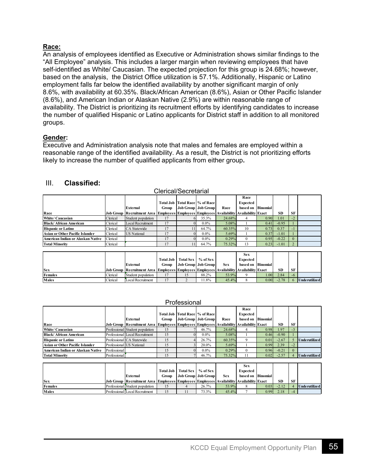#### **Race:**

An analysis of employees identified as Executive or Administration shows similar findings to the "All Employee" analysis. This includes a larger margin when reviewing employees that have self-identified as White/ Caucasian. The expected projection for this group is 24.68%; however, based on the analysis, the District Office utilization is 57.1%. Additionally, Hispanic or Latino employment falls far below the identified availability by another significant margin of only 8.6%, with availability at 60.35%. Black/African American (8.6%), Asian or Other Pacific Islander (8.6%), and American Indian or Alaskan Native (2.9%) are within reasonable range of availability. The District is prioritizing its recruitment efforts by identifying candidates to increase the number of qualified Hispanic or Latino applicants for District staff in addition to all monitored groups.

#### **Gender:**

Executive and Administration analysis note that males and females are employed within a reasonable range of the identified availability. As a result, the District is not prioritizing efforts likely to increase the number of qualified applicants from either group**.** 

|                                        |          |                                   |                  |                  |                                 |                                                                      | Race            |                   |           |                |               |
|----------------------------------------|----------|-----------------------------------|------------------|------------------|---------------------------------|----------------------------------------------------------------------|-----------------|-------------------|-----------|----------------|---------------|
|                                        |          |                                   |                  |                  | Total Job Total Race \% of Race |                                                                      | <b>Expected</b> |                   |           |                |               |
|                                        |          | External                          | Group            |                  | Job Group Job Group             | Race                                                                 | based on        | Binomial          |           |                |               |
| Race                                   |          | <b>Job Group Recruitment Area</b> |                  |                  |                                 | <b>Employees Employees Employees Availability Availability Exact</b> |                 |                   | SD.       | SF             |               |
| White/ Caucasian                       | Clerical | Student population                | 17               |                  | 35.3%                           | 24.68%                                                               | 4               | 0.90 <sub>l</sub> | 1.01      | $-2$           |               |
| Black/African American                 | Clerical | Local Recruitment                 | 17               | $\Omega$         | $0.0\%$                         | 5.08%                                                                |                 | 0.41              | $-0.95$   |                |               |
| <b>Hispanic or Latino</b>              | Clerical | CA Statewide                      | 17               | 11               | 64.7%                           | 60.35%                                                               | 10              | 0.73              | 0.37      | -1             |               |
| <b>Asian or Other Pacific Islander</b> | Clerical | <b>US</b> National                | 17               |                  | $0.0\%$                         | 5.69%                                                                |                 | 0.37              | $-1.01$   |                |               |
| American Indian or Alaskan Native      | Clerical |                                   | 17               |                  | $0.0\%$                         | 0.29%                                                                | $\theta$        | 0.95              | $-0.22$   | $\Omega$       |               |
| <b>Total Minority</b>                  | Clerical |                                   | 17               | 11               | 64.7%                           | 75.32%                                                               | 13              | 0.23              | $-1.01$   | $\overline{2}$ |               |
|                                        |          |                                   |                  |                  |                                 |                                                                      |                 |                   |           |                |               |
|                                        |          |                                   |                  |                  |                                 |                                                                      | <b>Sex</b>      |                   |           |                |               |
|                                        |          |                                   | <b>Total Job</b> | <b>Total Sex</b> | % of Sex                        |                                                                      | <b>Expected</b> |                   |           |                |               |
|                                        |          | External                          | Group            |                  | Job Group Job Group             | <b>Sex</b>                                                           | based on        | Binomial          |           |                |               |
| <b>Sex</b>                             |          | <b>Job Group Recruitment Area</b> |                  |                  |                                 | <b>Employees Employees Employees Availability Availability Exact</b> |                 |                   | <b>SD</b> | <b>SF</b>      |               |
| Females                                | Clerical | Student population                | 17               | 15               | 88.2%                           | 53.9%                                                                | 9               | 1.00              | 2.84      | -6             |               |
| Males                                  | Clerical | Local Recruitment                 | 17               | $\overline{c}$   | 11.8%                           | 45.4%                                                                | 8               | 0.001             | $-2.78$   | 6              | Underutilized |

Clerical/Secretarial

#### III. **Classified:**

#### Professional

|                                   |              | External                          | Group | Total Job Total Race \% of Race<br>Job Group Job Group | Race                                                                 | Race<br>Expected<br>based on Binomial |      |           |      |                      |
|-----------------------------------|--------------|-----------------------------------|-------|--------------------------------------------------------|----------------------------------------------------------------------|---------------------------------------|------|-----------|------|----------------------|
| Race                              |              | <b>Job Group Recruitment Area</b> |       |                                                        | <b>Employees Employees Employees Availability Availability Exact</b> |                                       |      | <b>SD</b> | SF   |                      |
| White/ Caucasian                  |              | Professional Student population   | 15    | 46.7%                                                  | 24.68%                                                               |                                       | 0.98 | 1.97      | - 3  |                      |
| Black/African American            |              | Professional Local Recruitment    | 15    | $0.0\%$                                                | 5.08%                                                                |                                       | 0.46 | $-0.90$   |      |                      |
| <b>Hispanic or Latino</b>         |              | Professional CA Statewide         | 15    | 26.7%                                                  | 60.35%                                                               |                                       | 0.0  | $-2.67$   |      | <b>Underutilized</b> |
| Asian or Other Pacific Islander   |              | Professional US National          |       | 20.0%                                                  | 5.69%                                                                |                                       | 0.99 | 2.39      | $-2$ |                      |
| American Indian or Alaskan Native | Professional |                                   | 15    | $0.0\%$                                                | 0.29%                                                                |                                       | 0.96 | $-0.21$   |      |                      |
| <b>Total Minority</b>             | Professional |                                   | 15    | 46.7%                                                  | 75.32%                                                               |                                       | 0.02 | $-2.57$   |      | <b>Underutilized</b> |

|            |                                                                                                                 |       |                                  |                     |            | <b>Sex</b>        |      |         |      |                      |
|------------|-----------------------------------------------------------------------------------------------------------------|-------|----------------------------------|---------------------|------------|-------------------|------|---------|------|----------------------|
|            |                                                                                                                 |       | Total Job   Total Sex   % of Sex |                     |            | Expected          |      |         |      |                      |
|            | External                                                                                                        | Group |                                  | Job Group Job Group | <b>Sex</b> | based on Binomial |      |         |      |                      |
| <b>Sex</b> | <u>JJob Group   Recruitment Area   Emplovees   Emplovees   Emplovees   Availability   Availability   Exact </u> |       |                                  |                     |            |                   |      | SD      | SF   |                      |
| Females    | Professional Student population                                                                                 |       |                                  | 26.7%               | 53.9%      |                   | 0.03 | $-2.12$ |      | <b>Underutilized</b> |
| Males      | Professional Local Recruitment                                                                                  |       |                                  | 73.3%               | 45.4%      |                   | 0.99 | 2.18    | $-4$ |                      |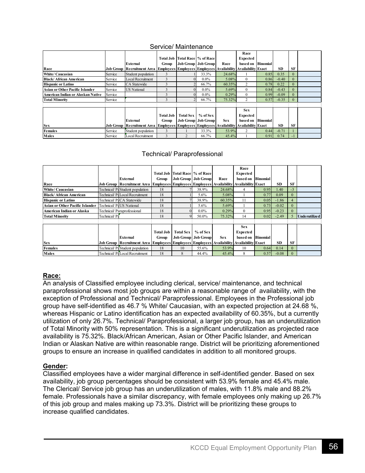#### Service/ Maintenance

|                                   |         |                                                                                          |              |                  |                                  |            | Race              |                 |           |           |  |
|-----------------------------------|---------|------------------------------------------------------------------------------------------|--------------|------------------|----------------------------------|------------|-------------------|-----------------|-----------|-----------|--|
|                                   |         |                                                                                          |              |                  | Total Job Total Race   % of Race |            | Expected          |                 |           |           |  |
|                                   |         | External                                                                                 | Group        |                  | <b>Job Group   Job Group  </b>   | Race       | based on Binomial |                 |           |           |  |
| Race                              |         | Job Group Recruitment Area Employees Employees Employees Availability Availability Exact |              |                  |                                  |            |                   |                 | <b>SD</b> | <b>SF</b> |  |
| White/ Caucasian                  | Service | Student population                                                                       |              |                  | 33.3%                            | 24.68%     |                   | 0.85            | 0.35      | $\Omega$  |  |
| Black/African American            | Service | Local Recruitment                                                                        | $\mathbf{3}$ | $\Omega$         | $0.0\%$                          | 5.08%      | $\Omega$          | 0.86            | $-0.40$   | $\Omega$  |  |
| <b>Hispanic or Latino</b>         | Service | CA Statewide                                                                             | ٠            |                  | 66.7%                            | 60.35%     | 2                 | 0.78            | 0.22      | $\Omega$  |  |
| Asian or Other Pacific Islander   | Service | <b>US National</b>                                                                       |              | $\Omega$         | $0.0\%$                          | 5.69%      | $\theta$          | 0.84            | $-0.43$   | $\Omega$  |  |
| American Indian or Alaskan Native | Service |                                                                                          |              | $\Omega$         | $0.0\%$                          | 0.29%      | $\Omega$          | 0.99            | $-0.09$   | $\Omega$  |  |
| <b>Total Minority</b>             | Service |                                                                                          | $\mathbf{3}$ |                  | 66.7%                            | 75.32%     | $\overline{c}$    | 0.57            | $-0.35$   | $\Omega$  |  |
|                                   |         |                                                                                          |              |                  |                                  |            |                   |                 |           |           |  |
|                                   |         |                                                                                          |              |                  |                                  |            | <b>Sex</b>        |                 |           |           |  |
|                                   |         |                                                                                          | Total Job    | <b>Total Sex</b> | % of Sex                         |            | Expected          |                 |           |           |  |
|                                   |         | External                                                                                 | Group        |                  | Job Group   Job Group            | <b>Sex</b> | based on          | <b>Binomial</b> |           |           |  |
| Sex                               |         | Job Group Recruitment Area Employees Employees Employees Availability Availability Exact |              |                  |                                  |            |                   |                 | <b>SD</b> | <b>SF</b> |  |
| Females                           | Service | Student population                                                                       |              |                  | 33.3%                            | 53.9%      | 2                 | 0.44            | $-0.71$   |           |  |
| Males                             | Service | Local Recruitment                                                                        | 3            | $\overline{c}$   | 66.7%                            | 45.4%      |                   | 0.91            | 0.74      | -1        |  |

#### Technical/ Paraprofessional

|                                 |              |                                   |                  |                  |                                    |                                                                      | Race            |                 |         |           |                      |
|---------------------------------|--------------|-----------------------------------|------------------|------------------|------------------------------------|----------------------------------------------------------------------|-----------------|-----------------|---------|-----------|----------------------|
|                                 |              |                                   |                  |                  | Total Job   Total Race   % of Race |                                                                      | <b>Expected</b> |                 |         |           |                      |
|                                 |              | <b>External</b>                   | Group            |                  | <b>Job Group   Job Group</b>       | Race                                                                 | based on        | <b>Binomial</b> |         |           |                      |
| Race                            |              | <b>Job Group Recruitment Area</b> |                  |                  |                                    | <b>Employees Employees Employees Availability Availability Exact</b> |                 |                 | SD.     | <b>SF</b> |                      |
| White/ Caucasian                |              | Technical/ PaStudent population   | 18               |                  | 38.9%                              | 24.68%                                                               | 4               | 0.95            | 1.40    | $-3$      |                      |
| Black/African American          |              | Technical/ PaLocal Recruitment    | 18               |                  | 5.6%                               | 5.08%                                                                |                 | 0.77            | 0.09    |           |                      |
| <b>Hispanic or Latino</b>       |              | Technical/ PaCA Statewide         | 18               |                  | 38.9%                              | 60.35%                                                               | 11              | 0.05            | $-1.86$ | 4         |                      |
| Asian or Other Pacific Islander |              | Technical/ PaUS National          | 18               |                  | 5.6%                               | 5.69%                                                                |                 | 0.73            | $-0.02$ |           |                      |
| American Indian or Alaska       |              | Technical/ Paraprofessional       | 18               |                  | $0.0\%$                            | 0.29%                                                                | $\Omega$        | 0.95            | $-0.23$ | $\Omega$  |                      |
| <b>Total Minority</b>           | Technical/Pa |                                   | 18               |                  | 50.0%                              | 75.32%                                                               | 14              | 0.02            | $-2.49$ |           | <b>Underutilized</b> |
|                                 |              |                                   |                  |                  |                                    |                                                                      |                 |                 |         |           |                      |
|                                 |              |                                   |                  |                  |                                    |                                                                      | <b>Sex</b>      |                 |         |           |                      |
|                                 |              |                                   | <b>Total Job</b> | <b>Total Sex</b> | % of Sex                           |                                                                      | <b>Expected</b> |                 |         |           |                      |
|                                 |              | <b>External</b>                   | Group            |                  | <b>Job Group</b> Job Group         | <b>Sex</b>                                                           | based on        | <b>Binomial</b> |         |           |                      |
| <b>Sex</b>                      |              | <b>Job Group Recruitment Area</b> |                  |                  |                                    | <b>Employees Employees Employees Availability Availability Exact</b> |                 |                 | SD.     | SF        |                      |
| Females                         |              | Technical/ PaStudent population   | 18               | 10               | 55.6%                              | 53.9%                                                                | 10              | 0.64            | 0.14    |           |                      |
| <b>Males</b>                    |              | Technical/ PaLocal Recruitment    | 18               | 8                | 44.4%                              | 45.4%                                                                | 8               | 0.57            | $-0.08$ | $\Omega$  |                      |

#### **Race:**

An analysis of Classified employee including clerical, service/ maintenance, and technical paraprofessional shows most job groups are within a reasonable range of availability, with the exception of Professional and Technical/ Paraprofessional. Employees in the Professional job group have self-identified as 46.7 % White/ Caucasian, with an expected projection at 24.68 %, whereas Hispanic or Latino identification has an expected availability of 60.35%, but a currently utilization of only 26.7%. Technical/ Paraprofessional, a larger job group, has an underutilization of Total Minority with 50% representation. This is a significant underutilization as projected race availability is 75.32%. Black/African American, Asian or Other Pacific Islander, and American Indian or Alaskan Native are within reasonable range. District will be prioritizing aforementioned groups to ensure an increase in qualified candidates in addition to all monitored groups.

#### **Gender:**

Classified employees have a wider marginal difference in self-identified gender. Based on sex availability, job group percentages should be consistent with 53.9% female and 45.4% male. The Clerical/ Service job group has an underutilization of males, with 11.8% male and 88.2% female. Professionals have a similar discrepancy, with female employees only making up 26.7% of this job group and males making up 73.3%. District will be prioritizing these groups to increase qualified candidates.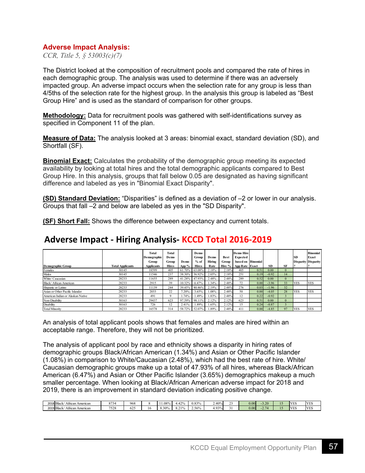#### **Adverse Impact Analysis:**

*CCR, Title 5, § 53003(c)(7)*

The District looked at the composition of recruitment pools and compared the rate of hires in each demographic group. The analysis was used to determine if there was an adversely impacted group. An adverse impact occurs when the selection rate for any group is less than 4/5ths of the selection rate for the highest group. In the analysis this group is labeled as "Best Group Hire" and is used as the standard of comparison for other groups.

**Methodology:** Data for recruitment pools was gathered with self-identifications survey as specified in Component 11 of the plan.

**Measure of Data:** The analysis looked at 3 areas: binomial exact, standard deviation (SD), and Shortfall (SF).

**Binomial Exact:** Calculates the probability of the demographic group meeting its expected availability by looking at total hires and the total demographic applicants compared to Best Group Hire. In this analysis, groups that fall below 0.05 are designated as having significant difference and labeled as yes in "Binomial Exact Disparity".

**(SD) Standard Deviation:** "Disparities" is defined as a deviation of –2 or lower in our analysis. Groups that fall –2 and below are labeled as yes in the "SD Disparity".

**(SF) Short Fall:** Shows the difference between expectancy and current totals.

### **Adverse Impact - Hiring Analysis- KCCD Total 2016-2019**

|                                   |                         | Total<br>Demographic | Total<br>Demo |        | Demo<br>Group | Demo   | <b>Best</b> | <b>Demo Hire</b><br>Expected |                   |           |          | <b>SD</b>                  | <b>Binomial</b><br>Exact |
|-----------------------------------|-------------------------|----------------------|---------------|--------|---------------|--------|-------------|------------------------------|-------------------|-----------|----------|----------------------------|--------------------------|
|                                   |                         | Group                | Group         | Demo   | $%$ of        | Hiring | Group       | based on Binomial            |                   |           |          | <b>Disparity Disparity</b> |                          |
| Demographic Group                 | <b>Total Applicants</b> | <b>Applicants</b>    | <b>Hires</b>  | App %  | <b>Hires</b>  | Rate   | Hire %      | App Rate Exact               |                   | <b>SD</b> | SF       |                            |                          |
| Females                           | 30145                   | 18599                | 405           | 61.70% | 63.08%        | 2.18%  | 2.18%       | 405                          | 0.51              | 0.00      | $\Omega$ |                            |                          |
| Males                             | 30145                   | 1546                 | 237           | 38.30% | 36.92%        | 2.05%  | 2.18%       | 251                          | 0.19              | $-0.92$   | 14       |                            |                          |
| White/ Caucasian                  | 28233                   | 1655                 | 289           | 41.28% | 47.93%        | 2.48%  | 2.48%       | 289                          | 0.52              | 0.00      | $\Omega$ |                            |                          |
| Black/African American            | 28233                   | 2915                 | 39            | 10.32% | 6.47%         | 1.34%  | 2.48%       | 72                           | 0.00 <sub>l</sub> | $-3.96$   | 33       | YES                        | <b>YES</b>               |
| Hispanic or Latino                | 28233                   | 11139                | 244           | 39.45% | 40.46%        | 2.19%  | 2.48%       | 276                          | 0.03              | $-1.96$   | 32       |                            |                          |
| Asian or Other Pacific Islander   | 28233                   | 2033                 | 22            | 7.20%  | 3.65%         | 1.08%  | 2.48%       | 50                           | 0.00              | $-4.05$   | 28       | YES                        | <b>YES</b>               |
| American Indian or Alaskan Native | 28233                   | 491                  | 9             | .74%   | 1.49%         | 1.83%  | 2.48%       | 12                           | 0.22              | $-0.92$   |          |                            |                          |
| Non-Disability                    | 30163                   | 29437                | 623           | 97.59% | 98.11%        | 2.12%  | 2.12%       | 623                          | 0.51              | 0.00      | $\Omega$ |                            |                          |
| Disability                        | 30163                   | 726                  | 12            | 2.41%  | 1.89%         | 1.65%  | 2.12%       | 15                           | 0.24              | $-0.87$   |          |                            |                          |
| <b>Total Minority</b>             | 28233                   | 16578                | 314           |        | 58.72% 52.07% | .89%   | 2.48%       | 411                          | 0.00 <sub>l</sub> | $-4.85$   | 97       | YES                        | <b>YES</b>               |

An analysis of total applicant pools shows that females and males are hired within an acceptable range. Therefore, they will not be prioritized.

The analysis of applicant pool by race and ethnicity shows a disparity in hiring rates of demographic groups Black/African American (1.34%) and Asian or Other Pacific Islander (1.08%) in comparison to White/Caucasian (2.48%), which had the best rate of hire. White/ Caucasian demographic groups make up a total of 47.93% of all hires, whereas Black/African American (6.47%) and Asian or Other Pacific Islander (3.65%) demographics makeup a much smaller percentage. When looking at Black/African American adverse impact for 2018 and 2019, there is an improvement in standard deviation indicating positive change.

| 2018 Black/<br>American<br>. trucca<br>Airican         | 0.72<br>--    | 968                | 1.080 | 420<br>4.44 | Q20        | $4.40^{\circ}$<br>zoi | $\sim$<br>٠. | 0.00  | ാറ<br>⊃.∠∪ | . . | <b>AZTIC</b><br>. .<br>$1 - \lambda$ | 5.750<br>دست       |
|--------------------------------------------------------|---------------|--------------------|-------|-------------|------------|-----------------------|--------------|-------|------------|-----|--------------------------------------|--------------------|
| 2019 Blac<br>American<br>. trucca<br>AIRCAR.<br>$\sim$ | 7500<br>. 920 | $\eta$<br>~<br>- ئ | 8.30% | 210<br>     | 56%<br>--- | 020                   |              | 0.001 | $\sim$ $-$ | . . | <b>AZTIC</b><br>◡∟<br>. .            | <b>STEP</b><br>دست |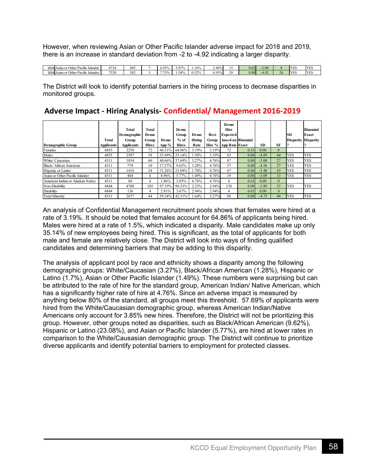However, when reviewing Asian or Other Pacific Islander adverse impact for 2018 and 2019, there is an increase in standard deviation from -2 to -4.92 indicating a larger disparity.

| Othe<br>2018 Asian<br>. Islander<br>$\alpha$<br>Pacif | 8734 | 605 | 0.930            | O70<br>5.0'           | .16%         | $4.40\%$      |                          | 0.02 | 2.00    |    | <b>YES</b>       | <b>VFS</b><br>---   |
|-------------------------------------------------------|------|-----|------------------|-----------------------|--------------|---------------|--------------------------|------|---------|----|------------------|---------------------|
| 2018 Asian or<br>Other<br>Islander<br>Pacif           | 7528 | 582 | 720<br>$\lambda$ | $\overline{a}$<br>54% | 520/<br>0.34 | 1.02c<br>T.JJ | $20^{\circ}$<br><u>.</u> | 0.00 | $-4.92$ | 26 | YES <sub>3</sub> | <b>VFS</b><br>- 110 |

The District will look to identify potential barriers in the hiring process to decrease disparities in monitored groups.

**Adverse Impact - Hiring Analysis- Confidential/ Management 2016-2019**

|                                   |                   | Total<br>Demographic | Total<br>Demo |               | Demo<br>Group | Demo          | Best  | Demo<br>Hire<br><b>Expected</b> |      |           |          | <b>SD</b>  | <b>Binomial</b><br>Exact   |
|-----------------------------------|-------------------|----------------------|---------------|---------------|---------------|---------------|-------|---------------------------------|------|-----------|----------|------------|----------------------------|
|                                   | <b>Total</b>      | Group                | Group         | Demo          | $%$ of        | <b>Hiring</b> | Group | based on Binomial               |      |           |          |            | <b>Disparity Disparity</b> |
| Demographic Group                 | <b>Applicants</b> | <b>Applicants</b>    | <b>Hires</b>  | App $%$       | Hires         | Rate          |       | Hire % App Rate Exact           |      | <b>SD</b> | SF       |            |                            |
| Females                           | 4855              | 2258                 | 72            | 46.51%        | 64.86%        | 3.19%         | 3.19% | 72                              | 0.53 | 0.00      | $\Omega$ |            |                            |
| Males                             | 4855              | 2597                 | 39            | 53.49% 35.14% |               | 1.50%         | 3.19% | 83                              | 0.00 | $-4.89$   | 44       | YES        | <b>YES</b>                 |
| White/ Caucasian                  | 4511              | 1834                 | 60            | 40.66%        | 57.69%        | 3.27%         | 4.76% | 87                              | 0.00 | $-3.00$   | 27       | <b>YES</b> | <b>YES</b>                 |
| Black/African American            | 4511              | 779                  | 10            | 17.27%        | 9.62%         | .28%          | 4.76% | 37                              | 0.00 | $-4.56$   | 27       | YES        | <b>YES</b>                 |
| Hispanic or Latino                | 4511              | 1410                 | 24            | 31.26%        | 23.08%        | 1.70%         | 4.76% | 67                              | 0.00 | $-5.40$   | 43       | YES        | <b>YES</b>                 |
| Asian or Other Pacific Islander   | 4511              | 404                  | 6             | 8.96%         | 5.77%         | 1.49%         | 4.76% | 19                              | 0.00 | $-3.09$   | 13       | YES        | <b>YES</b>                 |
| American Indian or Alaskan Native | 4511              | 84                   | 4             | 1.86%         | 3.85%         | 4.76%         | 4.76% | 4                               | 0.63 | 0.00      | $\Omega$ |            |                            |
| Non-Disability                    | 4844              | 4708                 | 105           | 97.19%        | 96.33%        | 2.23%         | 2.94% | 138                             | 0.00 | $-2.89$   | 33       | <b>YES</b> | <b>YES</b>                 |
| Disability                        | 4844              | 136                  | 4             | 2.81%         | 3.67%         | 2.94%         | 2.94% | 4                               | 0.63 | 0.00      | $\Omega$ |            |                            |
| <b>Total Minority</b>             | 4511              | 2677                 | 44            | 59.34%        | 42.31%        | 1.64%         | 3.27% | 88                              | 0.00 | $-4.73$   | 44       | YES        | <b>YES</b>                 |

An analysis of Confidential Management recruitment pools shows that females were hired at a rate of 3.19%. It should be noted that females account for 64.86% of applicants being hired. Males were hired at a rate of 1.5%, which indicated a disparity. Male candidates make up only 35.14% of new employees being hired. This is significant, as the total of applicants for both male and female are relatively close. The District will look into ways of finding qualified candidates and determining barriers that may be adding to this disparity.

The analysis of applicant pool by race and ethnicity shows a disparity among the following demographic groups: White/Caucasian (3.27%), Black/African American (1.28%), Hispanic or Latino (1.7%), Asian or Other Pacific Islander (1.49%). These numbers were surprising but can be attributed to the rate of hire for the standard group, American Indian/ Native American, which has a significantly higher rate of hire at 4.76%. Since an adverse impact is measured by anything below 80% of the standard, all groups meet this threshold. 57.69% of applicants were hired from the White/Caucasian demographic group, whereas American Indian/Native Americans only account for 3.85% new hires. Therefore, the District will not be prioritizing this group. However, other groups noted as disparities, such as Black/African American (9.62%), Hispanic or Latino (23.08%), and Asian or Pacific Islander (5.77%), are hired at lower rates in comparison to the White/Causasian demographic group. The District will continue to prioritize diverse applicants and identify potential barriers to employment for protected classes.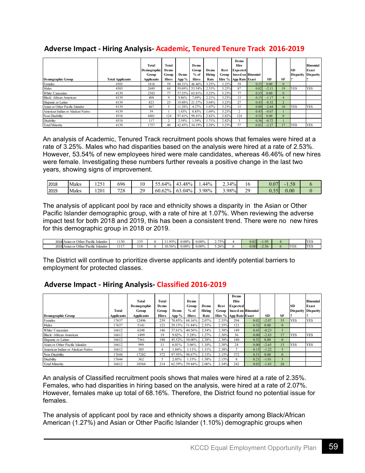|                                   |                         | Total<br><b>Demographic</b><br>Group | Total<br>Demo<br>Group | Demo   | Demo<br>Group<br>$%$ of | Demo<br>Hiring | <b>Best</b><br>Group | Demo<br>Hire<br><b>Expected</b><br>based on Binomial |                   |                   |                | ISD<br>Disparity Disparity | <b>Binomial</b><br>Exact |
|-----------------------------------|-------------------------|--------------------------------------|------------------------|--------|-------------------------|----------------|----------------------|------------------------------------------------------|-------------------|-------------------|----------------|----------------------------|--------------------------|
| Demographic Group                 | <b>Total Applicants</b> | <b>Applicants</b>                    | <b>Hires</b>           | App %  | <b>Hires</b>            | Rate           |                      | Hire % App Rate Exact                                |                   | <b>SD</b>         | <b>SF</b>      |                            |                          |
| Females                           | 4505                    | 1816                                 | 59                     | 40.31% | 46.46%                  | 3.25%          | 3.25%                | 59                                                   | 0.53              | 0.00              | $\Omega$       |                            |                          |
| Males                             | 4505                    | 2689                                 | 68                     |        | 59.69% 53.54%           | 2.53%          | 3.25%                | 87                                                   | 0.02              | $-2.11$           | 19             | <b>YES</b>                 | <b>YES</b>               |
| White/ Caucasian                  | 4139                    | 2382                                 | 77                     |        | 57.55% 65.81%           | 3.23%          | 3.23%                | 77                                                   | 0.53              | 0.00              | $\Omega$       |                            |                          |
| Black/African American            | 4139                    | 408                                  | Q                      | 9.86%  | 7.69%                   | 2.21%          | 3.23%                | 13                                                   | 0.15              | $-1.17$           | $\overline{4}$ |                            |                          |
| Hispanic or Latino                | 4139                    | 823                                  | 25                     | 19.88% | 21.37%                  | 3.04%          | 3.23%                | 27                                                   | 0.43              | $-0.32$           | $\overline{2}$ |                            |                          |
| Asian or Other Pacific Islander   | 4139                    | 467                                  |                        | 11.28% | 4.27%                   | 1.07%          | 3.23%                | 15                                                   | 0.00 <sub>l</sub> | $-2.64$           | 10             | <b>YES</b>                 | <b>YES</b>               |
| American Indian or Alaskan Native | 4139                    | 59                                   |                        | 1.43%  | 0.85%                   | 1.69%          | 3.23%                | 2                                                    | 0.43              | $-0.67$           |                |                            |                          |
| Non-Disability                    | 4518                    | 4401                                 | 124                    | 97.41% | 98.41%                  | 2.82%          | 2.82%                | 124                                                  | 0.52              | 0.00 <sub>1</sub> | $\Omega$       |                            |                          |
| Disability                        | 4518                    | 117                                  |                        | 2.59%  | .59%                    | 1.71%          | 2.82%                |                                                      | 0.36              | $-0.72$           |                |                            |                          |
| <b>Total Minority</b>             | 4139                    | 1757                                 | 40                     |        | 42.45% 34.19%           | 2.28%          | 3.23%                | 57                                                   | 0.01              | $-2.27$           | 17             | <b>YES</b>                 | <b>YES</b>               |

#### **Adverse Impact - Hiring Analysis- Academic, Tenured Tenure Track 2016-2019**

An analysis of Academic, Tenured Track recruitment pools shows that females were hired at a rate of 3.25%. Males who had disparities based on the analysis were hired at a rate of 2.53%. However, 53.54% of new employees hired were male candidates, whereas 46.46% of new hires were female. Investigating these numbers further reveals a positive change in the last two years, showing signs of improvement.

| 2018 | Males | 251<br>- 20 | 696 | 10      | 64%<br>$ -$           | .48%<br>$\sim$<br>Æ           | .44% | $34\%$<br>-<br>ر | . .           | J.07                      | $\epsilon$ <sup>o</sup><br>1.90 |  |
|------|-------|-------------|-----|---------|-----------------------|-------------------------------|------|------------------|---------------|---------------------------|---------------------------------|--|
| 2019 | Males | 1201        | 728 | 29<br>- | $\gamma_{0}$<br>60.62 | $\sqrt{2}$<br>$.04\%$<br>- 65 | .98% | 3.98%            | $\cap$<br>ر ب | <b>CONTRACTOR</b><br>v.JJ | $0.00\,$                        |  |

The analysis of applicant pool by race and ethnicity shows a disparity in the Asian or Other Pacific Islander demographic group, with a rate of hire at 1.07%. When reviewing the adverse impact test for both 2018 and 2019, this has been a consistent trend. There were no new hires for this demographic group in 2018 or 2019.

| . .<br>. .<br>Other<br>2018 Asian or<br>Pacific<br><b>Islande</b> | 130      | $ -$ | 050/            | $0.00\%$ | 0.00% | 75%<br>$\sim \cdot$ $\cdot$ | ורח ב<br>V.VZI | $\Omega$<br>$\mathbf{1}$ . |                   | $\mathbf{X}$<br>دسته  |
|-------------------------------------------------------------------|----------|------|-----------------|----------|-------|-----------------------------|----------------|----------------------------|-------------------|-----------------------|
| . .<br>. .<br>2019 Asian or Other<br>Pacific<br>-Islande          | .<br>. . | 18   | 560/<br>.U.JU70 | $0.00\%$ | 0.00% | 5.26%                       | 0.00           | $-2.56$                    | TTC<br>$\sim$ 1.4 | $\mathbf{X}$<br>1 L.C |

The District will continue to prioritize diverse applicants and identify potential barriers to employment for protected classes.

#### **Adverse Impact - Hiring Analysis- Classified 2016-2019**

|                                   |            | Total             | Total |         | Demo          |        |             | Demo<br>Hire          |      |           |              |                            | <b>Binomial</b> |
|-----------------------------------|------------|-------------------|-------|---------|---------------|--------|-------------|-----------------------|------|-----------|--------------|----------------------------|-----------------|
|                                   |            | Demographic       | Demo  |         | Group         | Demo   | <b>Best</b> | <b>Expected</b>       |      |           |              | SD                         | Exact           |
|                                   | Total      | Group             | Group | Demo    | $%$ of        | Hiring | Group       | based on Binomial     |      |           |              | <b>Disparity Disparity</b> |                 |
| Demographic Group                 | Applicants | <b>Applicants</b> | Hires | App $%$ | <b>Hires</b>  | Rate   |             | Hire % App Rate Exact |      | <b>SD</b> | <b>SF</b>    |                            |                 |
| Females                           | 17637      | 12496             | 259   | 70.85%  | 68.16%        | 2.07%  | 2.35%       | 294                   | 0.02 | $-2.07$   | 35           | <b>YES</b>                 | <b>YES</b>      |
| Males                             | 17637      | 5141              | 121   |         | 29.15% 31.84% | 2.35%  | 2.35%       | 121                   | 0.52 | 0.00      | $\Omega$     |                            |                 |
| White/ Caucasian                  | 16612      | 6248              | 146   | 37.61%  | 40.56%        | 2.34%  | 2.38%       | 149                   | 0.43 | $-0.23$   | 3            |                            |                 |
| Black/African American            | 16612      | 1499              | 19    | 9.02%   | 5.28%         | 1.27%  | 2.38%       | 36                    | 0.00 | $-2.83$   | 17           | <b>YES</b>                 | <b>YES</b>      |
| Hispanic or Latino                | 16612      | 7561              | 180   | 45.52%  | 50.00%        | 2.38%  | 2.38%       | 180                   | 0.52 | 0.00      | $\Omega$     |                            |                 |
| Asian or Other Pacific Islander   | 16612      | 999               | 11    | 6.01%   | 3.06%         | 1.10%  | 2.38%       | 24                    | 0.00 | $-2.65$   | 13           | <b>YES</b>                 | <b>YES</b>      |
| American Indian or Alaskan Native | 16612      | 305               | 4     | 1.84%   | 1.11%         | 1.31%  | 2.38%       |                       | 0.15 | $-1.22$   |              |                            |                 |
| Non-Disability                    | 17644      | 17282             | 372   | 97.95%  | 98.67%        | 2.15%  | 2.15%       | 372                   | 0.51 | 0.00      | $\Omega$     |                            |                 |
| <b>Disability</b>                 | 17644      | 362               |       | 2.05%   | 1.33%         | 1.38%  | 2.15%       | 8                     | 0.21 | $-1.01$   | $\mathbf{a}$ |                            |                 |
| <b>Total Minority</b>             | 16612      | 10364             | 214   |         | 62.39% 59.44% | 2.06%  | 2.34%       | 242                   | 0.03 | $-1.83$   | 28           |                            |                 |

An analysis of Classified recruitment pools shows that males were hired at a rate of 2.35%. Females, who had disparities in hiring based on the analysis, were hired at a rate of 2.07%. However, females make up total of 68.16%. Therefore, the District found no potential issue for females.

The analysis of applicant pool by race and ethnicity shows a disparity among Black/African American (1.27%) and Asian or Other Pacific Islander (1.10%) demographic groups when